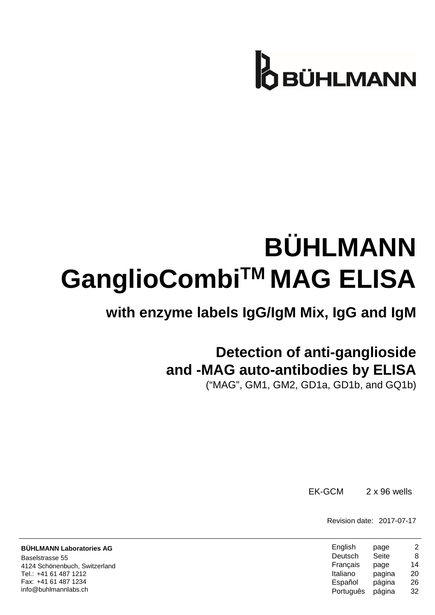# **B**BÜHLMANN

# **BÜHLMANN GanglioCombiTM MAG ELISA**

## **with enzyme labels IgG/IgM Mix, IgG and IgM**

## **Detection of anti-ganglioside and -MAG auto-antibodies by ELISA**

("MAG", GM1, GM2, GD1a, GD1b, and GQ1b)

EK-GCM 2 x 96 wells

Revision date: 2017-07-17

| English   | page   | 2  |
|-----------|--------|----|
| Deutsch   | Seite  | 8  |
| Français  | page   | 14 |
| Italiano  | pagina | 20 |
| Español   | página | 26 |
| Português | página | 32 |

**BÜHLMANN Laboratories AG** Baselstrasse 55 4124 Schönenbuch, Switzerland Tel.: +41 61 487 1212 Fax: +41 61 487 1234 info@buhlmannlabs.ch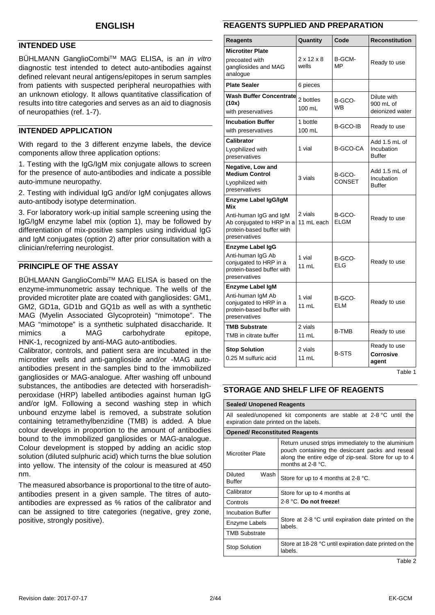#### <span id="page-1-0"></span>**INTENDED USE**

BÜHLMANN GanglioCombiTM MAG ELISA, is an *in vitro*  diagnostic test intended to detect auto-antibodies against defined relevant neural antigens/epitopes in serum samples from patients with suspected peripheral neuropathies with an unknown etiology. It allows quantitative classification of results into titre categories and serves as an aid to diagnosis of neuropathies (ref. 1-7).

#### **INTENDED APPLICATION**

With regard to the 3 different enzyme labels, the device components allow three application options:

1. Testing with the IgG/IgM mix conjugate allows to screen for the presence of auto-antibodies and indicate a possible auto-immune neuropathy.

2. Testing with individual IgG and/or IgM conjugates allows auto-antibody isotype determination.

3. For laboratory work-up initial sample screening using the IgG/IgM enzyme label mix (option 1), may be followed by differentiation of mix-positive samples using individual IgG and IgM conjugates (option 2) after prior consultation with a clinician/referring neurologist.

#### **PRINCIPLE OF THE ASSAY**

BÜHLMANN GanglioCombi™ MAG ELISA is based on the enzyme-immunometric assay technique. The wells of the provided microtiter plate are coated with gangliosides: GM1, GM2, GD1a, GD1b and GQ1b as well as with a synthetic MAG (Myelin Associated Glycoprotein) "mimotope". The MAG "mimotope" is a synthetic sulphated disaccharide. It<br>mimics a MAG carbohydrate epitope a MAG carbohydrate HNK-1, recognized by anti-MAG auto-antibodies.

Calibrator, controls, and patient sera are incubated in the microtiter wells and anti-ganglioside and/or -MAG autoantibodies present in the samples bind to the immobilized gangliosides or MAG-analogue. After washing off unbound substances, the antibodies are detected with horseradishperoxidase (HRP) labelled antibodies against human IgG and/or IgM. Following a second washing step in which unbound enzyme label is removed, a substrate solution containing tetramethylbenzidine (TMB) is added. A blue colour develops in proportion to the amount of antibodies bound to the immobilized gangliosides or MAG-analogue. Colour development is stopped by adding an acidic stop solution (diluted sulphuric acid) which turns the blue solution into yellow. The intensity of the colour is measured at 450 nm.

The measured absorbance is proportional to the titre of autoantibodies present in a given sample. The titres of autoantibodies are expressed as % ratios of the calibrator and can be assigned to titre categories (negative, grey zone, positive, strongly positive).

#### **REAGENTS SUPPLIED AND PREPARATION**

| Reagents                                                                                                                         | Quantity                        | Code                    | <b>Reconstitution</b>                        |
|----------------------------------------------------------------------------------------------------------------------------------|---------------------------------|-------------------------|----------------------------------------------|
| <b>Microtiter Plate</b><br>precoated with<br>gangliosides and MAG<br>analogue                                                    | $2 \times 12 \times 8$<br>wells | B-GCM-<br>MP            | Ready to use                                 |
| <b>Plate Sealer</b>                                                                                                              | 6 pieces                        |                         |                                              |
| <b>Wash Buffer Concentrate</b><br>(10x)<br>with preservatives                                                                    | 2 bottles<br>$100 \text{ mL}$   | B-GCO-<br>WВ            | Dilute with<br>900 mL of<br>deionized water  |
| <b>Incubation Buffer</b><br>with preservatives                                                                                   | 1 bottle<br>100 mL              | B-GCO-IB                | Ready to use                                 |
| <b>Calibrator</b><br>Lyophilized with<br>preservatives                                                                           | 1 vial                          | B-GCO-CA                | Add 1.5 mL of<br>Incubation<br><b>Buffer</b> |
| Negative, Low and<br><b>Medium Control</b><br>Lyophilized with<br>preservatives                                                  | 3 vials                         | B-GCO-<br><b>CONSET</b> | Add 1.5 mL of<br>Incubation<br><b>Buffer</b> |
| Enzyme Label IgG/IgM<br>Mix<br>Anti-human IgG and IgM<br>Ab conjugated to HRP in a<br>protein-based buffer with<br>preservatives | 2 vials<br>11 mL each           | B-GCO-<br>FI GM         | Ready to use                                 |
| Enzyme Label IgG<br>Anti-human IgG Ab<br>conjugated to HRP in a<br>protein-based buffer with<br>preservatives                    | 1 vial<br>11 mL                 | B-GCO-<br>ELG           | Ready to use                                 |
| <b>Enzyme Label IgM</b><br>Anti-human IgM Ab<br>conjugated to HRP in a<br>protein-based buffer with<br>preservatives             | 1 vial<br>11 mL                 | B-GCO-<br><b>ELM</b>    | Ready to use                                 |
| <b>TMB Substrate</b><br>TMB in citrate buffer                                                                                    | 2 vials<br>11 mL                | <b>B-TMB</b>            | Ready to use                                 |
| <b>Stop Solution</b><br>0.25 M sulfuric acid                                                                                     | 2 vials<br>11 mL                | <b>B-STS</b>            | Ready to use<br><b>Corrosive</b><br>agent    |

Table 1

#### **STORAGE AND SHELF LIFE OF REAGENTS**

| <b>Sealed/ Unopened Reagents</b>                                                                            |                                                                                                                                                                                     |  |
|-------------------------------------------------------------------------------------------------------------|-------------------------------------------------------------------------------------------------------------------------------------------------------------------------------------|--|
| All sealed/unopened kit components are stable at 2-8 °C until the<br>expiration date printed on the labels. |                                                                                                                                                                                     |  |
| <b>Opened/ Reconstituted Reagents</b>                                                                       |                                                                                                                                                                                     |  |
| <b>Microtiter Plate</b>                                                                                     | Return unused strips immediately to the aluminium<br>pouch containing the desiccant packs and reseal<br>along the entire edge of zip-seal. Store for up to 4<br>months at $2-8$ °C. |  |
| Wash<br>Diluted<br><b>Buffer</b>                                                                            | Store for up to 4 months at 2-8 °C.                                                                                                                                                 |  |
| Calibrator                                                                                                  | Store for up to 4 months at                                                                                                                                                         |  |
| Controls                                                                                                    | 2-8 °C. Do not freeze!                                                                                                                                                              |  |
| <b>Incubation Buffer</b>                                                                                    |                                                                                                                                                                                     |  |
| Enzyme Labels                                                                                               | Store at 2-8 °C until expiration date printed on the<br>labels.                                                                                                                     |  |
| <b>TMB Substrate</b>                                                                                        |                                                                                                                                                                                     |  |
| <b>Stop Solution</b>                                                                                        | Store at 18-28 °C until expiration date printed on the<br>labels.                                                                                                                   |  |

Table 2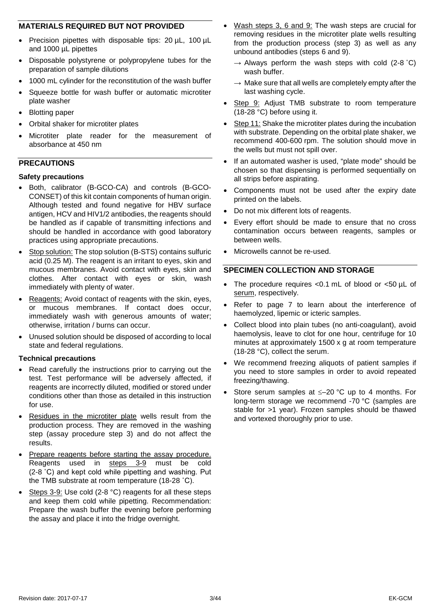#### **MATERIALS REQUIRED BUT NOT PROVIDED**

- Precision pipettes with disposable tips: 20 µL, 100 µL and 1000 µL pipettes
- Disposable polystyrene or polypropylene tubes for the preparation of sample dilutions
- 1000 mL cylinder for the reconstitution of the wash buffer
- Squeeze bottle for wash buffer or automatic microtiter plate washer
- Blotting paper
- Orbital shaker for microtiter plates
- Microtiter plate reader for the measurement of absorbance at 450 nm

#### **PRECAUTIONS**

#### **Safety precautions**

- Both, calibrator (B-GCO-CA) and controls (B-GCO-CONSET) of this kit contain components of human origin. Although tested and found negative for HBV surface antigen, HCV and HIV1/2 antibodies, the reagents should be handled as if capable of transmitting infections and should be handled in accordance with good laboratory practices using appropriate precautions.
- Stop solution: The stop solution (B-STS) contains sulfuric acid (0.25 M). The reagent is an irritant to eyes, skin and mucous membranes. Avoid contact with eyes, skin and clothes. After contact with eyes or skin, wash immediately with plenty of water.
- Reagents: Avoid contact of reagents with the skin, eyes, or mucous membranes. If contact does occur, immediately wash with generous amounts of water; otherwise, irritation / burns can occur.
- Unused solution should be disposed of according to local state and federal regulations.

#### **Technical precautions**

- Read carefully the instructions prior to carrying out the test. Test performance will be adversely affected, if reagents are incorrectly diluted, modified or stored under conditions other than those as detailed in this instruction for use.
- Residues in the microtiter plate wells result from the production process. They are removed in the washing step (assay procedure step 3) and do not affect the results.
- Prepare reagents before starting the assay procedure. Reagents used in steps 3-9 must be cold (2-8 ˚C) and kept cold while pipetting and washing. Put the TMB substrate at room temperature (18-28 ˚C).
- Steps 3-9: Use cold (2-8 °C) reagents for all these steps and keep them cold while pipetting. Recommendation: Prepare the wash buffer the evening before performing the assay and place it into the fridge overnight.
- Wash steps 3, 6 and 9: The wash steps are crucial for removing residues in the microtiter plate wells resulting from the production process (step 3) as well as any unbound antibodies (steps 6 and 9).
	- $\rightarrow$  Always perform the wash steps with cold (2-8 °C) wash buffer.
	- $\rightarrow$  Make sure that all wells are completely empty after the last washing cycle.
- Step 9: Adjust TMB substrate to room temperature (18-28 °C) before using it.
- Step 11: Shake the microtiter plates during the incubation with substrate. Depending on the orbital plate shaker, we recommend 400-600 rpm. The solution should move in the wells but must not spill over.
- If an automated washer is used, "plate mode" should be chosen so that dispensing is performed sequentially on all strips before aspirating.
- Components must not be used after the expiry date printed on the labels.
- Do not mix different lots of reagents.
- Every effort should be made to ensure that no cross contamination occurs between reagents, samples or between wells.
- Microwells cannot be re-used.

#### **SPECIMEN COLLECTION AND STORAGE**

- The procedure requires <0.1 mL of blood or <50 µL of serum, respectively.
- Refer to page [7](#page-6-0) to learn about the interference of haemolyzed, lipemic or icteric samples.
- Collect blood into plain tubes (no anti-coagulant), avoid haemolysis, leave to clot for one hour, centrifuge for 10 minutes at approximately 1500 x g at room temperature (18-28 °C), collect the serum.
- We recommend freezing aliquots of patient samples if you need to store samples in order to avoid repeated freezing/thawing.
- Store serum samples at  $\leq -20$  °C up to 4 months. For long-term storage we recommend -70 °C (samples are stable for >1 year). Frozen samples should be thawed and vortexed thoroughly prior to use.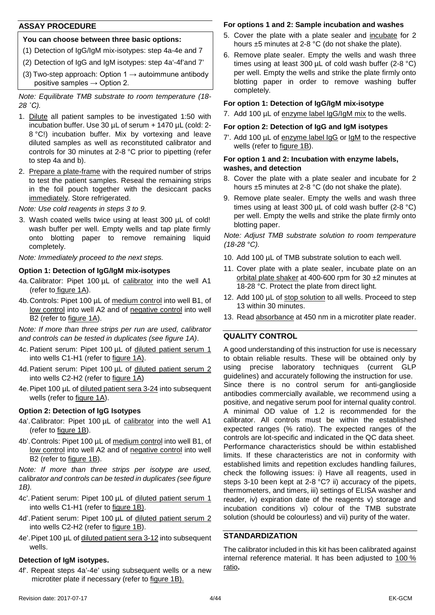#### **ASSAY PROCEDURE**

#### **You can choose between three basic options:**

- (1) Detection of IgG/IgM mix-isotypes: step 4a-4e and 7
- (2) Detection of IgG and IgM isotypes: step 4a'-4f'and 7'
- (3) Two-step approach: Option  $1 \rightarrow$  autoimmune antibody positive samples  $\rightarrow$  Option 2.

*Note: Equilibrate TMB substrate to room temperature (18- 28 ˚C).*

- 1. Dilute all patient samples to be investigated 1:50 with incubation buffer. Use 30 µL of serum + 1470 µL (cold: 2- 8 °C!) incubation buffer. Mix by vortexing and leave diluted samples as well as reconstituted calibrator and controls for 30 minutes at 2-8 °C prior to pipetting (refer to step 4a and b).
- 2. Prepare a plate-frame with the required number of strips to test the patient samples. Reseal the remaining strips in the foil pouch together with the desiccant packs immediately. Store refrigerated.

*Note: Use cold reagents in steps 3 to 9.*

3. Wash coated wells twice using at least 300 µL of cold! wash buffer per well. Empty wells and tap plate firmly onto blotting paper to remove remaining liquid completely.

*Note: Immediately proceed to the next steps.*

#### **Option 1: Detection of IgG/IgM mix-isotypes**

- 4a. Calibrator: Pipet 100 µL of calibrator into the well A1 (refer to figure 1A).
- 4b.Controls: Pipet 100 µL of medium control into well B1, of low control into well A2 and of negative control into well B2 (refer to figure 1A).

*Note: If more than three strips per run are used, calibrator and controls can be tested in duplicates (see figure 1A)*.

- 4c. Patient serum: Pipet 100 µL of diluted patient serum 1 into wells C1-H1 (refer to figure 1A).
- 4d. Patient serum: Pipet 100 µL of diluted patient serum 2 into wells C2-H2 (refer to figure 1A)
- 4e.Pipet 100 µL of diluted patient sera 3-24 into subsequent wells (refer to figure 1A).

#### **Option 2: Detection of IgG Isotypes**

- 4a'.Calibrator: Pipet 100 µL of calibrator into the well A1 (refer to figure 1B).
- 4b'.Controls: Pipet 100 µL of medium control into well B1, of low control into well A2 and of negative control into well B2 (refer to figure 1B).

*Note: If more than three strips per isotype are used, calibrator and controls can be tested in duplicates (see figure 1B).*

- 4c'. Patient serum: Pipet 100 µL of diluted patient serum 1 into wells C1-H1 (refer to figure 1B).
- 4d'.Patient serum: Pipet 100 µL of diluted patient serum 2 into wells C2-H2 (refer to figure 1B).
- 4e'.Pipet 100 µL of diluted patient sera 3-12 into subsequent wells.

#### **Detection of IgM isotypes.**

4f'. Repeat steps 4a'-4e' using subsequent wells or a new microtiter plate if necessary (refer to figure 1B).

#### **For options 1 and 2: Sample incubation and washes**

- 5. Cover the plate with a plate sealer and incubate for 2 hours ±5 minutes at 2-8 °C (do not shake the plate).
- 6. Remove plate sealer. Empty the wells and wash three times using at least 300 µL of cold wash buffer (2-8 °C) per well. Empty the wells and strike the plate firmly onto blotting paper in order to remove washing buffer completely.

#### **For option 1: Detection of IgG/IgM mix-isotype**

7. Add 100 µL of enzyme label IgG/IgM mix to the wells.

#### **For option 2: Detection of IgG and IgM isotypes**

7'. Add 100 µL of enzyme label IgG or IgM to the respective wells (refer to figure 1B).

#### **For option 1 and 2: Incubation with enzyme labels, washes, and detection**

- 8. Cover the plate with a plate sealer and incubate for 2 hours ±5 minutes at 2-8 °C (do not shake the plate).
- 9. Remove plate sealer. Empty the wells and wash three times using at least 300 µL of cold wash buffer (2-8 °C) per well. Empty the wells and strike the plate firmly onto blotting paper.

*Note: Adjust TMB substrate solution to room temperature (18-28 °C).*

- 10. Add 100 µL of TMB substrate solution to each well.
- 11. Cover plate with a plate sealer, incubate plate on an orbital plate shaker at 400-600 rpm for 30 ±2 minutes at 18-28 °C. Protect the plate from direct light.
- 12. Add 100 µL of stop solution to all wells. Proceed to step 13 within 30 minutes.
- 13. Read absorbance at 450 nm in a microtiter plate reader.

#### **QUALITY CONTROL**

A good understanding of this instruction for use is necessary to obtain reliable results. These will be obtained only by using precise laboratory techniques (current GLP guidelines) and accurately following the instruction for use. Since there is no control serum for anti-ganglioside antibodies commercially available, we recommend using a positive, and negative serum pool for internal quality control. A minimal OD value of 1.2 is recommended for the calibrator. All controls must be within the established expected ranges (% ratio). The expected ranges of the controls are lot-specific and indicated in the QC data sheet. Performance characteristics should be within established limits. If these characteristics are not in conformity with established limits and repetition excludes handling failures, check the following issues: i) Have all reagents, used in steps 3-10 been kept at 2-8 °C? ii) accuracy of the pipets, thermometers, and timers, iii) settings of ELISA washer and reader, iv) expiration date of the reagents v) storage and incubation conditions vi) colour of the TMB substrate solution (should be colourless) and vii) purity of the water.

#### **STANDARDIZATION**

The calibrator included in this kit has been calibrated against internal reference material. It has been adjusted to 100 % ratio**.**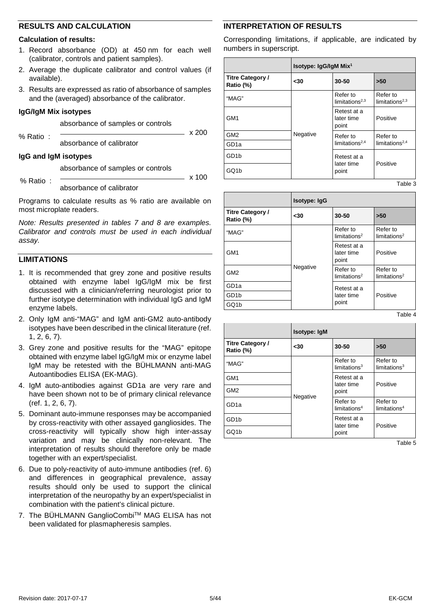#### **RESULTS AND CALCULATION**

#### **Calculation of results:**

- 1. Record absorbance (OD) at 450 nm for each well (calibrator, controls and patient samples).
- 2. Average the duplicate calibrator and control values (if available).
- 3. Results are expressed as ratio of absorbance of samples and the (averaged) absorbance of the calibrator.

#### **IgG/IgM Mix isotypes**

absorbance of samples or controls

% Ratio :

absorbance of calibrator

#### **IgG and IgM isotypes**

absorbance of samples or controls

x 100

 $\times$  200

#### % Ratio :

absorbance of calibrator

Programs to calculate results as % ratio are available on most microplate readers.

*Note: Results presented in tables 7 and 8 are examples. Calibrator and controls must be used in each individual assay.*

#### **LIMITATIONS**

- 1. It is recommended that grey zone and positive results obtained with enzyme label IgG/IgM mix be first discussed with a clinician/referring neurologist prior to further isotype determination with individual IgG and IgM enzyme labels.
- 2. Only IgM anti-"MAG" and IgM anti-GM2 auto-antibody isotypes have been described in the clinical literature (ref. 1, 2, 6, 7).
- 3. Grey zone and positive results for the "MAG" epitope obtained with enzyme label IgG/IgM mix or enzyme label IgM may be retested with the BÜHLMANN anti-MAG Autoantibodies ELISA (EK-MAG).
- 4. IgM auto-antibodies against GD1a are very rare and have been shown not to be of primary clinical relevance (ref. 1, 2, 6, 7).
- 5. Dominant auto-immune responses may be accompanied by cross-reactivity with other assayed gangliosides. The cross-reactivity will typically show high inter-assay variation and may be clinically non-relevant. The interpretation of results should therefore only be made together with an expert/specialist.
- 6. Due to poly-reactivity of auto-immune antibodies (ref. 6) and differences in geographical prevalence, assay results should only be used to support the clinical interpretation of the neuropathy by an expert/specialist in combination with the patient's clinical picture.
- 7. The BÜHLMANN GanglioCombi™ MAG ELISA has not been validated for plasmapheresis samples.

#### **INTERPRETATION OF RESULTS**

Corresponding limitations, if applicable, are indicated by numbers in superscript.

|                                      | Isotype: IgG/IgM Mix <sup>1</sup> |                                        |                               |
|--------------------------------------|-----------------------------------|----------------------------------------|-------------------------------|
| <b>Titre Category /</b><br>Ratio (%) | $30$                              | 30-50                                  | >50                           |
| "MAG"                                | Negative                          | Refer to<br>limitations <sup>2,3</sup> | Refer to<br>limitations $2,3$ |
| GM <sub>1</sub>                      |                                   | Retest at a<br>later time<br>point     | Positive                      |
| GM <sub>2</sub>                      |                                   | Refer to                               | Refer to                      |
| GD <sub>1a</sub>                     |                                   | limitations <sup>2,4</sup>             | limitations <sup>2,4</sup>    |
| GD <sub>1</sub> b                    |                                   | Retest at a<br>later time              | Positive                      |
| GQ1b                                 |                                   | point                                  |                               |
|                                      |                                   |                                        | Tahla 3                       |

**Isotype: IgG Titre Category / Ratio (%) <30 30-50 >50** "MAG" Negative Refer to limitations<sup>2</sup> Refer to limitations<sup>2</sup> GM1 Retest at a later time point Positive GM2 Refer to Refer to Refer to Refer to Refer limitations<sup>2</sup> Refer to limitations<sup>2</sup> GD1a Retest at a<br>GD1b Retest at a GD1b | ater time | Positive point GQ1b

Table 4

|                                      | <b>Isotype: IgM</b> |                                                  |                                     |
|--------------------------------------|---------------------|--------------------------------------------------|-------------------------------------|
| <b>Titre Category /</b><br>Ratio (%) | $30$                | 30-50                                            | >50                                 |
| "MAG"                                | Negative            | Refer to<br>limitations <sup>3</sup>             | Refer to<br>limitation <sub>3</sub> |
| GM <sub>1</sub>                      |                     | Retest at a<br>later time                        | Positive                            |
| GM <sub>2</sub>                      |                     | point                                            |                                     |
| GD <sub>1a</sub>                     |                     | Refer to<br>limitation <sub>5</sub> <sup>4</sup> | Refer to<br>limitation <sup>4</sup> |
| GD <sub>1</sub> b                    |                     | Retest at a<br>later time                        | Positive                            |
| GQ1b                                 |                     | point                                            |                                     |

Table 5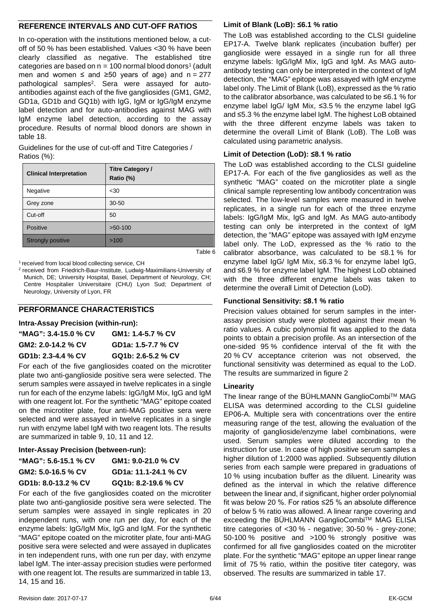#### **REFERENCE INTERVALS AND CUT-OFF RATIOS**

In co-operation with the institutions mentioned below, a cutoff of 50 % has been established. Values <30 % have been clearly classified as negative. The established titre categories are based on  $n = 100$  normal blood donors<sup>1</sup> (adult men and women  $≤$  and  $≥$ 50 years of age) and n = 277 pathological samples<sup>2</sup>. Sera were assayed for autoantibodies against each of the five gangliosides (GM1, GM2, GD1a, GD1b and GQ1b) with IgG, IgM or IgG/IgM enzyme label detection and for auto-antibodies against MAG with IgM enzyme label detection, according to the assay procedure. Results of normal blood donors are shown in table 18.

Guidelines for the use of cut-off and Titre Categories / Ratios (%):

| <b>Clinical Interpretation</b> | <b>Titre Category /</b><br>Ratio (%) |
|--------------------------------|--------------------------------------|
| Negative                       | $30$                                 |
| Grey zone                      | $30 - 50$                            |
| Cut-off                        | 50                                   |
| Positive                       | $>50-100$                            |
| <b>Strongly positive</b>       | >100                                 |

Table 6

<sup>1</sup> received from local blood collecting service, CH

2 received from Friedrich-Baur-Institute, Ludwig-Maximilians-University of Munich, DE; University Hospital, Basel, Department of Neurology, CH; Centre Hospitalier Universitaire (CHU) Lyon Sud; Department of Neurology, University of Lyon, FR

#### **PERFORMANCE CHARACTERISTICS**

**Intra-Assay Precision (within-run):**

| "MAG": 3.4-15.0 % CV | GM1: 1.4-5.7 % CV  |
|----------------------|--------------------|
| GM2: 2.0-14.2 % CV   | GD1a: 1.5-7.7 % CV |
| GD1b: 2.3-4.4 % CV   | GQ1b: 2.6-5.2 % CV |

For each of the five gangliosides coated on the microtiter plate two anti-ganglioside positive sera were selected. The serum samples were assayed in twelve replicates in a single run for each of the enzyme labels: IgG/IgM Mix, IgG and IgM with one reagent lot. For the synthetic "MAG" epitope coated on the microtiter plate, four anti-MAG positive sera were selected and were assayed in twelve replicates in a single run with enzyme label IgM with two reagent lots. The results are summarized in table 9, 10, 11 and 12.

#### **Inter-Assay Precision (between-run):**

| "MAG": 5.6-15.1 % CV | GM1: 9.0-21.0 % CV   |
|----------------------|----------------------|
| GM2: 5.0-16.5 % CV   | GD1a: 11.1-24.1 % CV |
| GD1b: 8.0-13.2 % CV  | GQ1b: 8.2-19.6 % CV  |

For each of the five gangliosides coated on the microtiter plate two anti-ganglioside positive sera were selected. The serum samples were assayed in single replicates in 20 independent runs, with one run per day, for each of the enzyme labels: IgG/IgM Mix, IgG and IgM. For the synthetic "MAG" epitope coated on the microtiter plate, four anti-MAG positive sera were selected and were assayed in duplicates in ten independent runs, with one run per day, with enzyme label IgM. The inter-assay precision studies were performed with one reagent lot. The results are summarized in table 13, 14, 15 and 16.

#### **Limit of Blank (LoB): ≤6.1 % ratio**

The LoB was established according to the CLSI guideline EP17-A. Twelve blank replicates (incubation buffer) per ganglioside were essayed in a single run for all three enzyme labels: IgG/IgM Mix, IgG and IgM. As MAG autoantibody testing can only be interpreted in the context of IgM detection, the "MAG" epitope was assayed with IgM enzyme label only. The Limit of Blank (LoB), expressed as the % ratio to the calibrator absorbance, was calculated to be ≤6.1 % for enzyme label IgG/ IgM Mix, ≤3.5 % the enzyme label IgG and ≤5.3 % the enzyme label IgM. The highest LoB obtained with the three different enzyme labels was taken to determine the overall Limit of Blank (LoB). The LoB was calculated using parametric analysis.

#### **Limit of Detection (LoD): ≤8.1 % ratio**

The LoD was established according to the CLSI guideline EP17-A. For each of the five gangliosides as well as the synthetic "MAG" coated on the microtiter plate a single clinical sample representing low antibody concentration was selected. The low-level samples were measured in twelve replicates, in a single run for each of the three enzyme labels: IgG/IgM Mix, IgG and IgM. As MAG auto-antibody testing can only be interpreted in the context of IgM detection, the "MAG" epitope was assayed with IgM enzyme label only. The LoD, expressed as the % ratio to the calibrator absorbance, was calculated to be ≤8.1 % for enzyme label IgG/ IgM Mix, ≤6.3 % for enzyme label IgG, and ≤6.9 % for enzyme label IgM. The highest LoD obtained with the three different enzyme labels was taken to determine the overall Limit of Detection (LoD).

#### **Functional Sensitivity: ≤8.1 % ratio**

Precision values obtained for serum samples in the interassay precision study were plotted against their mean % ratio values. A cubic polynomial fit was applied to the data points to obtain a precision profile. As an intersection of the one-sided 95 % confidence interval of the fit with the 20 % CV acceptance criterion was not observed, the functional sensitivity was determined as equal to the LoD. The results are summarized in figure 2

#### **Linearity**

The linear range of the BÜHLMANN GanglioCombi™ MAG ELISA was determined according to the CLSI guideline EP06-A. Multiple sera with concentrations over the entire measuring range of the test, allowing the evaluation of the majority of ganglioside/enzyme label combinations, were used. Serum samples were diluted according to the instruction for use. In case of high positive serum samples a higher dilution of 1:2000 was applied. Subsequently dilution series from each sample were prepared in graduations of 10 % using incubation buffer as the diluent. Linearity was defined as the interval in which the relative difference between the linear and, if significant, higher order polynomial fit was below 20 %. For ratios ≤25 % an absolute difference of below 5 % ratio was allowed. A linear range covering and exceeding the BÜHLMANN GanglioCombi™ MAG ELISA titre categories of <30 % - negative; 30-50 % - grey-zone; 50-100 % positive and >100 % strongly positive was confirmed for all five gangliosides coated on the microtiter plate. For the synthetic "MAG" epitope an upper linear range limit of 75 % ratio, within the positive titer category, was observed. The results are summarized in table 17.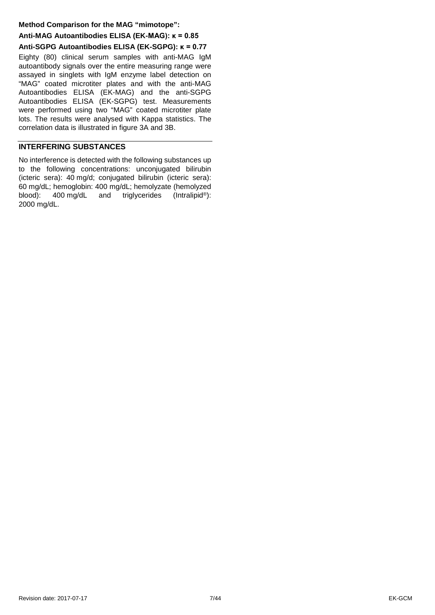#### **Method Comparison for the MAG "mimotope":**

#### **Anti-MAG Autoantibodies ELISA (EK-MAG): κ = 0.85 Anti-SGPG Autoantibodies ELISA (EK-SGPG): κ = 0.77**

Eighty (80) clinical serum samples with anti-MAG IgM autoantibody signals over the entire measuring range were assayed in singlets with IgM enzyme label detection on "MAG" coated microtiter plates and with the anti-MAG Autoantibodies ELISA (EK-MAG) and the anti-SGPG Autoantibodies ELISA (EK-SGPG) test. Measurements were performed using two "MAG" coated microtiter plate lots. The results were analysed with Kappa statistics. The correlation data is illustrated in figure 3A and 3B.

#### <span id="page-6-0"></span>**INTERFERING SUBSTANCES**

No interference is detected with the following substances up to the following concentrations: unconjugated bilirubin (icteric sera): 40 mg/d; conjugated bilirubin (icteric sera): 60 mg/dL; hemoglobin: 400 mg/dL; hemolyzate (hemolyzed blood): 400 mg/dL and triglycerides (Intralipid<sup>®</sup>): 2000 mg/dL.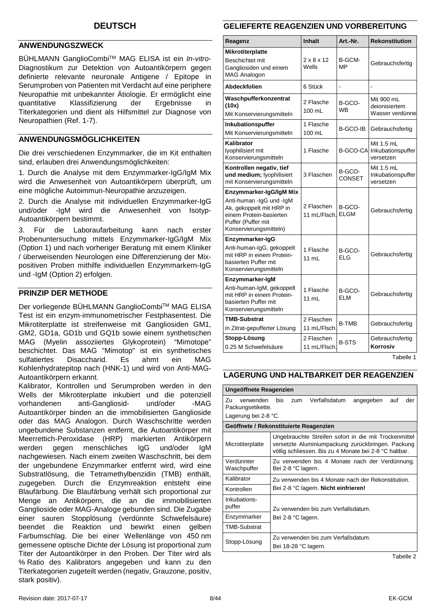#### <span id="page-7-0"></span>**ANWENDUNGSZWECK**

BÜHLMANN GanglioCombiTM MAG ELISA ist ein *In*-*vitro*-Diagnostikum zur Detektion von Autoantikörpern gegen definierte relevante neuronale Antigene / Epitope in Serumproben von Patienten mit Verdacht auf eine periphere Neuropathie mit unbekannter Ätiologie. Er ermöglicht eine<br>
auantitative Klassifizierung der Ergebnisse in Klassifizierung der Ergebnisse in Titerkategorien und dient als Hilfsmittel zur Diagnose von Neuropathien (Ref. 1-7).

#### **ANWENDUNGSMÖGLICHKEITEN**

Die drei verschiedenen Enzymmarker, die im Kit enthalten sind, erlauben drei Anwendungsmöglichkeiten:

1. Durch die Analyse mit dem Enzymmarker-IgG/IgM Mix wird die Anwesenheit von Autoantikörpern überprüft, um eine mögliche Autoimmun-Neuropathie anzuzeigen.

2. Durch die Analyse mit individuellen Enzymmarker-IgG und/oder -IgM wird die Anwesenheit von Isotyp-Autoantikörpern bestimmt.

3. Für die Laboraufarbeitung kann nach erster Probenuntersuchung mittels Enzymmarker-IgG/IgM Mix (Option 1) und nach vorheriger Beratung mit einem Kliniker / überweisenden Neurologen eine Differenzierung der Mixpositiven Proben mithilfe individuellen Enzymmarkern-IgG und -IgM (Option 2) erfolgen.

#### **PRINZIP DER METHODE**

Der vorliegende BÜHLMANN GanglioCombi™ MAG ELISA Test ist ein enzym-immunometrischer Festphasentest. Die Mikrotiterplatte ist streifenweise mit Gangliosiden GM1, GM2, GD1a, GD1b und GQ1b sowie einem synthetischen MAG (Myelin assoziiertes Glykoprotein) "Mimotope" beschichtet. Das MAG "Mimotop" ist ein synthetisches sulfatiertes Disaccharid. Es ahmt ein MAG Kohlenhydratepitop nach (HNK-1) und wird von Anti-MAG-Autoantikörpern erkannt.

Kalibrator, Kontrollen und Serumproben werden in den Wells der Mikrotiterplatte inkubiert und die potenziell vorhandenen anti-Gangliosid- und/oder -MAG Autoantikörper binden an die immobilisierten Ganglioside oder das MAG Analogon. Durch Waschschritte werden ungebundene Substanzen entfernt, die Autoantikörper mit Meerrettich-Peroxidase (HRP) markierten Antikörpern werden gegen menschliches IgG und/oder IgM nachgewiesen. Nach einem zweiten Waschschritt, bei dem der ungebundene Enzymmarker entfernt wird, wird eine Substratlösung, die Tetramethylbenzidin (TMB) enthält, zugegeben. Durch die Enzymreaktion entsteht eine Blaufärbung. Die Blaufärbung verhält sich proportional zur Menge an Antikörpern, die an die immobilisierten Ganglioside oder MAG-Analoge gebunden sind. Die Zugabe einer sauren Stopplösung (verdünnte Schwefelsäure) beendet die Reaktion und bewirkt einen gelben Farbumschlag. Die bei einer Wellenlänge von 450 nm gemessene optische Dichte der Lösung ist proportional zum Titer der Autoantikörper in den Proben. Der Titer wird als % Ratio des Kalibrators angegeben und kann zu den Titerkategorien zugeteilt werden (negativ, Grauzone, positiv, stark positiv).

#### **GELIEFERTE REAGENZIEN UND VORBEREITUNG**

| Reagenz                                                                                                                                                    | <b>Inhalt</b>                   | Art.-Nr.            | <b>Rekonstitution</b>                          |
|------------------------------------------------------------------------------------------------------------------------------------------------------------|---------------------------------|---------------------|------------------------------------------------|
| <b>Mikrotiterplatte</b><br>Beschichtet mit<br>Gangliosiden und einem<br><b>MAG Analogon</b>                                                                | $2 \times 8 \times 12$<br>Wells | B-GCM-<br>MP        | Gebrauchsfertig                                |
| Abdeckfolien                                                                                                                                               | 6 Stück                         | ÷,                  |                                                |
| Waschpufferkonzentrat<br>(10x)<br>Mit Konservierungsmitteln                                                                                                | 2 Flasche<br>100 mL             | B-GCO-<br><b>WB</b> | Mit 900 mL<br>deionisiertem<br>Wasser verdünne |
| Inkubationspuffer<br>Mit Konservierungsmitteln                                                                                                             | 1 Flasche<br>100 mL             | B-GCO-IB            | Gebrauchsfertig                                |
| Kalibrator<br>lyophilisiert mit<br>Konservierungsmitteln                                                                                                   | 1 Flasche                       | <b>B-GCO-CA</b>     | Mit 1.5 mL<br>Inkubationspuffer<br>versetzen   |
| Kontrollen negativ, tief<br>und medium; lyophilisiert<br>mit Konservierungsmitteln                                                                         | 3 Flaschen                      | B-GCO-<br>CONSET    | Mit 1.5 mL<br>Inkubationspuffer<br>versetzen   |
| Enzymmarker-IgG/IgM Mix<br>Anti-human -IgG und -IgM<br>Ak, gekoppelt mit HRP in<br>einem Protein-basierten<br>Puffer (Puffer mit<br>Konservierungsmitteln) | 2 Flaschen<br>11 mL/Flsch.      | B-GCO-<br>ELGM      | Gebrauchsfertig                                |
| Enzymmarker-IgG<br>Anti-human-IgG, gekoppelt<br>mit HRP in einem Protein-<br>basierten Puffer mit<br>Konservierungsmitteln                                 | 1 Flasche<br>11 mL              | B-GCO-<br>ELG       | Gebrauchsfertig                                |
| Enzymmarker-IgM<br>Anti-human-IgM, gekoppelt<br>mit HRP in einem Protein-<br>basierten Puffer mit<br>Konservierungsmitteln                                 | 1 Flasche<br>11 mL              | B-GCO-<br>ELM       | Gebrauchsfertig                                |
| <b>TMB-Substrat</b><br>in Zitrat-gepufferter Lösung                                                                                                        | 2 Flaschen<br>11 mL/Flsch.      | <b>B-TMB</b>        | Gebrauchsfertig                                |
| Stopp-Lösung<br>0.25 M Schwefelsäure                                                                                                                       | 2 Flaschen<br>11 mL/Flsch.      | <b>B-STS</b>        | Gebrauchsfertig<br>Korrosiv                    |

Tabelle 1

#### **LAGERUNG UND HALTBARKEIT DER REAGENZIEN**

| Ungeöffnete Reagenzien               |                                                                                                                                                                      |
|--------------------------------------|----------------------------------------------------------------------------------------------------------------------------------------------------------------------|
| Zu<br>verwenden<br>Packungsetikette. | Verfallsdatum<br>his<br>angegeben<br>auf<br>der<br>zum                                                                                                               |
| Lagerung bei 2-8 °C.                 |                                                                                                                                                                      |
|                                      | Geöffnete / Rekonstituierte Reagenzien                                                                                                                               |
| Microtiterplatte                     | Ungebrauchte Streifen sofort in die mit Trockenmittel<br>versetzte Aluminiumpackung zurückbringen. Packung<br>völlig schliessen. Bis zu 4 Monate bei 2-8 °C haltbar. |
| Verdünnter<br>Waschpuffer            | Zu verwenden bis 4 Monate nach der Verdünnung.<br>Bei 2-8 °C lagern.                                                                                                 |
| Kalibrator                           | Zu verwenden bis 4 Monate nach der Rekonstitution.                                                                                                                   |
| Kontrollen                           | Bei 2-8 °C lagern. Nicht einfrieren!                                                                                                                                 |
| Inkubations-<br>puffer               | Zu verwenden bis zum Verfallsdatum.                                                                                                                                  |
| Enzymmarker                          | Bei 2-8 °C lagern.                                                                                                                                                   |
| <b>TMB-Substrat</b>                  |                                                                                                                                                                      |
| Stopp-Lösung                         | Zu verwenden bis zum Verfallsdatum.<br>Bei 18-28 °C lagern.                                                                                                          |

Tabelle 2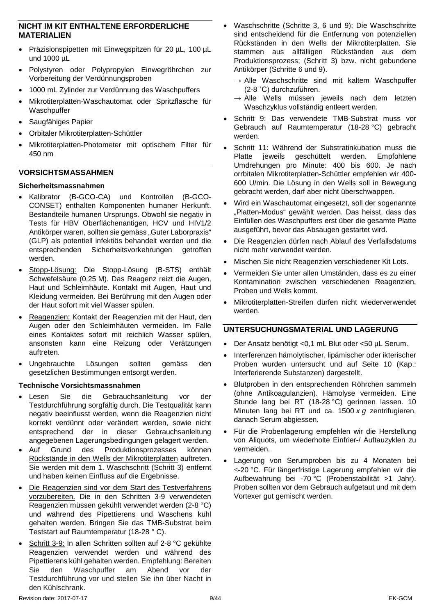#### **NICHT IM KIT ENTHALTENE ERFORDERLICHE MATERIALIEN**

- Präzisionspipetten mit Einwegspitzen für 20 µL, 100 µL und 1000 µL
- Polystyren oder Polypropylen Einwegröhrchen zur Vorbereitung der Verdünnungsproben
- 1000 mL Zylinder zur Verdünnung des Waschpuffers
- Mikrotiterplatten-Waschautomat oder Spritzflasche für **Waschpuffer**
- Saugfähiges Papier
- Orbitaler Mikrotiterplatten-Schüttler
- Mikrotiterplatten-Photometer mit optischem Filter für 450 nm

#### **VORSICHTSMASSAHMEN**

#### **Sicherheitsmassnahmen**

- Kalibrator (B-GCO-CA) und Kontrollen (B-GCO-CONSET) enthalten Komponenten humaner Herkunft. Bestandteile humanen Ursprungs. Obwohl sie negativ in Tests für HBV Oberflächenantigen, HCV und HIV1/2 Antikörper waren, sollten sie gemäss "Guter Laborpraxis" (GLP) als potentiell infektiös behandelt werden und die entsprechenden Sicherheitsvorkehrungen getroffen werden.
- Stopp-Lösung: Die Stopp-Lösung (B-STS) enthält Schwefelsäure (0,25 M). Das Reagenz reizt die Augen, Haut und Schleimhäute. Kontakt mit Augen, Haut und Kleidung vermeiden. Bei Berührung mit den Augen oder der Haut sofort mit viel Wasser spülen.
- Reagenzien: Kontakt der Reagenzien mit der Haut, den Augen oder den Schleimhäuten vermeiden. Im Falle eines Kontaktes sofort mit reichlich Wasser spülen. ansonsten kann eine Reizung oder Verätzungen auftreten.
- Ungebrauchte Lösungen sollten gemäss den gesetzlichen Bestimmungen entsorgt werden.

#### **Technische Vorsichtsmassnahmen**

- Lesen Sie die Gebrauchsanleitung vor der Testdurchführung sorgfältig durch. Die Testqualität kann negativ beeinflusst werden, wenn die Reagenzien nicht korrekt verdünnt oder verändert werden, sowie nicht entsprechend der in dieser Gebrauchsanleitung angegebenen Lagerungsbedingungen gelagert werden.
- Auf Grund des Produktionsprozesses können Rückstände in den Wells der Mikrotiterplatten auftreten. Sie werden mit dem 1. Waschschritt (Schritt 3) entfernt und haben keinen Einfluss auf die Ergebnisse.
- Die Reagenzien sind vor dem Start des Testverfahrens vorzubereiten. Die in den Schritten 3-9 verwendeten Reagenzien müssen gekühlt verwendet werden (2-8 °C) und während des Pipettierens und Waschens kühl gehalten werden. Bringen Sie das TMB-Substrat beim Teststart auf Raumtemperatur (18-28 ° C).
- Schritt 3-9: In allen Schritten sollten auf 2-8 °C gekühlte Reagenzien verwendet werden und während des Pipettierens kühl gehalten werden. Empfehlung: Bereiten Sie den Waschpuffer am Abend vor der Testdurchführung vor und stellen Sie ihn über Nacht in den Kühlschrank.
- Waschschritte (Schritte 3, 6 und 9): Die Waschschritte sind entscheidend für die Entfernung von potenziellen Rückständen in den Wells der Mikrotiterplatten. Sie stammen aus allfälligen Rückständen aus dem Produktionsprozess; (Schritt 3) bzw. nicht gebundene Antikörper (Schritte 6 und 9).
	- $\rightarrow$  Alle Waschschritte sind mit kaltem Waschpuffer (2-8 ˚C) durchzuführen.
	- $\rightarrow$  Alle Wells müssen jeweils nach dem letzten Waschzyklus vollständig entleert werden.
- Schritt 9: Das verwendete TMB-Substrat muss vor Gebrauch auf Raumtemperatur (18-28 °C) gebracht werden.
- Schritt 11: Während der Substratinkubation muss die Platte jeweils geschüttelt werden. Empfohlene Umdrehungen pro Minute: 400 bis 600. Je nach orrbitalen Mikrotiterplatten-Schüttler empfehlen wir 400- 600 U/min. Die Lösung in den Wells soll in Bewegung gebracht werden, darf aber nicht überschwappen.
- Wird ein Waschautomat eingesetzt, soll der sogenannte "Platten-Modus" gewählt werden. Das heisst, dass das Einfüllen des Waschpuffers erst über die gesamte Platte ausgeführt, bevor das Absaugen gestartet wird.
- Die Reagenzien dürfen nach Ablauf des Verfallsdatums nicht mehr verwendet werden.
- Mischen Sie nicht Reagenzien verschiedener Kit Lots.
- Vermeiden Sie unter allen Umständen, dass es zu einer Kontamination zwischen verschiedenen Reagenzien, Proben und Wells kommt.
- Mikrotiterplatten-Streifen dürfen nicht wiederverwendet werden.

#### **UNTERSUCHUNGSMATERIAL UND LAGERUNG**

- Der Ansatz benötigt <0,1 mL Blut oder <50 µL Serum.
- Interferenzen hämolytischer, lipämischer oder ikterischer Proben wurden untersucht und auf Seite 10 (Kap.: Interferierende Substanzen) dargestellt.
- Blutproben in den entsprechenden Röhrchen sammeln (ohne Antikoagulanzien). Hämolyse vermeiden. Eine Stunde lang bei RT (18-28 °C) gerinnen lassen. 10 Minuten lang bei RT und ca. 1500 *x g* zentrifugieren, danach Serum abgiessen.
- Für die Probenlagerung empfehlen wir die Herstellung von Aliquots, um wiederholte Einfrier-/ Auftauzyklen zu vermeiden.
- Lagerung von Serumproben bis zu 4 Monaten bei ≤-20 °C. Für längerfristige Lagerung empfehlen wir die Aufbewahrung bei -70 °C (Probenstabilität >1 Jahr). Proben sollten vor dem Gebrauch aufgetaut und mit dem Vortexer gut gemischt werden.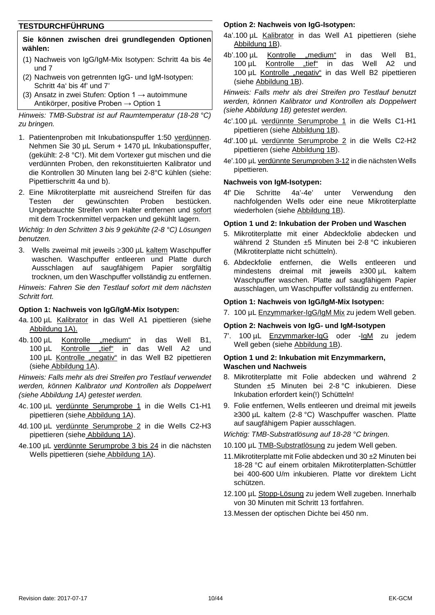#### **TESTDURCHFÜHRUNG**

#### **Sie können zwischen drei grundlegenden Optionen wählen:**

- (1) Nachweis von IgG/IgM-Mix Isotypen: Schritt 4a bis 4e und 7
- (2) Nachweis von getrennten IgG- und IgM-Isotypen: Schritt 4a' bis 4f' und 7'
- (3) Ansatz in zwei Stufen: Option 1  $\rightarrow$  autoimmune Antikörper, positive Proben → Option 1

*Hinweis: TMB-Substrat ist auf Raumtemperatur (18-28 °C) zu bringen.*

- 1. Patientenproben mit Inkubationspuffer 1:50 verdünnen. Nehmen Sie 30 µL Serum + 1470 µL Inkubationspuffer, (gekühlt: 2-8 °C!). Mit dem Vortexer gut mischen und die verdünnten Proben, den rekonstituierten Kalibrator und die Kontrollen 30 Minuten lang bei 2-8°C kühlen (siehe: Pipettierschritt 4a und b).
- 2. Eine Mikrotiterplatte mit ausreichend Streifen für das Testen der gewünschten Proben bestücken. Ungebrauchte Streifen vom Halter entfernen und sofort mit dem Trockenmittel verpacken und gekühlt lagern.

*Wichtig: In den Schritten 3 bis 9 gekühlte (2-8 °C) Lösungen benutzen.*

3. Wells zweimal mit jeweils ≥300 µL kaltem Waschpuffer waschen. Waschpuffer entleeren und Platte durch Ausschlagen auf saugfähigem Papier sorgfältig trocknen, um den Waschpuffer vollständig zu entfernen.

*Hinweis: Fahren Sie den Testlauf sofort mit dem nächsten Schritt fort.*

#### **Option 1: Nachweis von IgG/IgM-Mix Isotypen:**

- 4a.100 µL Kalibrator in das Well A1 pipettieren (siehe Abbildung 1A).
- 4b.100 µL Kontrolle "medium" in das Well B1, 100 µL Kontrolle "tief" in das Well A2 und 100 µL Kontrolle "negativ" in das Well B2 pipettieren (siehe Abbildung 1A).

*Hinweis: Falls mehr als drei Streifen pro Testlauf verwendet werden, können Kalibrator und Kontrollen als Doppelwert (siehe Abbildung 1A) getestet werden.*

- 4c. 100 µL verdünnte Serumprobe 1 in die Wells C1-H1 pipettieren (siehe Abbildung 1A).
- 4d.100 µL verdünnte Serumprobe 2 in die Wells C2-H3 pipettieren (siehe Abbildung 1A).
- 4e.100 µL verdünnte Serumprobe 3 bis 24 in die nächsten Wells pipettieren (siehe Abbildung 1A).

#### **Option 2: Nachweis von IgG-Isotypen:**

- 4a'.100 µL Kalibrator in das Well A1 pipettieren (siehe Abbildung 1B).
- 4b'.100 µL Kontrolle "medium" in das Well B1, 100 µL Kontrolle "tief" in das Well A2 und 100 µL Kontrolle "negativ" in das Well B2 pipettieren (siehe Abbildung 1B).

*Hinweis: Falls mehr als drei Streifen pro Testlauf benutzt werden, können Kalibrator und Kontrollen als Doppelwert (siehe Abbildung 1B) getestet werden.*

- 4c'.100 µL verdünnte Serumprobe 1 in die Wells C1-H1 pipettieren (siehe Abbildung 1B).
- 4d'.100 µL verdünnte Serumprobe 2 in die Wells C2-H2 pipettieren (siehe Abbildung 1B).
- 4e'.100 µL verdünnte Serumproben 3-12 in die nächsten Wells pipettieren.

#### **Nachweis von IgM-Isotypen:**

4f' Die Schritte 4a'-4e' unter Verwendung den nachfolgenden Wells oder eine neue Mikrotiterplatte wiederholen (siehe Abbildung 1B).

#### **Option 1 und 2: Inkubation der Proben und Waschen**

- 5. Mikrotiterplatte mit einer Abdeckfolie abdecken und während 2 Stunden ±5 Minuten bei 2-8 °C inkubieren (Mikrotiterplatte nicht schütteln).
- 6. Abdeckfolie entfernen, die Wells entleeren und mindestens dreimal mit jeweils ≥300 µL kaltem Waschpuffer waschen. Platte auf saugfähigem Papier ausschlagen, um Waschpuffer vollständig zu entfernen.

#### **Option 1: Nachweis von IgG/IgM-Mix Isotypen:**

7. 100 µL Enzymmarker-IgG/IgM Mix zu jedem Well geben.

#### **Option 2: Nachweis von IgG- und IgM-Isotypen**

7'. 100 µL Enzymmarker-IgG oder -IgM zu jedem Well geben (siehe Abbildung 1B).

#### **Option 1 und 2: Inkubation mit Enzymmarkern, Waschen und Nachweis**

- 8. Mikrotiterplatte mit Folie abdecken und während 2 Stunden ±5 Minuten bei 2-8 °C inkubieren. Diese Inkubation erfordert kein(!) Schütteln!
- 9. Folie entfernen, Wells entleeren und dreimal mit jeweils ≥300 µL kaltem (2-8 °C) Waschpuffer waschen. Platte auf saugfähigem Papier ausschlagen.

*Wichtig: TMB-Substratlösung auf 18-28 °C bringen.*

- 10.100 µL TMB-Substratlösung zu jedem Well geben.
- 11.Mikrotiterplatte mit Folie abdecken und 30 ±2 Minuten bei 18-28 °C auf einem orbitalen Mikrotiterplatten-Schüttler bei 400-600 U/m inkubieren. Platte vor direktem Licht schützen.
- 12.100 µL Stopp-Lösung zu jedem Well zugeben. Innerhalb von 30 Minuten mit Schritt 13 fortfahren.

13.Messen der optischen Dichte bei 450 nm.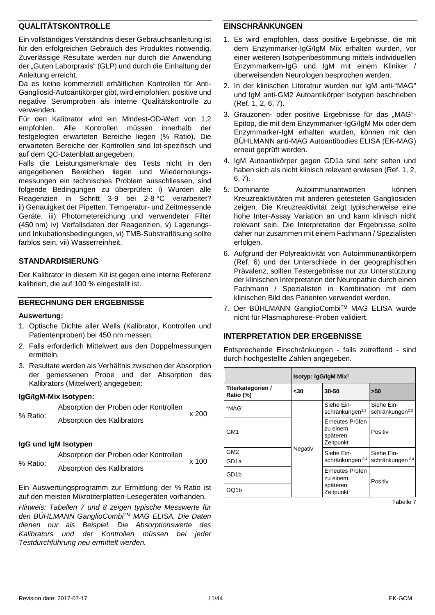#### **QUALITÄTSKONTROLLE**

Ein vollständiges Verständnis dieser Gebrauchsanleitung ist für den erfolgreichen Gebrauch des Produktes notwendig. Zuverlässige Resultate werden nur durch die Anwendung der "Guten Laborpraxis" (GLP) und durch die Einhaltung der Anleitung erreicht.

Da es keine kommerziell erhältlichen Kontrollen für Anti-Gangliosid-Autoantikörper gibt, wird empfohlen, positive und negative Serumproben als interne Qualitätskontrolle zu verwenden.

Für den Kalibrator wird ein Mindest-OD-Wert von 1,2 empfohlen. Alle Kontrollen müssen innerhalb der festgelegten erwarteten Bereiche liegen (% Ratio). Die erwarteten Bereiche der Kontrollen sind lot-spezifisch und auf dem QC-Datenblatt angegeben.

Falls die Leistungsmerkmale des Tests nicht in den angegebenen Bereichen liegen und Wiederholungsmessungen ein technisches Problem ausschliessen, sind folgende Bedingungen zu überprüfen: i) Wurden alle Reagenzien in Schritt 3-9 bei 2-8 °C verarbeitet? ii) Genauigkeit der Pipetten, Temperatur- und Zeitmessende Geräte, iii) Photometereichung und verwendeter Filter (450 nm) iv) Verfallsdaten der Reagenzien, v) Lagerungsund Inkubationsbedingungen, vi) TMB-Substratlösung sollte farblos sein, vii) Wasserreinheit.

#### **STANDARDISIERUNG**

Der Kalibrator in diesem Kit ist gegen eine interne Referenz kalibriert, die auf 100 % eingestellt ist.

#### **BERECHNUNG DER ERGEBNISSE**

#### **Auswertung:**

- 1. Optische Dichte aller Wells (Kalibrator, Kontrollen und Patientenproben) bei 450 nm messen.
- 2. Falls erforderlich Mittelwert aus den Doppelmessungen ermitteln.
- 3. Resultate werden als Verhältnis zwischen der Absorption der gemessenen Probe und der Absorption des Kalibrators (Mittelwert) angegeben:

#### **IgG/IgM-Mix Isotypen:**

|          | Absorption der Proben oder Kontrollen | x 200 |
|----------|---------------------------------------|-------|
| % Ratio: | Absorption des Kalibrators            |       |

#### **IgG und IgM Isotypen**

|          | Absorption der Proben oder Kontrollen | x 100 |
|----------|---------------------------------------|-------|
| % Ratio: | Absorption des Kalibrators            |       |

Ein Auswertungsprogramm zur Ermittlung der % Ratio ist auf den meisten Mikrotiterplatten-Lesegeräten vorhanden.

*Hinweis: Tabellen 7 und 8 zeigen typische Messwerte für den BÜHLMANN GanglioCombiTM MAG ELISA. Die Daten dienen nur als Beispiel. Die Absorptionswerte des Kalibrators und der Kontrollen müssen bei jeder Testdurchführung neu ermittelt werden.*

#### **EINSCHRÄNKUNGEN**

- 1. Es wird empfohlen, dass positive Ergebnisse, die mit dem Enzymmarker-IgG/IgM Mix erhalten wurden, vor einer weiteren Isotypenbestimmung mittels individuellen Enzymmarkern-IgG und IgM mit einem Kliniker / überweisenden Neurologen besprochen werden.
- 2. In der klinischen Literatrur wurden nur IgM anti-"MAG" und IgM anti-GM2 Autoantikörper Isotypen beschrieben (Ref. 1, 2, 6, 7).
- 3. Grauzonen- oder positive Ergebnisse für das "MAG"-Epitop, die mit dem Enzymmarker-IgG/IgM Mix oder dem Enzymmarker-IgM erhalten wurden, können mit den BÜHLMANN anti-MAG Autoantibodies ELISA (EK-MAG) erneut geprüft werden.
- 4. IgM Autoantikörper gegen GD1a sind sehr selten und haben sich als nicht klinisch relevant erwiesen (Ref. 1, 2, 6, 7).
- 5. Dominante Autoimmunantworten können Kreuzreaktivitäten mit anderen getesteten Gangliosiden zeigen. Die Kreuzreaktivität zeigt typischerweise eine hohe Inter-Assay Variation an und kann klinisch nicht relevant sein. Die Interpretation der Ergebnisse sollte daher nur zusammen mit einem Fachmann / Spezialisten erfolgen.
- 6. Aufgrund der Polyreaktivität von Autoimmunantikörpern (Ref. 6) und der Unterschiede in der geographischen Prävalenz, sollten Testergebnisse nur zur Unterstützung der klinischen Interpretation der Neuropathie durch einen Fachmann / Spezialisten in Kombination mit dem klinischen Bild des Patienten verwendet werden.
- 7. Der BÜHLMANN GanglioCombiTM MAG ELISA wurde nicht für Plasmaphorese-Proben validiert.

#### **INTERPRETATION DER ERGEBNISSE**

Entsprechende Einschränkungen - falls zutreffend - sind durch hochgestellte Zahlen angegeben.

|                                | Isotyp: IgG/IgM Mix <sup>1</sup> |                                                      |                                           |         |
|--------------------------------|----------------------------------|------------------------------------------------------|-------------------------------------------|---------|
| Titerkategorien /<br>Ratio (%) | -30                              | 30-50                                                | >50                                       |         |
| "MAG"                          |                                  | Siehe Ein-<br>schränkungen <sup>2,3</sup>            | Siehe Ein-<br>schränkungen <sup>2,3</sup> |         |
| GM <sub>1</sub>                |                                  | Erneutes Prüfen<br>zu einem<br>späteren<br>Zeitpunkt | Positiv                                   |         |
| GM <sub>2</sub>                | Negativ                          | Siehe Ein-                                           | Siehe Ein-                                |         |
| GD1a                           |                                  | schränkungen <sup>2,4</sup>                          | schränkungen <sup>2,4</sup>               |         |
| GD <sub>1</sub> b              |                                  |                                                      | Erneutes Prüfen<br>zu einem               | Positiv |
| GQ1b                           |                                  | späteren<br>Zeitpunkt                                |                                           |         |

Tabelle 7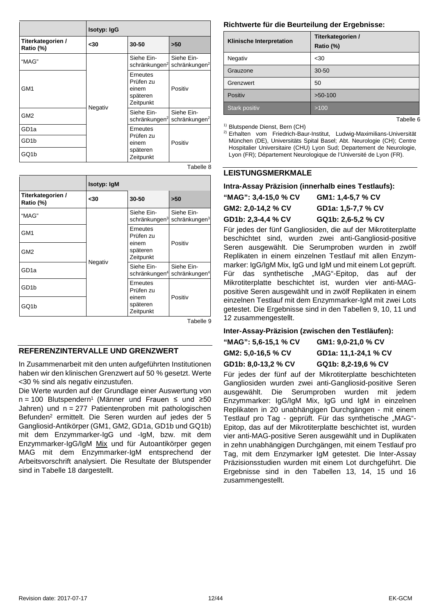|                                | Isotyp: IgG |                                                         |                                         |
|--------------------------------|-------------|---------------------------------------------------------|-----------------------------------------|
| Titerkategorien /<br>Ratio (%) | $30$        | 30-50                                                   | >50                                     |
| "MAG"                          |             | Siehe Ein-<br>schränkungen <sup>2</sup>                 | Siehe Ein-<br>schränkungen <sup>2</sup> |
| GM <sub>1</sub>                | Negativ     | Erneutes<br>Prüfen zu<br>einem<br>späteren<br>Zeitpunkt | Positiv                                 |
| GM <sub>2</sub>                |             | Siehe Ein-<br>schränkungen <sup>2</sup>                 | Siehe Ein-<br>schränkungen <sup>2</sup> |
| GD <sub>1a</sub>               |             | Erneutes                                                |                                         |
| GD <sub>1</sub> b              |             | Prüfen zu<br>einem                                      | Positiv                                 |
| GQ1b                           |             | späteren<br>Zeitpunkt                                   |                                         |
|                                |             |                                                         | R Allaha R                              |

|                                | Isotyp: IgM |                                         |                                         |
|--------------------------------|-------------|-----------------------------------------|-----------------------------------------|
| Titerkategorien /<br>Ratio (%) | -30         | 30-50                                   | >50                                     |
| "MAG"                          |             | Siehe Ein-<br>schränkungen <sup>3</sup> | Siehe Ein-<br>schränkungen <sup>3</sup> |
| GM <sub>1</sub>                | Negativ     | Erneutes<br>Prüfen zu                   |                                         |
| GM <sub>2</sub>                |             | einem<br>späteren<br>Zeitpunkt          | Positiv                                 |
| GD <sub>1a</sub>               |             | Siehe Ein-<br>schränkungen <sup>4</sup> | Siehe Ein-<br>schränkungen <sup>4</sup> |
| GD <sub>1</sub> b              |             | Erneutes<br>Prüfen zu                   |                                         |
| GQ1b                           |             | einem<br>späteren<br>Zeitpunkt          | Positiv                                 |

Tabelle 9

#### **REFERENZINTERVALLE UND GRENZWERT**

In Zusammenarbeit mit den unten aufgeführten Institutionen haben wir den klinischen Grenzwert auf 50 % gesetzt. Werte <30 % sind als negativ einzustufen.

Die Werte wurden auf der Grundlage einer Auswertung von n = 100 Blutspendern<sup>1</sup> (Männer und Frauen ≤ und ≥50 Jahren) und n = 277 Patientenproben mit pathologischen Befunden2 ermittelt. Die Seren wurden auf jedes der 5 Gangliosid-Antikörper (GM1, GM2, GD1a, GD1b und GQ1b) mit dem Enzymmarker-IgG und -IgM, bzw. mit dem Enzymmarker-IgG/IgM Mix und für Autoantikörper gegen MAG mit dem Enzymmarker-IgM entsprechend der Arbeitsvorschrift analysiert. Die Resultate der Blutspender sind in Tabelle 18 dargestellt.

#### **Richtwerte für die Beurteilung der Ergebnisse:**

| <b>Klinische Interpretation</b> | Titerkategorien /<br>Ratio (%) |
|---------------------------------|--------------------------------|
| Negativ                         | $30$                           |
| Grauzone                        | $30 - 50$                      |
| Grenzwert                       | 50                             |
| Positiv                         | $>50-100$                      |
| Stark positiv                   | >100                           |

1) Blutspende Dienst, Bern (CH)

2) Erhalten vom Friedrich-Baur-Institut, Ludwig-Maximilians-Universität München (DE), Universitäts Spital Basel; Abt. Neurologie (CH); Centre Hospitalier Universitaire (CHU) Lyon Sud; Departement de Neurologie, Lyon (FR); Département Neurologique de l'Université de Lyon (FR).

Tabelle 6

#### **LEISTUNGSMERKMALE**

#### **Intra-Assay Präzision (innerhalb eines Testlaufs):**

| "MAG": 3,4-15,0 % CV | GM1: 1,4-5,7 % CV  |
|----------------------|--------------------|
| GM2: 2.0-14.2 % CV   | GD1a: 1,5-7,7 % CV |
| GD1b: 2,3-4,4 % CV   | GQ1b: 2.6-5.2 % CV |

Für jedes der fünf Gangliosiden, die auf der Mikrotiterplatte beschichtet sind, wurden zwei anti-Gangliosid-positive Seren ausgewählt. Die Serumproben wurden in zwölf Replikaten in einem einzelnen Testlauf mit allen Enzymmarker: IgG/IgM Mix, IgG und IgM und mit einem Lot geprüft. Für das synthetische "MAG"-Epitop, das auf der Mikrotiterplatte beschichtet ist, wurden vier anti-MAGpositive Seren ausgewählt und in zwölf Replikaten in einem einzelnen Testlauf mit dem Enzymmarker-IgM mit zwei Lots getestet. Die Ergebnisse sind in den Tabellen 9, 10, 11 und 12 zusammengestellt.

#### **Inter-Assay-Präzision (zwischen den Testläufen):**

| "MAG": 5.6-15.1 % CV | GM1: 9.0-21.0 % CV   |
|----------------------|----------------------|
| GM2: 5.0-16.5 % CV   | GD1a: 11,1-24,1 % CV |
| GD1b: 8,0-13,2 % CV  | GQ1b: 8,2-19,6 % CV  |

Für jedes der fünf auf der Mikrotiterplatte beschichteten Gangliosiden wurden zwei anti-Gangliosid-positive Seren ausgewählt. Die Serumproben wurden mit jedem Enzymmarker: IgG/IgM Mix, IgG und IgM in einzelnen Replikaten in 20 unabhängigen Durchgängen - mit einem Testlauf pro Tag - geprüft. Für das synthetische "MAG"-Epitop, das auf der Mikrotiterplatte beschichtet ist, wurden vier anti-MAG-positive Seren ausgewählt und in Duplikaten in zehn unabhängigen Durchgängen, mit einem Testlauf pro Tag, mit dem Enzymarker IgM getestet. Die Inter-Assay Präzisionsstudien wurden mit einem Lot durchgeführt. Die Ergebnisse sind in den Tabellen 13, 14, 15 und 16 zusammengestellt.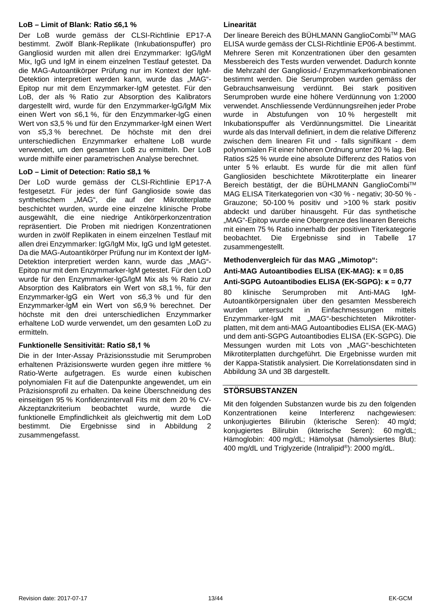#### **LoB – Limit of Blank: Ratio ≤6,1 %**

Der LoB wurde gemäss der CLSI-Richtlinie EP17-A bestimmt. Zwölf Blank-Replikate (Inkubationspuffer) pro Gangliosid wurden mit allen drei Enzymmarker: IgG/IgM Mix, IgG und IgM in einem einzelnen Testlauf getestet. Da die MAG-Autoantikörper Prüfung nur im Kontext der IgM-Detektion interpretiert werden kann, wurde das "MAG"-Epitop nur mit dem Enzymmarker-IgM getestet. Für den LoB, der als % Ratio zur Absorption des Kalibrators dargestellt wird, wurde für den Enzymmarker-lgG/lgM Mix einen Wert von ≤6,1 %, für den Enzymmarker-lgG einen Wert von ≤3,5 % und für den Enzymmarker-lgM einen Wert von ≤5,3 % berechnet. De höchste mit den drei unterschiedlichen Enzymmarker erhaltene LoB wurde verwendet, um den gesamten LoB zu ermitteln. Der LoB wurde mithilfe einer parametrischen Analyse berechnet.

#### **LoD – Limit of Detection: Ratio ≤8,1 %**

Der LoD wurde gemäss der CLSI-Richtlinie EP17-A festgesetzt. Für jedes der fünf Ganglioside sowie das synthetischem "MAG", die auf der Mikrotiterplatte beschichtet wurden, wurde eine einzelne klinische Probe ausgewählt, die eine niedrige Antikörperkonzentration repräsentiert. Die Proben mit niedrigen Konzentrationen wurden in zwölf Replikaten in einem einzelnen Testlauf mit allen drei Enzymmarker: IgG/IgM Mix, IgG und IgM getestet. Da die MAG-Autoantikörper Prüfung nur im Kontext der IgM-Detektion interpretiert werden kann, wurde das "MAG"-Epitop nur mit dem Enzymmarker-IgM getestet. Für den LoD wurde für den Enzymmarker-lgG/lgM Mix als % Ratio zur Absorption des Kalibrators ein Wert von ≤8,1 %, für den Enzymmarker-lgG ein Wert von ≤6,3 % und für den Enzymmarker-lgM ein Wert von ≤6,9 % berechnet. Der höchste mit den drei unterschiedlichen Enzymmarker erhaltene LoD wurde verwendet, um den gesamten LoD zu ermitteln.

#### **Funktionelle Sensitivität: Ratio ≤8,1 %**

Die in der Inter-Assay Präzisionsstudie mit Serumproben erhaltenen Präzisionswerte wurden gegen ihre mittlere % Ratio-Werte aufgetragen. Es wurde einen kubischen polynomialen Fit auf die Datenpunkte angewendet, um ein Präzisionsprofil zu erhalten. Da keine Überschneidung des einseitigen 95 % Konfidenzintervall Fits mit dem 20 % CV-Akzeptanzkriterium beobachtet wurde, wurde die funktionelle Empfindlichkeit als gleichwertig mit dem LoD bestimmt. Die Ergebnisse sind in Abbildung 2 zusammengefasst.

#### **Linearität**

Der lineare Bereich des BÜHLMANN GanglioCombi™ MAG ELISA wurde gemäss der CLSI-Richtlinie EP06-A bestimmt. Mehrere Seren mit Konzentrationen über den gesamten Messbereich des Tests wurden verwendet. Dadurch konnte die Mehrzahl der Gangliosid-/ Enzymmarkerkombinationen bestimmt werden. Die Serumproben wurden gemäss der Gebrauchsanweisung verdünnt. Bei stark positiven Serumproben wurde eine höhere Verdünnung von 1:2000 verwendet. Anschliessende Verdünnungsreihen jeder Probe wurde in Abstufungen von 10 % hergestellt mit Inkubationspuffer als Verdünnungsmittel. Die Linearität wurde als das Intervall definiert, in dem die relative Differenz zwischen dem linearen Fit und - falls signifikant - dem polynomialen Fit einer höheren Ordnung unter 20 % lag. Bei Ratios ≤25 % wurde eine absolute Differenz des Ratios von unter 5 % erlaubt. Es wurde für die mit allen fünf Gangliosiden beschichtete Mikrotiterplatte ein linearer Bereich bestätigt, der die BÜHLMANN GanglioCombiTM MAG ELISA Titerkategorien von <30 % - negativ; 30-50 % - Grauzone; 50-100 % positiv und >100 % stark positiv abdeckt und darüber hinausgeht. Für das synthetische "MAG"-Epitop wurde eine Obergrenze des linearen Bereichs mit einem 75 % Ratio innerhalb der positiven Titerkategorie beobachtet. Die Ergebnisse sind in Tabelle 17 zusammengestellt.

#### **Methodenvergleich für das MAG "Mimotop":**

#### **Anti-MAG Autoantibodies ELISA (EK-MAG): κ = 0,85**

**Anti-SGPG Autoantibodies ELISA (EK-SGPG): κ = 0,77** 80 klinische Serumproben mit Anti-MAG IgM-Autoantikörpersignalen über den gesamten Messbereich wurden untersucht in Einfachmessungen mittels Enzymmarker-IgM mit "MAG"-beschichteten Mikrotiterplatten, mit dem anti-MAG Autoantibodies ELISA (EK-MAG) und dem anti-SGPG Autoantibodies ELISA (EK-SGPG). Die Messungen wurden mit Lots von "MAG"-beschichteten Mikrotiterplatten durchgeführt. Die Ergebnisse wurden mit der Kappa-Statistik analysiert. Die Korrelationsdaten sind in Abbildung 3A und 3B dargestellt.

#### **STÖRSUBSTANZEN**

Mit den folgenden Substanzen wurde bis zu den folgenden Konzentrationen keine Interferenz nachgewiesen: unkonjugiertes Bilirubin (ikterische Seren): 40 mg/d; konjugiertes Bilirubin (ikterische Seren): 60 mg/dL; Hämoglobin: 400 mg/dL; Hämolysat (hämolysiertes Blut): 400 mg/dL und Triglyzeride (Intralipid®): 2000 mg/dL.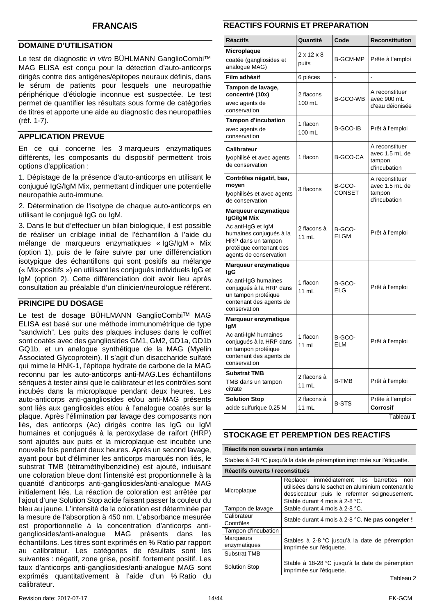#### <span id="page-13-0"></span>**DOMAINE D'UTILISATION**

Le test de diagnostic *in vitro* BÜHLMANN GanglioCombi™ MAG ELISA est conçu pour la détection d'auto-anticorps dirigés contre des antigènes/épitopes neuraux définis, dans le sérum de patients pour lesquels une neuropathie périphérique d'étiologie inconnue est suspectée. Le test permet de quantifier les résultats sous forme de catégories de titres et apporte une aide au diagnostic des neuropathies (réf. 1-7).

#### **APPLICATION PREVUE**

En ce qui concerne les 3 marqueurs enzymatiques différents, les composants du dispositif permettent trois options d'application :

1. Dépistage de la présence d'auto-anticorps en utilisant le conjugué IgG/IgM Mix, permettant d'indiquer une potentielle neuropathie auto-immune.

2. Détermination de l'isotype de chaque auto-anticorps en utilisant le conjugué IgG ou IgM.

3. Dans le but d'effectuer un bilan biologique, il est possible de réaliser un criblage initial de l'échantillon à l'aide du mélange de marqueurs enzymatiques « IgG/IgM » Mix (option 1), puis de le faire suivre par une différenciation isotypique des échantillons qui sont positifs au mélange (« Mix-positifs ») en utilisant les conjugués individuels IgG et IgM (option 2). Cette différenciation doit avoir lieu après consultation au préalable d'un clinicien/neurologue référent.

#### **PRINCIPE DU DOSAGE**

Le test de dosage BÜHLMANN GanglioCombi™ MAG ELISA est basé sur une méthode immunométrique de type "sandwich". Les puits des plaques incluses dans le coffret sont coatés avec des gangliosides GM1, GM2, GD1a, GD1b GQ1b, et un analogue synthétique de la MAG (Myelin Associated Glycoprotein). Il s'agit d'un disaccharide sulfaté qui mime le HNK-1, l'épitope hydrate de carbone de la MAG reconnu par les auto-anticorps anti-MAG.Les échantillons sériques à tester ainsi que le calibrateur et les contrôles sont incubés dans la microplaque pendant deux heures. Les auto-anticorps anti-gangliosides et/ou anti-MAG présents sont liés aux gangliosides et/ou à l'analogue coatés sur la plaque. Après l'élimination par lavage des composants non liés, des anticorps (Ac) dirigés contre les IgG ou IgM humaines et conjugués à la peroxydase de raifort (HRP) sont ajoutés aux puits et la microplaque est incubée une nouvelle fois pendant deux heures. Après un second lavage, ayant pour but d'éliminer les anticorps marqués non liés, le substrat TMB (tétraméthylbenzidine) est ajouté, induisant une coloration bleue dont l'intensité est proportionnelle à la quantité d'anticorps anti-gangliosides/anti-analogue MAG initialement liés. La réaction de coloration est arrêtée par l'ajout d'une Solution Stop acide faisant passer la couleur du bleu au jaune. L'intensité de la coloration est déterminée par la mesure de l'absorption à 450 nm. L'absorbance mesurée est proportionnelle à la concentration d'anticorps antigangliosides/anti-analogue MAG présents dans les échantillons. Les titres sont exprimés en % Ratio par rapport au calibrateur. Les catégories de résultats sont les suivantes : négatif, zone grise, positif, fortement positif. Les taux d'anticorps anti-gangliosides/anti-analogue MAG sont exprimés quantitativement à l'aide d'un % Ratio du calibrateur.

#### **REACTIFS FOURNIS ET PREPARATION**

| <b>Réactifs</b>                                                                                                                                                 | Quantité                        | Code                  | <b>Reconstitution</b>                                      |
|-----------------------------------------------------------------------------------------------------------------------------------------------------------------|---------------------------------|-----------------------|------------------------------------------------------------|
| Microplaque<br>coatée (gangliosides et<br>analogue MAG)                                                                                                         | $2 \times 12 \times 8$<br>puits | <b>B-GCM-MP</b>       | Prête à l'emploi                                           |
| Film adhésif                                                                                                                                                    | 6 pièces                        | $\overline{a}$        | ÷                                                          |
| Tampon de lavage,<br>concentré (10x)<br>avec agents de<br>conservation                                                                                          | 2 flacons<br>100 mL             | <b>B-GCO-WB</b>       | A reconstituer<br>avec 900 mL<br>d'eau déionisée           |
| Tampon d'incubation<br>avec agents de<br>conservation                                                                                                           | 1 flacon<br>100 mL              | <b>B-GCO-IB</b>       | Prêt à l'emploi                                            |
| Calibrateur<br>lyophilisé et avec agents<br>de conservation                                                                                                     | 1 flacon                        | <b>B-GCO-CA</b>       | A reconstituer<br>avec 1.5 mL de<br>tampon<br>d'incubation |
| Contrôles négatif, bas,<br>moyen<br>lyophilisés et avec agents<br>de conservation                                                                               | 3 flacons                       | B-GCO-<br>CONSET      | A reconstituer<br>avec 1.5 mL de<br>tampon<br>d'incubation |
| Marqueur enzymatique<br>IgG/IgM Mix<br>Ac anti-IgG et IgM<br>humaines conjugués à la<br>HRP dans un tampon<br>protéique contenant des<br>agents de conservation | 2 flacons à<br>11 mL            | B-GCO-<br><b>ELGM</b> | Prêt à l'emploi                                            |
| Marqueur enzymatique<br>lgG<br>Ac anti-IgG humaines<br>conjugués à la HRP dans<br>un tampon protéique<br>contenant des agents de<br>conservation                | 1 flacon<br>11 mL               | B-GCO-<br>ELG         | Prêt à l'emploi                                            |
| Marqueur enzymatique<br>lgM<br>Ac anti-IgM humaines<br>conjugués à la HRP dans<br>un tampon protéique<br>contenant des agents de<br>conservation                | 1 flacon<br>11 mL               | B-GCO-<br>ELM         | Prêt à l'emploi                                            |
| <b>Substrat TMB</b><br>TMB dans un tampon<br>citrate                                                                                                            | 2 flacons à<br>$11$ mL          | <b>B-TMB</b>          | Prêt à l'emploi                                            |
| <b>Solution Stop</b><br>acide sulfurique 0.25 M                                                                                                                 | 2 flacons à<br>11 mL            | <b>B-STS</b>          | Prête à l'emploi<br><b>Corrosif</b>                        |

Tableau 1

#### **STOCKAGE ET PEREMPTION DES REACTIFS**

| Réactifs non ouverts / non entamés                                       |                                                                                                                                                                                        |  |  |
|--------------------------------------------------------------------------|----------------------------------------------------------------------------------------------------------------------------------------------------------------------------------------|--|--|
| Stables à 2-8 °C jusqu'à la date de péremption imprimée sur l'étiquette. |                                                                                                                                                                                        |  |  |
| Réactifs ouverts / reconstitués                                          |                                                                                                                                                                                        |  |  |
| Microplaque                                                              | Replacer immédiatement les<br>barrettes<br>non<br>utilisées dans le sachet en aluminium contenant le<br>dessiccateur puis le refermer soigneusement.<br>Stable durant 4 mois à 2-8 °C. |  |  |
| Tampon de lavage                                                         | Stable durant 4 mois à 2-8 °C.                                                                                                                                                         |  |  |
| Calibrateur<br>Contrôles                                                 | Stable durant 4 mois à 2-8 °C. Ne pas congeler !                                                                                                                                       |  |  |
| Tampon d'incubation                                                      |                                                                                                                                                                                        |  |  |
| Marqueurs<br>enzymatiques                                                | Stables à 2-8 °C jusqu'à la date de péremption<br>imprimée sur l'étiquette.                                                                                                            |  |  |
| <b>Substrat TMB</b>                                                      |                                                                                                                                                                                        |  |  |
| <b>Solution Stop</b>                                                     | Stable à 18-28 °C jusqu'à la date de péremption<br>imprimée sur l'étiquette.                                                                                                           |  |  |
|                                                                          | $T - L L - L$                                                                                                                                                                          |  |  |

Tableau 2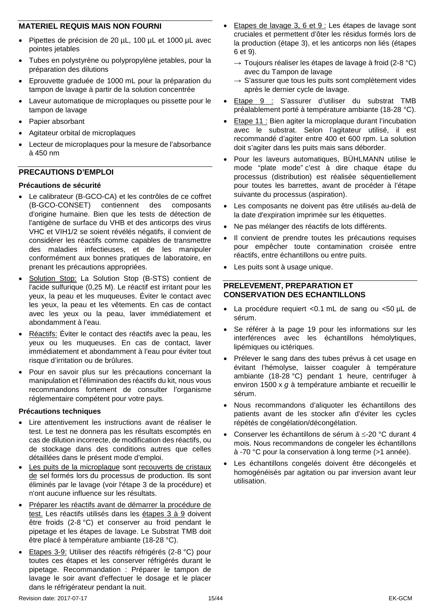#### **MATERIEL REQUIS MAIS NON FOURNI**

- Pipettes de précision de 20 µL, 100 µL et 1000 µL avec pointes jetables
- Tubes en polystyrène ou polypropylène jetables, pour la préparation des dilutions
- Eprouvette graduée de 1000 mL pour la préparation du tampon de lavage à partir de la solution concentrée
- Laveur automatique de microplaques ou pissette pour le tampon de lavage
- Papier absorbant
- Agitateur orbital de microplaques
- Lecteur de microplaques pour la mesure de l'absorbance à 450 nm

#### **PRECAUTIONS D'EMPLOI**

#### **Précautions de sécurité**

- Le calibrateur (B-GCO-CA) et les contrôles de ce coffret (B-GCO-CONSET) contiennent des composants d'origine humaine. Bien que les tests de détection de l'antigène de surface du VHB et des anticorps des virus VHC et VIH1/2 se soient révélés négatifs, il convient de considérer les réactifs comme capables de transmettre des maladies infectieuses, et de les manipuler conformément aux bonnes pratiques de laboratoire, en prenant les précautions appropriées.
- Solution Stop: La Solution Stop (B-STS) contient de l'acide sulfurique (0,25 M). Le réactif est irritant pour les yeux, la peau et les muqueuses. Éviter le contact avec les yeux, la peau et les vêtements. En cas de contact avec les yeux ou la peau, laver immédiatement et abondamment à l'eau.
- Réactifs: Éviter le contact des réactifs avec la peau, les yeux ou les muqueuses. En cas de contact, laver immédiatement et abondamment à l'eau pour éviter tout risque d'irritation ou de brûlures.
- Pour en savoir plus sur les précautions concernant la manipulation et l'élimination des réactifs du kit, nous vous recommandons fortement de consulter l'organisme réglementaire compétent pour votre pays.

#### **Précautions techniques**

- Lire attentivement les instructions avant de réaliser le test. Le test ne donnera pas les résultats escomptés en cas de dilution incorrecte, de modification des réactifs, ou de stockage dans des conditions autres que celles détaillées dans le présent mode d'emploi.
- Les puits de la microplaque sont recouverts de cristaux de sel formés lors du processus de production. Ils sont éliminés par le lavage (voir l'étape 3 de la procédure) et n'ont aucune influence sur les résultats.
- Préparer les réactifs avant de démarrer la procédure de test. Les réactifs utilisés dans les étapes 3 à 9 doivent être froids (2-8 °C) et conserver au froid pendant le pipetage et les étapes de lavage. Le Substrat TMB doit être placé à température ambiante (18-28 °C).
- Etapes 3-9: Utiliser des réactifs réfrigérés (2-8 °C) pour toutes ces étapes et les conserver réfrigérés durant le pipetage. Recommandation : Préparer le tampon de lavage le soir avant d'effectuer le dosage et le placer dans le réfrigérateur pendant la nuit.
- Etapes de lavage 3, 6 et 9 : Les étapes de lavage sont cruciales et permettent d'ôter les résidus formés lors de la production (étape 3), et les anticorps non liés (étapes 6 et 9).
	- $\rightarrow$  Toujours réaliser les étapes de lavage à froid (2-8 °C) avec du Tampon de lavage
	- $\rightarrow$  S'assurer que tous les puits sont complètement vides après le dernier cycle de lavage.
- Etape 9 : S'assurer d'utiliser du substrat TMB préalablement porté à température ambiante (18-28 °C).
- Etape 11 : Bien agiter la microplaque durant l'incubation avec le substrat. Selon l'agitateur utilisé, il est recommandé d'agiter entre 400 et 600 rpm. La solution doit s'agiter dans les puits mais sans déborder.
- Pour les laveurs automatiques, BÜHLMANN utilise le mode "plate mode" c'est à dire chaque étape du processus (distribution) est réalisée séquentiellement pour toutes les barrettes, avant de procéder à l'étape suivante du processus (aspiration).
- Les composants ne doivent pas être utilisés au-delà de la date d'expiration imprimée sur les étiquettes.
- Ne pas mélanger des réactifs de lots différents.
- Il convient de prendre toutes les précautions requises pour empêcher toute contamination croisée entre réactifs, entre échantillons ou entre puits.
- Les puits sont à usage unique.

#### **PRELEVEMENT, PREPARATION ET CONSERVATION DES ECHANTILLONS**

- La procédure requiert <0.1 mL de sang ou <50 µL de sérum.
- Se référer à la page [19](#page-18-0) pour les informations sur les interférences avec les échantillons hémolytiques, lipémiques ou ictériques.
- Prélever le sang dans des tubes prévus à cet usage en évitant l'hémolyse, laisser coaguler à température ambiante (18-28 °C) pendant 1 heure, centrifuger à environ 1500 x *g* à température ambiante et recueillir le sérum.
- Nous recommandons d'aliquoter les échantillons des patients avant de les stocker afin d'éviter les cycles répétés de congélation/décongélation.
- Conserver les échantillons de sérum à ≤-20 °C durant 4 mois. Nous recommandons de congeler les échantillons à -70 °C pour la conservation à long terme (>1 année).
- Les échantillons congelés doivent être décongelés et homogénéisés par agitation ou par inversion avant leur utilisation.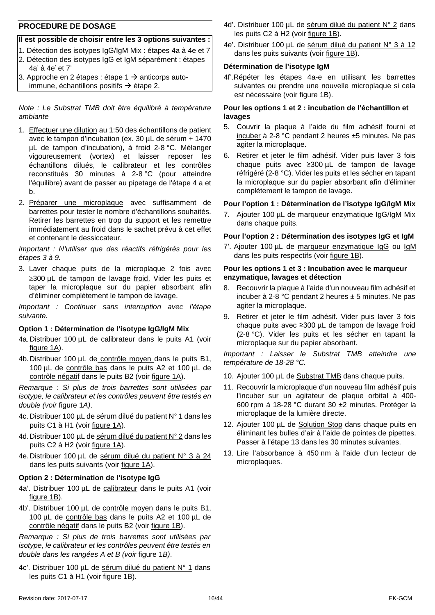#### **PROCEDURE DE DOSAGE**

#### **Il est possible de choisir entre les 3 options suivantes :**

- 1. Détection des isotypes IgG/IgM Mix : étapes 4a à 4e et 7
- 2. Détection des isotypes IgG et IgM séparément : étapes 4a' à 4e' et 7'
- 3. Approche en 2 étapes : étape 1  $\rightarrow$  anticorps autoimmune, échantillons positifs  $\rightarrow$  étape 2.

*Note : Le Substrat TMB doit être équilibré à température ambiante*

- 1. Effectuer une dilution au 1:50 des échantillons de patient avec le tampon d'incubation (ex. 30 µL de sérum + 1470 µL de tampon d'incubation), à froid 2-8 °C. Mélanger vigoureusement (vortex) et laisser reposer les échantillons dilués, le calibrateur et les contrôles reconstitués 30 minutes à 2-8 °C (pour atteindre l'équilibre) avant de passer au pipetage de l'étape 4 a et b.
- 2. Préparer une microplaque avec suffisamment de barrettes pour tester le nombre d'échantillons souhaités. Retirer les barrettes en trop du support et les remettre immédiatement au froid dans le sachet prévu à cet effet et contenant le dessiccateur.

*Important : N'utiliser que des réactifs réfrigérés pour les étapes 3 à 9.*

3. Laver chaque puits de la microplaque 2 fois avec ≥300 µL de tampon de lavage froid. Vider les puits et taper la microplaque sur du papier absorbant afin d'éliminer complètement le tampon de lavage.

*Important : Continuer sans interruption avec l'étape suivante.*

#### **Option 1 : Détermination de l'isotype IgG/IgM Mix**

- 4a. Distribuer 100 µL de calibrateur dans le puits A1 (voir figure 1A).
- 4b.Distribuer 100 µL de contrôle moyen dans le puits B1, 100 µL de contrôle bas dans le puits A2 et 100 µL de contrôle négatif dans le puits B2 (voir figure 1A).

*Remarque : Si plus de trois barrettes sont utilisées par isotype, le calibrateur et les contrôles peuvent être testés en double (voir* figure 1*A)*.

- 4c. Distribuer 100 µL de sérum dilué du patient N° 1 dans les puits C1 à H1 (voir figure 1A).
- 4d.Distribuer 100 µL de sérum dilué du patient N° 2 dans les puits C2 à H2 (voir figure 1A).
- 4e.Distribuer 100 µL de sérum dilué du patient N° 3 à 24 dans les puits suivants (voir figure 1A).

#### **Option 2 : Détermination de l'isotype IgG**

- 4a'. Distribuer 100 µL de calibrateur dans le puits A1 (voir figure 1B).
- 4b'. Distribuer 100 µL de contrôle moyen dans le puits B1, 100 µL de contrôle bas dans le puits A2 et 100 µL de contrôle négatif dans le puits B2 (voir figure 1B).

*Remarque : Si plus de trois barrettes sont utilisées par isotype, le calibrateur et les contrôles peuvent être testés en double dans les rangées A et B (voir* figure 1*B)*.

4c'. Distribuer 100 µL de sérum dilué du patient N° 1 dans les puits C1 à H1 (voir figure 1B).

- 4d'. Distribuer 100 µL de sérum dilué du patient N° 2 dans les puits C2 à H2 (voir figure 1B).
- 4e'. Distribuer 100 µL de sérum dilué du patient N° 3 à 12 dans les puits suivants (voir figure 1B).

#### **Détermination de l'isotype IgM**

4f'.Répéter les étapes 4a-e en utilisant les barrettes suivantes ou prendre une nouvelle microplaque si cela est nécessaire (voir figure 1B).

#### **Pour les options 1 et 2 : incubation de l'échantillon et lavages**

- 5. Couvrir la plaque à l'aide du film adhésif fourni et incuber à 2-8 °C pendant 2 heures ±5 minutes. Ne pas agiter la microplaque.
- 6. Retirer et jeter le film adhésif. Vider puis laver 3 fois chaque puits avec ≥300 µL de tampon de lavage réfrigéré (2-8 °C). Vider les puits et les sécher en tapant la microplaque sur du papier absorbant afin d'éliminer complètement le tampon de lavage.

#### **Pour l'option 1 : Détermination de l'isotype IgG/IgM Mix**

7. Ajouter 100 µL de marqueur enzymatique IgG/IgM Mix dans chaque puits.

#### **Pour l'option 2 : Détermination des isotypes IgG et IgM**

7'. Ajouter 100 µL de marqueur enzymatique IgG ou IgM dans les puits respectifs (voir figure 1B).

#### **Pour les options 1 et 3 : Incubation avec le marqueur enzymatique, lavages et détection**

- 8. Recouvrir la plaque à l'aide d'un nouveau film adhésif et incuber à 2-8 °C pendant 2 heures  $\pm$  5 minutes. Ne pas agiter la microplaque.
- 9. Retirer et jeter le film adhésif. Vider puis laver 3 fois chaque puits avec ≥300 µL de tampon de lavage froid (2-8 °C). Vider les puits et les sécher en tapant la microplaque sur du papier absorbant.

*Important : Laisser le Substrat TMB atteindre une température de 18-28 °C.*

- 10. Ajouter 100 µL de Substrat TMB dans chaque puits.
- 11. Recouvrir la microplaque d'un nouveau film adhésif puis l'incuber sur un agitateur de plaque orbital à 400- 600 rpm à 18-28 °C durant 30 ±2 minutes. Protéger la microplaque de la lumière directe.
- 12. Ajouter 100 µL de Solution Stop dans chaque puits en éliminant les bulles d'air à l'aide de pointes de pipettes. Passer à l'étape 13 dans les 30 minutes suivantes.
- 13. Lire l'absorbance à 450 nm à l'aide d'un lecteur de microplaques.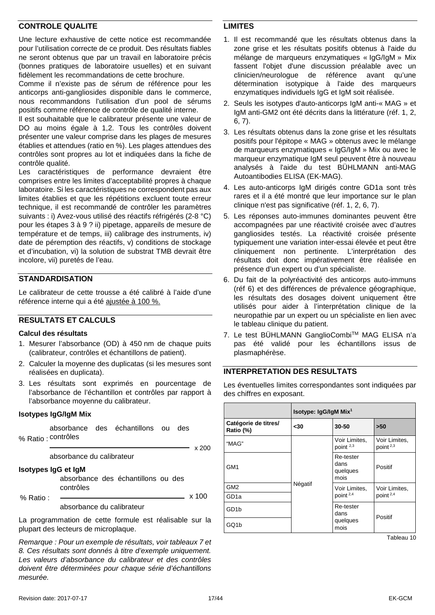#### **CONTROLE QUALITE**

Une lecture exhaustive de cette notice est recommandée pour l'utilisation correcte de ce produit. Des résultats fiables ne seront obtenus que par un travail en laboratoire précis (bonnes pratiques de laboratoire usuelles) et en suivant fidèlement les recommandations de cette brochure.

Comme il n'existe pas de sérum de référence pour les anticorps anti-gangliosides disponible dans le commerce, nous recommandons l'utilisation d'un pool de sérums positifs comme référence de contrôle de qualité interne.

Il est souhaitable que le calibrateur présente une valeur de DO au moins égale à 1,2. Tous les contrôles doivent présenter une valeur comprise dans les plages de mesures établies et attendues (ratio en %). Les plages attendues des contrôles sont propres au lot et indiquées dans la fiche de contrôle qualité.

Les caractéristiques de performance devraient être comprises entre les limites d'acceptabilité propres à chaque laboratoire. Si les caractéristiques ne correspondent pas aux limites établies et que les répétitions excluent toute erreur technique, il est recommandé de contrôler les paramètres suivants : i) Avez-vous utilisé des réactifs réfrigérés (2-8 °C) pour les étapes 3 à 9 ? ii) pipetage, appareils de mesure de température et de temps, iii) calibrage des instruments, iv) date de péremption des réactifs, v) conditions de stockage et d'incubation, vi) la solution de substrat TMB devrait être incolore, vii) puretés de l'eau.

#### **STANDARDISATION**

Le calibrateur de cette trousse a été calibré à l'aide d'une référence interne qui a été ajustée à 100 %.

#### **RESULTATS ET CALCULS**

#### **Calcul des résultats**

- 1. Mesurer l'absorbance (OD) à 450 nm de chaque puits (calibrateur, contrôles et échantillons de patient).
- 2. Calculer la moyenne des duplicatas (si les mesures sont réalisées en duplicata).
- 3. Les résultats sont exprimés en pourcentage de l'absorbance de l'échantillon et contrôles par rapport à l'absorbance moyenne du calibrateur.

#### **Isotypes IgG/IgM Mix**

|           | absorbance des échantillons ou<br>des<br>% Ratio: contrôles            |              |
|-----------|------------------------------------------------------------------------|--------------|
|           | absorbance du calibrateur                                              | $\times$ 200 |
|           | Isotypes IgG et IgM<br>absorbance des échantillons ou des<br>contrôles |              |
| % Ratio : | absorbance du calibrateur                                              | x 100        |

La programmation de cette formule est réalisable sur la plupart des lecteurs de microplaque.

*Remarque : Pour un exemple de résultats, voir tableaux 7 et 8. Ces résultats sont donnés à titre d'exemple uniquement. Les valeurs d'absorbance du calibrateur et des contrôles doivent être déterminées pour chaque série d'échantillons mesurée.* 

#### **LIMITES**

- 1. Il est recommandé que les résultats obtenus dans la zone grise et les résultats positifs obtenus à l'aide du mélange de marqueurs enzymatiques « IgG/IgM » Mix fassent l'objet d'une discussion préalable avec un clinicien/neurologue de référence avant qu'une détermination isotypique à l'aide des marqueurs enzymatiques individuels IgG et IgM soit réalisée.
- 2. Seuls les isotypes d'auto-anticorps IgM anti-« MAG » et IgM anti-GM2 ont été décrits dans la littérature (réf. 1, 2, 6, 7).
- 3. Les résultats obtenus dans la zone grise et les résultats positifs pour l'épitope « MAG » obtenus avec le mélange de marqueurs enzymatiques « IgG/IgM » Mix ou avec le marqueur enzymatique IgM seul peuvent être à nouveau analysés à l'aide du test BÜHLMANN anti-MAG Autoantibodies ELISA (EK-MAG).
- 4. Les auto-anticorps IgM dirigés contre GD1a sont très rares et il a été montré que leur importance sur le plan clinique n'est pas significative (réf. 1, 2, 6, 7).
- 5. Les réponses auto-immunes dominantes peuvent être accompagnées par une réactivité croisée avec d'autres gangliosides testés. La réactivité croisée présente typiquement une variation inter-essai élevée et peut être cliniquement non pertinente. L'interprétation des résultats doit donc impérativement être réalisée en présence d'un expert ou d'un spécialiste.
- 6. Du fait de la polyréactivité des anticorps auto-immuns (réf 6) et des différences de prévalence géographique, les résultats des dosages doivent uniquement être utilisés pour aider à l'interprétation clinique de la neuropathie par un expert ou un spécialiste en lien avec le tableau clinique du patient.
- 7. Le test BÜHLMANN GanglioCombiTM MAG ELISA n'a pas été validé pour les échantillons issus de plasmaphérèse.

#### **INTERPRETATION DES RESULTATS**

Les éventuelles limites correspondantes sont indiquées par des chiffres en exposant.

|                                   | Isotype: IgG/IgM Mix <sup>1</sup> |                                       |                              |
|-----------------------------------|-----------------------------------|---------------------------------------|------------------------------|
| Catégorie de titres/<br>Ratio (%) | $30$                              | 30-50                                 | >50                          |
| "MAG"                             |                                   | Voir Limites,<br>point <sup>2,3</sup> | Voir Limites,<br>point $2,3$ |
| GM <sub>1</sub>                   |                                   | Re-tester<br>dans<br>quelques<br>mois | Positif                      |
| GM <sub>2</sub>                   | Négatif                           | Voir Limites,                         | Voir Limites,                |
| GD1a                              |                                   | point $2,4$                           | point $2,4$                  |
| GD <sub>1</sub> b                 |                                   | Re-tester<br>dans                     | Positif                      |
| GQ1b                              |                                   | quelques<br>mois                      |                              |

Tableau 10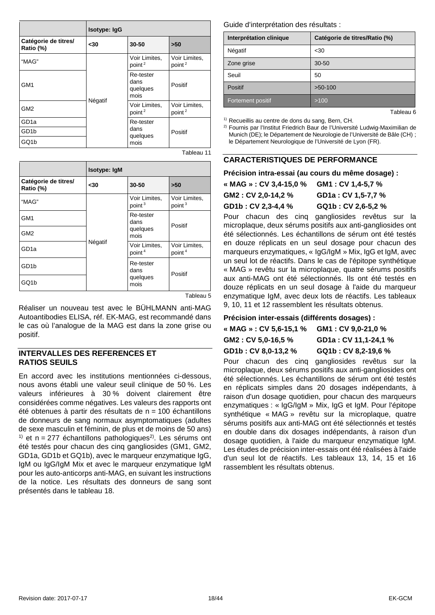|                                   | Isotype: IgG |                                       |                                     |
|-----------------------------------|--------------|---------------------------------------|-------------------------------------|
| Catégorie de titres/<br>Ratio (%) | $30$         | 30-50                                 | >50                                 |
| "MAG"                             |              | Voir Limites,<br>point <sup>2</sup>   | Voir Limites,<br>point <sup>2</sup> |
| GM <sub>1</sub>                   | Négatif      | Re-tester<br>dans<br>quelques<br>mois | Positif                             |
| GM <sub>2</sub>                   |              | Voir Limites,<br>point <sup>2</sup>   | Voir Limites,<br>point <sup>2</sup> |
| GD <sub>1a</sub>                  |              | Re-tester                             |                                     |
| GD <sub>1</sub> b                 |              | dans<br>quelques                      | Positif                             |
| GQ1b                              |              | mois                                  |                                     |

Tableau 11

|                                   | Isotype: IgM |                                       |                                     |
|-----------------------------------|--------------|---------------------------------------|-------------------------------------|
| Catégorie de titres/<br>Ratio (%) | -30          | 30-50                                 | >50                                 |
| "MAG"                             | Négatif      | Voir Limites,<br>point <sup>3</sup>   | Voir Limites,<br>point <sup>3</sup> |
| GM <sub>1</sub>                   |              | Re-tester<br>dans<br>quelques<br>mois | Positif                             |
| GM <sub>2</sub>                   |              |                                       |                                     |
| GD <sub>1a</sub>                  |              | Voir Limites,<br>point <sup>4</sup>   | Voir Limites,<br>point <sup>4</sup> |
| GD <sub>1</sub> b                 |              | Re-tester<br>dans                     | Positif                             |
| GQ1b                              |              | quelques<br>mois                      |                                     |

Tableau 5

Réaliser un nouveau test avec le BÜHLMANN anti-MAG Autoantibodies ELISA, réf. EK-MAG, est recommandé dans le cas où l'analogue de la MAG est dans la zone grise ou positif.

#### **INTERVALLES DES REFERENCES ET RATIOS SEUILS**

En accord avec les institutions mentionnées ci-dessous, nous avons établi une valeur seuil clinique de 50 %. Les valeurs inférieures à 30 % doivent clairement être considérées comme négatives. Les valeurs des rapports ont été obtenues à partir des résultats de  $n = 100$  échantillons de donneurs de sang normaux asymptomatiques (adultes de sexe masculin et féminin, de plus et de moins de 50 ans) <sup>1)</sup> et n = 277 échantillons pathologiques<sup>2)</sup>. Les sérums ont été testés pour chacun des cinq gangliosides (GM1, GM2, GD1a, GD1b et GQ1b), avec le marqueur enzymatique IgG, IgM ou IgG/IgM Mix et avec le marqueur enzymatique IgM pour les auto-anticorps anti-MAG, en suivant les instructions de la notice. Les résultats des donneurs de sang sont présentés dans le tableau 18.

Guide d'interprétation des résultats :

| Interprétation clinique | Catégorie de titres/Ratio (%) |
|-------------------------|-------------------------------|
| Négatif                 | $30$                          |
| Zone grise              | $30 - 50$                     |
| Seuil                   | 50                            |
| Positif                 | $>50-100$                     |
| Fortement positif       | >100                          |
|                         | Tableau 6                     |

<sup>1)</sup> Recueillis au centre de dons du sang, Bern, CH.

2) Fournis par l'Institut Friedrich Baur de l'Université Ludwig-Maximilian de Munich (DE); le Département de Neurologie de l'Université de Bâle (CH) ; le Département Neurologique de l'Université de Lyon (FR).

#### **CARACTERISTIQUES DE PERFORMANCE**

#### **Précision intra-essai (au cours du même dosage) :**

| « MAG » : CV 3,4-15,0 % | GM1 : CV 1.4-5.7 % |
|-------------------------|--------------------|
| GM2: CV 2,0-14,2 %      | GD1a: CV 1,5-7,7 % |
| GD1b: CV 2,3-4,4 %      | GQ1b: CV 2,6-5,2 % |
|                         |                    |

Pour chacun des cinq gangliosides revêtus sur la microplaque, deux sérums positifs aux anti-gangliosides ont été sélectionnés. Les échantillons de sérum ont été testés en douze réplicats en un seul dosage pour chacun des marqueurs enzymatiques, « IgG/IgM » Mix, IgG et IgM, avec un seul lot de réactifs. Dans le cas de l'épitope synthétique « MAG » revêtu sur la microplaque, quatre sérums positifs aux anti-MAG ont été sélectionnés. Ils ont été testés en douze réplicats en un seul dosage à l'aide du marqueur enzymatique IgM, avec deux lots de réactifs. Les tableaux 9, 10, 11 et 12 rassemblent les résultats obtenus.

#### **Précision inter-essais (différents dosages) :**

| « MAG » : CV 5,6-15,1 % | GM1: CV 9,0-21,0 %   |
|-------------------------|----------------------|
| GM2 : CV 5.0-16.5 %     | GD1a: CV 11,1-24,1 % |
| GD1b : CV 8.0-13.2 %    | GQ1b: CV 8,2-19,6 %  |

Pour chacun des cinq gangliosides revêtus sur la microplaque, deux sérums positifs aux anti-gangliosides ont été sélectionnés. Les échantillons de sérum ont été testés en réplicats simples dans 20 dosages indépendants, à raison d'un dosage quotidien, pour chacun des marqueurs enzymatiques : « IgG/IgM » Mix, IgG et IgM. Pour l'épitope synthétique « MAG » revêtu sur la microplaque, quatre sérums positifs aux anti-MAG ont été sélectionnés et testés en double dans dix dosages indépendants, à raison d'un dosage quotidien, à l'aide du marqueur enzymatique IgM. Les études de précision inter-essais ont été réalisées à l'aide d'un seul lot de réactifs. Les tableaux 13, 14, 15 et 16 rassemblent les résultats obtenus.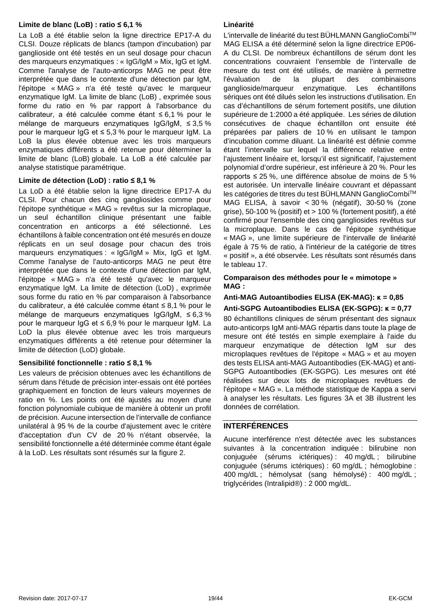#### **Limite de blanc (LoB) : ratio ≤ 6,1 %**

La LoB a été établie selon la ligne directrice EP17-A du CLSI. Douze réplicats de blancs (tampon d'incubation) par ganglioside ont été testés en un seul dosage pour chacun des marqueurs enzymatiques : « IgG/IgM » Mix, IgG et IgM. Comme l'analyse de l'auto-anticorps MAG ne peut être interprétée que dans le contexte d'une détection par IgM, l'épitope « MAG » n'a été testé qu'avec le marqueur enzymatique IgM. La limite de blanc (LoB) , exprimée sous forme du ratio en % par rapport à l'absorbance du calibrateur, a été calculée comme étant ≤ 6,1 % pour le mélange de marqueurs enzymatiques IgG/IgM, ≤ 3,5 % pour le marqueur IgG et ≤ 5,3 % pour le marqueur IgM. La LoB la plus élevée obtenue avec les trois marqueurs enzymatiques différents a été retenue pour déterminer la limite de blanc (LoB) globale. La LoB a été calculée par analyse statistique paramétrique.

#### **Limite de détection (LoD) : ratio ≤ 8,1 %**

La LoD a été établie selon la ligne directrice EP17-A du CLSI. Pour chacun des cinq gangliosides comme pour l'épitope synthétique « MAG » revêtus sur la microplaque, un seul échantillon clinique présentant une faible concentration en anticorps a été sélectionné. Les échantillons à faible concentration ont été mesurés en douze réplicats en un seul dosage pour chacun des trois marqueurs enzymatiques : « IgG/IgM » Mix, IgG et IgM. Comme l'analyse de l'auto-anticorps MAG ne peut être interprétée que dans le contexte d'une détection par IgM, l'épitope « MAG » n'a été testé qu'avec le marqueur enzymatique IgM. La limite de détection (LoD) , exprimée sous forme du ratio en % par comparaison à l'absorbance du calibrateur, a été calculée comme étant ≤ 8,1 % pour le mélange de marqueurs enzymatiques IgG/IgM, ≤ 6,3 % pour le marqueur IgG et ≤ 6,9 % pour le marqueur IgM. La LoD la plus élevée obtenue avec les trois marqueurs enzymatiques différents a été retenue pour déterminer la limite de détection (LoD) globale.

#### **Sensibilité fonctionnelle : ratio ≤ 8,1 %**

Les valeurs de précision obtenues avec les échantillons de sérum dans l'étude de précision inter-essais ont été portées graphiquement en fonction de leurs valeurs moyennes de ratio en %. Les points ont été ajustés au moyen d'une fonction polynomiale cubique de manière à obtenir un profil de précision. Aucune intersection de l'intervalle de confiance unilatéral à 95 % de la courbe d'ajustement avec le critère d'acceptation d'un CV de 20 % n'étant observée, la sensibilité fonctionnelle a été déterminée comme étant égale à la LoD. Les résultats sont résumés sur la figure 2.

#### **Linéarité**

L'intervalle de linéarité du test BÜHLMANN GanglioCombiTM MAG ELISA a été déterminé selon la ligne directrice EP06- A du CLSI. De nombreux échantillons de sérum dont les concentrations couvraient l'ensemble de l'intervalle de mesure du test ont été utilisés, de manière à permettre l'évaluation de la plupart des combinaisons ganglioside/marqueur enzymatique. Les échantillons sériques ont été dilués selon les instructions d'utilisation. En cas d'échantillons de sérum fortement positifs, une dilution supérieure de 1:2000 a été appliquée. Les séries de dilution consécutives de chaque échantillon ont ensuite été préparées par paliers de 10 % en utilisant le tampon d'incubation comme diluant. La linéarité est définie comme étant l'intervalle sur lequel la différence relative entre l'ajustement linéaire et, lorsqu'il est significatif, l'ajustement polynomial d'ordre supérieur, est inférieure à 20 %. Pour les rapports ≤ 25 %, une différence absolue de moins de 5 % est autorisée. Un intervalle linéaire couvrant et dépassant les catégories de titres du test BÜHLMANN GanglioCombiTM MAG ELISA, à savoir < 30 % (négatif), 30-50 % (zone grise), 50-100 % (positif) et > 100 % (fortement positif), a été confirmé pour l'ensemble des cinq gangliosides revêtus sur la microplaque. Dans le cas de l'épitope synthétique « MAG », une limite supérieure de l'intervalle de linéarité égale à 75 % de ratio, à l'intérieur de la catégorie de titres « positif », a été observée. Les résultats sont résumés dans le tableau 17.

#### **Comparaison des méthodes pour le « mimotope » MAG :**

#### **Anti-MAG Autoantibodies ELISA (EK-MAG): κ = 0,85 Anti-SGPG Autoantibodies ELISA (EK-SGPG): κ = 0,77**

80 échantillons cliniques de sérum présentant des signaux auto-anticorps IgM anti-MAG répartis dans toute la plage de mesure ont été testés en simple exemplaire à l'aide du marqueur enzymatique de détection IgM sur des microplaques revêtues de l'épitope « MAG » et au moyen des tests ELISA anti-MAG Autoantibodies (EK-MAG) et anti-SGPG Autoantibodies (EK-SGPG). Les mesures ont été réalisées sur deux lots de microplaques revêtues de l'épitope « MAG ». La méthode statistique de Kappa a servi à analyser les résultats. Les figures 3A et 3B illustrent les données de corrélation.

#### <span id="page-18-0"></span>**INTERFÉRENCES**

Aucune interférence n'est détectée avec les substances suivantes à la concentration indiquée : bilirubine non conjuguée (sérums ictériques) : 40 mg/dL ; bilirubine conjuguée (sérums ictériques) : 60 mg/dL ; hémoglobine : 400 mg/dL ; hémolysat (sang hémolysé) : 400 mg/dL ; triglycérides (Intralipid®) : 2 000 mg/dL.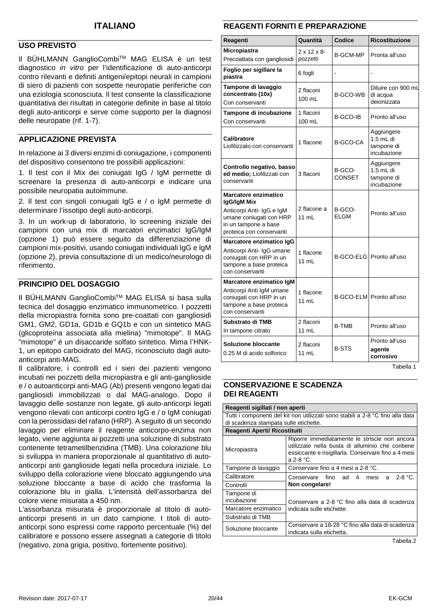#### **USO PREVISTO**

Il BÜHLMANN GanglioCombiTM MAG ELISA è un test diagnostico *in vitro* per l'identificazione di auto-anticorpi contro rilevanti e definiti antigeni/epitopi neurali in campioni di siero di pazienti con sospette neuropatie periferiche con una eziologia sconosciuta. Il test consente la classificazione quantitativa dei risultati in categorie definite in base al titolo degli auto-anticorpi e serve come supporto per la diagnosi delle neuropatie (rif. 1-7).

#### **APPLICAZIONE PREVISTA**

In relazione ai 3 diversi enzimi di coniugazione, i componenti del dispositivo consentono tre possibili applicazioni:

1. Il test con il Mix dei coniugati IgG / IgM permette di screenare la presenza di auto-anticorpi e indicare una possibile neuropatia autoimmune.

2. Il test con singoli coniugati IgG e / o IgM permette di determinare l'issotipo degli auto-anticorpi.

3. In un work-up di laboratorio, lo screening iniziale dei campioni con una mix di marcatori enzimatici IgG/IgM (opzione 1) può essere seguito da differenziazione di campioni mix-positivi, usando coniugati individuali IgG e IgM (opzione 2), previa consultazione di un medico/neurologo di riferimento.

#### **PRINCIPIO DEL DOSAGGIO**

II BÜHLMANN GanglioCombi™ MAG ELISA si basa sulla tecnica del dosaggio enzimatico immunometrico. I pozzetti della micropiastra fornita sono pre-coattati con gangliosidi GM1, GM2, GD1a, GD1b e GQ1b e con un sintetico MAG (glicoproteina associata alla mielina) "mimotope". Il MAG "mimotope" è un disaccaride solfato sintetico. Mima l'HNK-1, un epitopo carboidrato del MAG, riconosciuto dagli autoanticorpi anti-MAG.

Il calibratore, i controlli ed i sieri dei pazienti vengono incubati nei pozzetti della micropiastra e gli anti-ganglioside e / o autoanticorpi anti-MAG (Ab) presenti vengono legati dai gangliosidi immobilizzati o dal MAG-analogo. Dopo il lavaggio delle sostanze non legate, gli auto-anticorpi legati vengono rilevati con anticorpi contro IgG e / o IgM coniugati con la perossidasi del rafano (HRP). A seguito di un secondo lavaggio per eliminare il reagente anticorpo-enzima non legato, viene aggiunta ai pozzetti una soluzione di substrato contenente tetrametilbenzidina (TMB). Una colorazione blu si sviluppa in maniera proporzionale al quantitativo di autoanticorpi anti ganglioside legati nella procedura iniziale. Lo sviluppo della colorazione viene bloccato aggiungendo una soluzione bloccante a base di acido che trasforma la colorazione blu in gialla. L'intensità dell'assorbanza del colore viene misurata a 450 nm.

L'assorbanza misurata è proporzionale al titolo di autoanticorpi presenti in un dato campione. I titoli di autoanticorpi sono espressi come rapporto percentuale (%) del calibratore e possono essere assegnati a categorie di titolo (negativo, zona grigia, positivo, fortemente positivo).

#### <span id="page-19-0"></span>**REAGENTI FORNITI E PREPARAZIONE**

| Reagenti                                                                                                                                               | Quantità                             | <b>Codice</b>           | <b>Ricostituzione</b>                                  |
|--------------------------------------------------------------------------------------------------------------------------------------------------------|--------------------------------------|-------------------------|--------------------------------------------------------|
| Micropiastra<br>Precoattata con gangliosidi                                                                                                            | $2 \times 12 \times 8$ -<br>pozzetti | <b>B-GCM-MP</b>         | Pronta all'uso                                         |
| Foglio per sigillare la<br>piastra                                                                                                                     | 6 fogli                              |                         |                                                        |
| Tampone di lavaggio<br>concentrato (10x)<br>Con conservanti                                                                                            | 2 flaconi<br>100 mL                  | <b>B-GCO-WB</b>         | Diluire con 900 mL<br>di acqua<br>deionizzata          |
| Tampone di incubazione<br>Con conservanti                                                                                                              | 1 flaconi<br>100 mL                  | B-GCO-IB                | Pronto all'uso                                         |
| Calibratore<br>Liofilizzato con conservanti                                                                                                            | 1 flacone                            | <b>B-GCO-CA</b>         | Aggiungere<br>$1.5$ mL di<br>tampone di<br>incubazione |
| Controllo negativo, basso<br>ed medio; Liofilizzati con<br>conservanti                                                                                 | 3 flaconi                            | B-GCO-<br><b>CONSET</b> | Aggiungere<br>1.5 mL di<br>tampone di<br>incubazione   |
| <b>Marcatore enzimatico</b><br>IgG/IgM Mix<br>Anticorpi Anti- IgG e IgM<br>umane coniugati con HRP<br>in un tampone a base<br>proteica con conservanti | 2 flacone a<br>11 mL                 | B-GCO-<br><b>ELGM</b>   | Pronto all'uso                                         |
| Marcatore enzimatico IgG<br>Anticorpi Anti- IgG umane<br>coniugati con HRP in un<br>tampone a base proteica<br>con conservanti                         | 1 flacone<br>11 mL                   |                         | B-GCO-ELG Pronto all'uso                               |
| Marcatore enzimatico IgM<br>Anticorpi Anti IgM umane<br>coniugati con HRP in un<br>tampone a base proteica<br>con conservanti                          | 1 flacone<br>11 mL                   |                         | B-GCO-ELM Pronto all'uso                               |
| Substrato di TMB<br>In tampone citrato                                                                                                                 | 2 flaconi<br>11 mL                   | <b>B-TMB</b>            | Pronto all'uso                                         |
| <b>Soluzione bloccante</b><br>0.25 M di acido solforico                                                                                                | 2 flaconi<br>11 mL                   | <b>B-STS</b>            | Pronto all'uso<br>agente<br>corrosivo                  |

Tabella 1

#### **CONSERVAZIONE E SCADENZA DEI REAGENTI**

**Reagenti sigillati / non aperti**

Tutti i componenti del kit non utilizzati sono stabili a 2-8 °C fino alla data di scadenza stampata sulle etichette. **Reagenti Aperti/ Ricostituiti Micropiastra** Riporre immediatamente le striscie non ancora utilizzate nella busta di alluminio che contiene essiccante e risigillarla. Conservare fino a 4 mesi a 2-8 °C. Tampone di lavaggio Conservare fino a 4 mesi a 2-8 °C. Calibratore Conservare fino ad 4 mesi a 2-8 °C.<br>Controlli **Non congelare! Non congelare!** Tampone di incubazione <br>Marcatore enzimatico indicata sulle etichette. indicata sulle etichette. Substrato di TMB Soluzione bloccante Conservare a 18-28 °C fino alla data di scadenza indicata sulla etichetta.

Tabella 2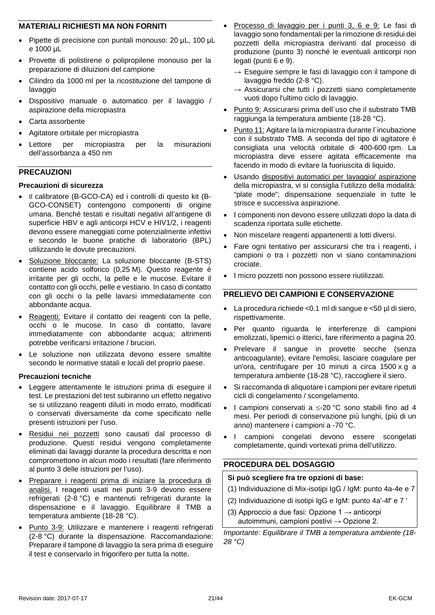#### **MATERIALI RICHIESTI MA NON FORNITI**

- Pipette di precisione con puntali monouso: 20 µL, 100 µL e 1000 µL
- Provette di polistirene o polipropilene monouso per la preparazione di diluizioni del campione
- Cilindro da 1000 ml per la ricostituzione del tampone di lavaggio
- Dispositivo manuale o automatico per il lavaggio / aspirazione della micropiastra
- Carta assorbente
- Agitatore orbitale per micropiastra
- Lettore per micropiastra per la misurazioni dell'assorbanza a 450 nm

#### **PRECAUZIONI**

#### **Precauzioni di sicurezza**

- Il calibratore (B-GCO-CA) ed i controlli di questo kit (B-GCO-CONSET) contengono componenti di origine umana. Benché testati e risultati negativi all'antigene di superficie HBV e agli anticorpi HCV e HIV1/2, i reagenti devono essere maneggiati come potenzialmente infettivi e secondo le buone pratiche di laboratorio (BPL) utilizzando le dovute precauzioni.
- Soluzione bloccante: La soluzione bloccante (B-STS) contiene acido solforico (0,25 M). Questo reagente è irritante per gli occhi, la pelle e le mucose. Evitare il contatto con gli occhi, pelle e vestiario. In caso di contatto con gli occhi o la pelle lavarsi immediatamente con abbondante acqua.
- Reagenti: Evitare il contatto dei reagenti con la pelle, occhi o le mucose. In caso di contatto, lavare immediatamente con abbondante acqua; altrimenti potrebbe verificarsi irritazione / bruciori.
- Le soluzione non utilizzata devono essere smaltite secondo le normative statali e locali del proprio paese.

#### **Precauzioni tecniche**

- Leggere attentamente le istruzioni prima di eseguire il test. Le prestazioni del test subiranno un effetto negativo se si utilizzano reagenti diluiti in modo errato, modificati o conservati diversamente da come specificato nelle presenti istruzioni per l'uso.
- Residui nei pozzetti sono causati dal processo di produzione. Questi residui vengono completamente eliminati dai lavaggi durante la procedura descritta e non compromettono in alcun modo i resultati (fare riferimento al punto 3 delle istruzioni per l'uso).
- Preparare i reagenti prima di iniziare la procedura di analisi. I reagenti usati nei punti 3-9 devono essere refrigerati (2-8 °C) e mantenuti refrigerati durante la dispensazione e il lavaggio. Equilibrare il TMB a temperatura ambiente (18-28 °C).
- Punto 3-9: Utilizzare e mantenere i reagenti refrigerati (2-8 °C) durante la dispensazione. Raccomandazione: Preparare il tampone di lavaggio la sera prima di eseguire il test e conservarlo in frigorifero per tutta la notte.
- Processo di lavaggio per i punti 3, 6 e 9: Le fasi di lavaggio sono fondamentali per la rimozione di residui dei pozzetti della micropiastra derivanti dal processo di produzione (punto 3) nonché le eventuali anticorpi non legati (punti 6 e 9).
	- $\rightarrow$  Eseguire sempre le fasi di lavaggio con il tampone di lavaggio freddo (2-8 °C).
	- $\rightarrow$  Assicurarsi che tutti i pozzetti siano completamente vuoti dopo l'ultimo ciclo di lavaggio.
- Punto 9: Assicurarsi prima dell`uso che il substrato TMB raggiunga la temperatura ambiente (18-28 °C).
- Punto 11: Agitare la la micropiastra durante l'incubazione con il substrato TMB. A seconda del tipo di agitatore è consigliata una velocità orbitale di 400-600 rpm. La micropiastra deve essere agitata efficacemente ma facendo in modo di evitare la fuoriuscita di liquido.
- Usando dispositivi automatici per lavaggio/ aspirazione della micropiastra, vi si consiglia l'utilizzo della modalità: "plate mode"; dispensazione sequenziale in tutte le strisce e successiva aspirazione.
- I componenti non devono essere utilizzati dopo la data di scadenza riportata sulle etichette.
- Non miscelare reagenti appartenenti a lotti diversi.
- Fare ogni tentativo per assicurarsi che tra i reagenti, i campioni o tra i pozzetti non vi siano contaminazioni crociate.
- I micro pozzetti non possono essere riutilizzati.

#### **PRELIEVO DEI CAMPIONI E CONSERVAZIONE**

- $\bullet$  La procedura richiede < 0.1 ml di sangue e < 50 µl di siero, rispettivamente.
- Per quanto riguarda le interferenze di campioni emolizzati, lipemici o itterici, fare riferimento a pagina 20.
- Prelevare il sangue in provette secche (senza anticoagulante), evitare l'emolisi, lasciare coagulare per un'ora, centrifugare per 10 minuti a circa 1500 x g a temperatura ambiente (18-28 °C), raccogliere il siero.
- Si raccomanda di aliquotare i campioni per evitare ripetuti cicli di congelamento / scongelamento.
- I campioni conservati a ≤-20 °C sono stabili fino ad 4 mesi. Per periodi di conservazione più lunghi, (più di un anno) mantenere i campioni a -70 °C.
- I campioni congelati devono essere scongelati completamente, quindi vortexati prima dell'utilizzo.

#### **PROCEDURA DEL DOSAGGIO**

#### **Si può scegliere fra tre opzioni di base:**

- (1) Individuazione di Mix-isotipi IgG / IgM: punto 4a-4e e 7
- (2) Individuazione di isotipi IgG e IgM: punto 4a'-4f' e 7 '
- (3) Approccio a due fasi: Opzione  $1 \rightarrow$  anticorpi autoimmuni, campioni postivi  $\rightarrow$  Opzione 2.

*Importante: Equilibrare il TMB a temperatura ambiente (18- 28 °C)*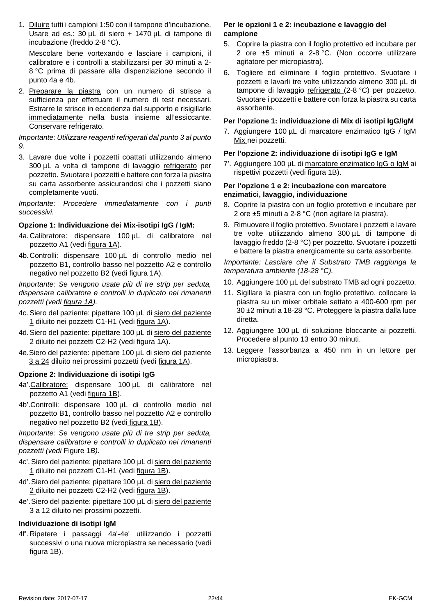1. Diluire tutti i campioni 1:50 con il tampone d'incubazione. Usare ad es.: 30 µL di siero + 1470 µL di tampone di incubazione (freddo 2-8 °C).

Mescolare bene vortexando e lasciare i campioni, il calibratore e i controlli a stabilizzarsi per 30 minuti a 2- 8 °C prima di passare alla dispenziazione secondo il punto 4a e 4b.

2. Preparare la piastra con un numero di strisce a sufficienza per effettuare il numero di test necessari. Estrarre le strisce in eccedenza dal supporto e risigillarle immediatamente nella busta insieme all'essiccante. Conservare refrigerato.

*Importante: Utilizzare reagenti refrigerati dal punto 3 al punto 9.*

3. Lavare due volte i pozzetti coattati utilizzando almeno 300 µL a volta di tampone di lavaggio refrigerato per pozzetto. Svuotare i pozzetti e battere con forza la piastra su carta assorbente assicurandosi che i pozzetti siano completamente vuoti.

*Importante: Procedere immediatamente con i punti successivi.*

#### **Opzione 1: Individuazione dei Mix-isotipi IgG / IgM:**

- 4a.Calibratore: dispensare 100 µL di calibratore nel pozzetto A1 (vedi figura 1A).
- 4b.Controlli: dispensare 100 µL di controllo medio nel pozzetto B1, controllo basso nel pozzetto A2 e controllo negativo nel pozzetto B2 (vedi figura 1A).

*Importante: Se vengono usate più di tre strip per seduta, dispensare calibratore e controlli in duplicato nei rimanenti pozzetti (vedi figura 1A).*

- 4c. Siero del paziente: pipettare 100 µL di siero del paziente 1 diluito nei pozzetti C1-H1 (vedi figura 1A).
- 4d.Siero del paziente: pipettare 100 µL di siero del paziente 2 diluito nei pozzetti C2-H2 (vedi figura 1A).
- 4e.Siero del paziente: pipettare 100 µL di siero del paziente 3 a 24 diluito nei prossimi pozzetti (vedi figura 1A).

#### **Opzione 2: Individuazione di isotipi IgG**

- 4a'.Calibratore: dispensare 100 µL di calibratore nel pozzetto A1 (vedi figura 1B).
- 4b'.Controlli: dispensare 100 µL di controllo medio nel pozzetto B1, controllo basso nel pozzetto A2 e controllo negativo nel pozzetto B2 (vedi figura 1B).

*Importante: Se vengono usate più di tre strip per seduta, dispensare calibratore e controlli in duplicato nei rimanenti pozzetti (vedi* [Figure 1](#page-37-0)*B).*

- 4c'.Siero del paziente: pipettare 100 µL di siero del paziente 1 diluito nei pozzetti C1-H1 (vedi figura 1B).
- 4d'. Siero del paziente: pipettare 100 µL di siero del paziente 2 diluito nei pozzetti C2-H2 (vedi figura 1B).
- 4e'.Siero del paziente: pipettare 100 µL di siero del paziente 3 a 12 diluito nei prossimi pozzetti.

#### **Individuazione di isotipi IgM**

4f'. Ripetere i passaggi 4a'-4e' utilizzando i pozzetti successivi o una nuova micropiastra se necessario (vedi figura 1B).

#### **Per le opzioni 1 e 2: incubazione e lavaggio del campione**

- 5. Coprire la piastra con il foglio protettivo ed incubare per 2 ore ±5 minuti a 2-8 °C. (Non occorre utilizzare agitatore per micropiastra).
- 6. Togliere ed eliminare il foglio protettivo. Svuotare i pozzetti e lavarli tre volte utilizzando almeno 300 µL di tampone di lavaggio refrigerato (2-8 °C) per pozzetto. Svuotare i pozzetti e battere con forza la piastra su carta assorbente.

#### **Per l'opzione 1: individuazione di Mix di isotipi IgG/IgM**

7. Aggiungere 100 µL di marcatore enzimatico IgG / IgM Mix nei pozzetti.

#### **Per l'opzione 2: individuazione di isotipi IgG e IgM**

7'. Aggiungere 100 µL di marcatore enzimatico IgG o IgM ai rispettivi pozzetti (vedi figura 1B).

#### **Per l'opzione 1 e 2: incubazione con marcatore enzimatici, lavaggio, individuazione**

- 8. Coprire la piastra con un foglio protettivo e incubare per 2 ore ±5 minuti a 2-8 °C (non agitare la piastra).
- 9. Rimuovere il foglio protettivo. Svuotare i pozzetti e lavare tre volte utilizzando almeno 300 µL di tampone di lavaggio freddo (2-8 °C) per pozzetto. Svuotare i pozzetti e battere la piastra energicamente su carta assorbente.

*Importante: Lasciare che il Substrato TMB raggiunga la temperatura ambiente (18-28 °C).*

- 10. Aggiungere 100 µL del substrato TMB ad ogni pozzetto.
- 11. Sigillare la piastra con un foglio protettivo, collocare la piastra su un mixer orbitale settato a 400-600 rpm per 30 ±2 minuti a 18-28 °C. Proteggere la piastra dalla luce diretta.
- 12. Aggiungere 100 µL di soluzione bloccante ai pozzetti. Procedere al punto 13 entro 30 minuti.
- 13. Leggere l'assorbanza a 450 nm in un lettore per micropiastra.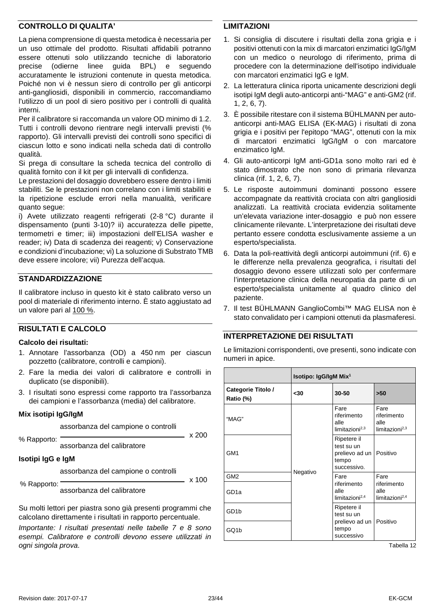#### **CONTROLLO DI QUALITA'**

La piena comprensione di questa metodica è necessaria per un uso ottimale del prodotto. Risultati affidabili potranno essere ottenuti solo utilizzando tecniche di laboratorio precise (odierne linee guida BPL) e seguendo accuratamente le istruzioni contenute in questa metodica. Poiché non vi è nessun siero di controllo per gli anticorpi anti-gangliosidi, disponibili in commercio, raccomandiamo l'utilizzo di un pool di siero positivo per i controlli di qualità interni.

Per il calibratore si raccomanda un valore OD minimo di 1.2. Tutti i controlli devono rientrare negli intervalli previsti (% rapporto). Gli intervalli previsti dei controlli sono specifici di ciascun lotto e sono indicati nella scheda dati di controllo qualità.

Si prega di consultare la scheda tecnica del controllo di qualità fornito con il kit per gli intervalli di confidenza.

Le prestazioni del dosaggio dovrebbero essere dentro i limiti stabiliti. Se le prestazioni non correlano con i limiti stabiliti e la ripetizione esclude errori nella manualità, verificare quanto segue:

i) Avete utilizzato reagenti refrigerati (2-8 °C) durante il dispensamento (punti 3-10)? ii) accuratezza delle pipette, termometri e timer; iii) impostazioni dell'ELISA washer e reader; iv) Data di scadenza dei reagenti; v) Conservazione e condizioni d'incubazione; vi) La soluzione di Substrato TMB deve essere incolore; vii) Purezza dell'acqua.

#### **STANDARDIZZAZIONE**

Il calibratore incluso in questo kit è stato calibrato verso un pool di materiale di riferimento interno. È stato aggiustato ad un valore pari al 100 %.

#### **RISULTATI E CALCOLO**

#### **Calcolo dei risultati:**

- 1. Annotare l'assorbanza (OD) a 450 nm per ciascun pozzetto (calibratore, controlli e campioni).
- 2. Fare la media dei valori di calibratore e controlli in duplicato (se disponibili).
- 3. I risultati sono espressi come rapporto tra l'assorbanza dei campioni e l'assorbanza (media) del calibratore.

#### **Mix isotipi IgG/IgM**

assorbanza del campione o controlli

% Rapporto:

assorbanza del calibratore

**Isotipi IgG e IgM** 

assorbanza del campione o controlli

 $- x 100$ 

 $- x 200$ 

% Rapporto: assorbanza del calibratore

Su molti lettori per piastra sono già presenti programmi che calcolano direttamente i risultati in rapporto percentuale.

*Importante: I risultati presentati nelle tabelle 7 e 8 sono esempi. Calibratore e controlli devono essere utilizzati in ogni singola prova.*

#### **LIMITAZIONI**

- 1. Si consiglia di discutere i risultati della zona grigia e i positivi ottenuti con la mix di marcatori enzimatici IgG/IgM con un medico o neurologo di riferimento, prima di procedere con la determinazione dell'isotipo individuale con marcatori enzimatici IgG e IgM.
- 2. La letteratura clinica riporta unicamente descrizioni degli isotipi IgM degli auto-anticorpi anti-"MAG" e anti-GM2 (rif. 1, 2, 6, 7).
- 3. È possibile ritestare con il sistema BÜHLMANN per autoanticorpi anti-MAG ELISA (EK-MAG) i risultati di zona grigia e i positivi per l'epitopo "MAG", ottenuti con la mix di marcatori enzimatici IgG/IgM o con marcatore enzimatico IgM.
- 4. Gli auto-anticorpi IgM anti-GD1a sono molto rari ed è stato dimostrato che non sono di primaria rilevanza clinica (rif. 1, 2, 6, 7).
- 5. Le risposte autoimmuni dominanti possono essere accompagnate da reattività crociata con altri gangliosidi analizzati. La reattività crociata evidenzia solitamente un'elevata variazione inter-dosaggio e può non essere clinicamente rilevante. L'interpretazione dei risultati deve pertanto essere condotta esclusivamente assieme a un esperto/specialista.
- 6. Data la poli-reattività degli anticorpi autoimmuni (rif. 6) e le differenze nella prevalenza geografica, i risultati del dosaggio devono essere utilizzati solo per confermare l'interpretazione clinica della neuropatia da parte di un esperto/specialista unitamente al quadro clinico del paziente.
- 7. Il test BÜHLMANN GanglioCombi™ MAG ELISA non è stato convalidato per i campioni ottenuti da plasmaferesi.

#### **INTERPRETAZIONE DEI RISULTATI**

Le limitazioni corrispondenti, ove presenti, sono indicate con numeri in apice.

|                                 | Isotipo: IgG/IgM Mix <sup>1</sup> |                                                                     |                                                     |
|---------------------------------|-----------------------------------|---------------------------------------------------------------------|-----------------------------------------------------|
| Categorie Titolo /<br>Ratio (%) | $30$                              | 30-50                                                               | >50                                                 |
| "MAG"                           |                                   | Fare<br>riferimento<br>alle<br>limitazioni $^{2,3}$                 | Fare<br>riferimento<br>alle<br>limitazioni $^{2,3}$ |
| GM1                             |                                   | Ripetere il<br>test su un<br>prelievo ad un<br>tempo<br>successivo. | Positivo                                            |
| GM <sub>2</sub>                 | Negativo                          | Fare                                                                | Fare                                                |
| GD <sub>1a</sub>                |                                   | riferimento<br>alle<br>limitazioni $^{2,4}$                         | riferimento<br>alle<br>limitazioni $^{2,4}$         |
| GD <sub>1</sub> b               |                                   | Ripetere il<br>test su un<br>prelievo ad un                         | Positivo                                            |
| GQ1b                            |                                   | tempo<br>successivo                                                 |                                                     |

Tabella 12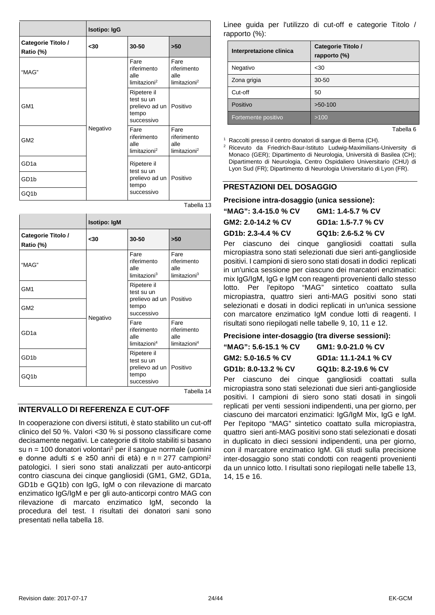|                                 | <b>Isotipo: IgG</b> |                                                                      |                                                         |
|---------------------------------|---------------------|----------------------------------------------------------------------|---------------------------------------------------------|
| Categorie Titolo /<br>Ratio (%) | $30$                | 30-50                                                                | $>50$                                                   |
| "MAG"                           |                     | Fare<br>riferimento<br>alle<br>limitazioni <sup>2</sup>              | Fare<br>riferimento<br>alle<br>limitazioni <sup>2</sup> |
| GM <sub>1</sub>                 | Negativo            | Ripetere il<br>test su un<br>prelievo ad un  <br>tempo<br>successivo | Positivo                                                |
| GM <sub>2</sub>                 |                     | Fare<br>riferimento<br>alle<br>limitazioni <sup>2</sup>              | Fare<br>riferimento<br>alle<br>limitazioni <sup>2</sup> |
| GD <sub>1a</sub>                |                     | Ripetere il<br>test su un                                            |                                                         |
| GD <sub>1</sub> b               |                     | prelievo ad un  <br>tempo                                            | Positivo                                                |
| GQ1b                            |                     | successivo                                                           |                                                         |

|                                 | <b>Isotipo: IgM</b> |                                                         |                                                         |
|---------------------------------|---------------------|---------------------------------------------------------|---------------------------------------------------------|
| Categorie Titolo /<br>Ratio (%) | <30                 | 30-50                                                   | >50                                                     |
| "MAG"                           | Negativo            | Fare<br>riferimento<br>alle<br>limitazioni <sup>3</sup> | Fare<br>riferimento<br>alle<br>limitazioni <sup>3</sup> |
| GM1                             |                     | Ripetere il<br>test su un<br>prelievo ad un<br>tempo    | Positivo                                                |
| GM <sub>2</sub>                 |                     | successivo                                              |                                                         |
| GD <sub>1a</sub>                |                     | Fare<br>riferimento<br>alle<br>limitazioni <sup>4</sup> | Fare<br>riferimento<br>alle<br>limitazioni <sup>4</sup> |
| GD <sub>1</sub> b               |                     | Ripetere il<br>test su un                               | Positivo                                                |
| GQ1b                            |                     | prelievo ad un<br>tempo<br>successivo                   |                                                         |

Tabella 14

Tabella 13

#### **INTERVALLO DI REFERENZA E CUT-OFF**

In cooperazione con diversi istituti, è stato stabilito un cut-off clinico del 50 %. Valori <30 % si possono classificare come decisamente negativi. Le categorie di titolo stabiliti si basano su  $n = 100$  donatori volontari<sup>1</sup> per il sangue normale (uomini e donne adulti ≤ e ≥50 anni di età) e n = 277 campioni2 patologici. I sieri sono stati analizzati per auto-anticorpi contro ciascuna dei cinque gangliosidi (GM1, GM2, GD1a, GD1b e GQ1b) con IgG, IgM o con rilevazione di marcato enzimatico IgG/IgM e per gli auto-anticorpi contro MAG con rilevazione di marcato enzimatico IgM, secondo la procedura del test. I risultati dei donatori sani sono presentati nella tabella 18.

Linee guida per l'utilizzo di cut-off e categorie Titolo / rapporto (%):

| Interpretazione clinica | Categorie Titolo /<br>rapporto (%) |
|-------------------------|------------------------------------|
| Negativo                | $30$                               |
| Zona grigia             | 30-50                              |
| Cut-off                 | 50                                 |
| Positivo                | $>50-100$                          |
| Fortemente positivo     | >100                               |

Tabella 6

<sup>1</sup> Raccolti presso il centro donatori di sangue di Berna (CH).

<sup>2</sup> Ricevuto da Friedrich-Baur-Istituto Ludwig-Maximilians-University di Monaco (GER); Dipartimento di Neurologia, Università di Basilea (CH); Dipartimento di Neurologia, Centro Ospidaliero Universitario (CHU) di Lyon Sud (FR); Dipartimento di Neurologia Universitario di Lyon (FR).

#### **PRESTAZIONI DEL DOSAGGIO**

#### **Precisione intra-dosaggio (unica sessione):**

| "MAG": 3.4-15.0 % CV | GM1: 1.4-5.7 % CV  |
|----------------------|--------------------|
| GM2: 2.0-14.2 % CV   | GD1a: 1.5-7.7 % CV |
| GD1b: 2.3-4.4 % CV   | GQ1b: 2.6-5.2 % CV |
|                      |                    |

Per ciascuno dei cinque gangliosidi coattati sulla micropiastra sono stati selezionati due sieri anti-ganglioside positivi. I campioni di siero sono stati dosati in dodici replicati in un'unica sessione per ciascuno dei marcatori enzimatici: mix IgG/IgM, IgG e IgM con reagenti provenienti dallo stesso lotto. Per l'epitopo "MAG" sintetico coattato sulla micropiastra, quattro sieri anti-MAG positivi sono stati selezionati e dosati in dodici replicati in un'unica sessione con marcatore enzimatico IgM condue lotti di reagenti. I risultati sono riepilogati nelle tabelle 9, 10, 11 e 12.

#### **Precisione inter-dosaggio (tra diverse sessioni):**

| "MAG": 5.6-15.1 % CV | GM1: 9.0-21.0 % CV   |
|----------------------|----------------------|
| GM2: 5.0-16.5 % CV   | GD1a: 11.1-24.1 % CV |
| GD1b: 8.0-13.2 % CV  | GQ1b: 8.2-19.6 % CV  |

Per ciascuno dei cinque gangliosidi coattati sulla micropiastra sono stati selezionati due sieri anti-ganglioside positivi. I campioni di siero sono stati dosati in singoli replicati per venti sessioni indipendenti, una per giorno, per ciascuno dei marcatori enzimatici: IgG/IgM Mix, IgG e IgM. Per l'epitopo "MAG" sintetico coattato sulla micropiastra, quattro sieri anti-MAG positivi sono stati selezionati e dosati in duplicato in dieci sessioni indipendenti, una per giorno, con il marcatore enzimatico IgM. Gli studi sulla precisione inter-dosaggio sono stati condotti con reagenti provenienti da un unnico lotto. I risultati sono riepilogati nelle tabelle 13, 14, 15 e 16.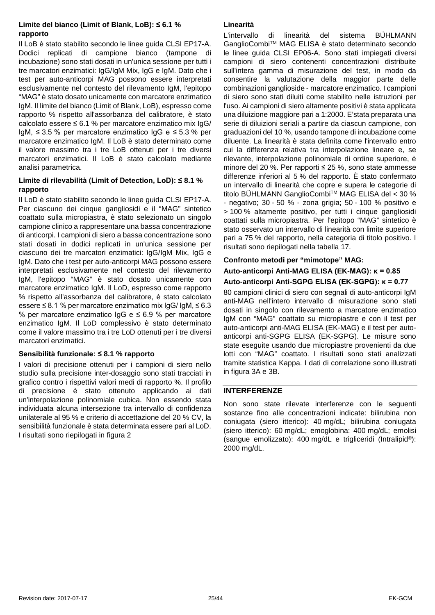#### **Limite del bianco (Limit of Blank, LoB): ≤ 6.1 % rapporto**

Il LoB è stato stabilito secondo le linee guida CLSI EP17-A. Dodici replicati di campione bianco (tampone di incubazione) sono stati dosati in un'unica sessione per tutti i tre marcatori enzimatici: IgG/IgM Mix, IgG e IgM. Dato che i test per auto-anticorpi MAG possono essere interpretati esclusivamente nel contesto del rilevamento IgM, l'epitopo "MAG" è stato dosato unicamente con marcatore enzimatico IgM. Il limite del bianco (Limit of Blank, LoB), espresso come rapporto % rispetto all'assorbanza del calibratore, è stato calcolato essere  $\leq 6.1$  % per marcatore enzimatico mix  $\lg G$ / IgM, ≤ 3.5 % per marcatore enzimatico IgG e ≤ 5.3 % per marcatore enzimatico IgM. Il LoB è stato determinato come il valore massimo tra i tre LoB ottenuti per i tre diversi marcatori enzimatici. Il LoB è stato calcolato mediante analisi parametrica.

#### **Limite di rilevabilità (Limit of Detection, LoD): ≤ 8.1 % rapporto**

Il LoD è stato stabilito secondo le linee guida CLSI EP17-A. Per ciascuno dei cinque gangliosidi e il "MAG" sintetico coattato sulla micropiastra, è stato selezionato un singolo campione clinico a rappresentare una bassa concentrazione di anticorpi. I campioni di siero a bassa concentrazione sono stati dosati in dodici replicati in un'unica sessione per ciascuno dei tre marcatori enzimatici: IgG/IgM Mix, IgG e IgM. Dato che i test per auto-anticorpi MAG possono essere interpretati esclusivamente nel contesto del rilevamento IgM, l'epitopo "MAG" è stato dosato unicamente con marcatore enzimatico IgM. Il LoD, espresso come rapporto % rispetto all'assorbanza del calibratore, è stato calcolato essere ≤ 8.1 % per marcatore enzimatico mix IgG/ IgM, ≤ 6.3 % per marcatore enzimatico IgG e  $\leq$  6.9 % per marcatore enzimatico IgM. Il LoD complessivo è stato determinato come il valore massimo tra i tre LoD ottenuti per i tre diversi marcatori enzimatici.

#### **Sensibilità funzionale: ≤ 8.1 % rapporto**

I valori di precisione ottenuti per i campioni di siero nello studio sulla precisione inter-dosaggio sono stati tracciati in grafico contro i rispettivi valori medi di rapporto %. Il profilo di precisione è stato ottenuto applicando ai dati un'interpolazione polinomiale cubica. Non essendo stata individuata alcuna intersezione tra intervallo di confidenza unilaterale al 95 % e criterio di accettazione del 20 % CV, la sensibilità funzionale è stata determinata essere pari al LoD. I risultati sono riepilogati in figura 2

#### **Linearità**

L'intervallo di linearità del sistema BÜHLMANN GanglioCombiTM MAG ELISA è stato determinato secondo le linee guida CLSI EP06-A. Sono stati impiegati diversi campioni di siero contenenti concentrazioni distribuite sull'intera gamma di misurazione del test, in modo da consentire la valutazione della maggior parte delle combinazioni ganglioside - marcatore enzimatico. I campioni di siero sono stati diluiti come stabilito nelle istruzioni per l'uso. Ai campioni di siero altamente positivi è stata applicata una diluizione maggiore pari a 1:2000. E'stata preparata una serie di diluizioni seriali a partire da ciascun campione, con graduazioni del 10 %, usando tampone di incubazione come diluente. La linearità è stata definita come l'intervallo entro cui la differenza relativa tra interpolazione lineare e, se rilevante, interpolazione polinomiale di ordine superiore, è minore del 20 %. Per rapporti ≤ 25 %, sono state ammesse differenze inferiori al 5 % del rapporto. È stato confermato un intervallo di linearità che copre e supera le categorie di titolo BÜHLMANN GanglioCombiTM MAG ELISA del < 30 % - negativo; 30 - 50 % - zona grigia; 50 - 100 % positivo e > 100 % altamente positivo, per tutti i cinque gangliosidi coattati sulla micropiastra. Per l'epitopo "MAG" sintetico è stato osservato un intervallo di linearità con limite superiore pari a 75 % del rapporto, nella categoria di titolo positivo. I risultati sono riepilogati nella tabella 17.

### **Confronto metodi per "mimotope" MAG:**

#### **Auto-anticorpi Anti-MAG ELISA (EK-MAG): κ = 0.85**

#### **Auto-anticorpi Anti-SGPG ELISA (EK-SGPG): κ = 0.77**

80 campioni clinici di siero con segnali di auto-anticorpi IgM anti-MAG nell'intero intervallo di misurazione sono stati dosati in singolo con rilevamento a marcatore enzimatico IgM con "MAG" coattato su micropiastre e con il test per auto-anticorpi anti-MAG ELISA (EK-MAG) e il test per autoanticorpi anti-SGPG ELISA (EK-SGPG). Le misure sono state eseguite usando due micropiastre provenienti da due lotti con "MAG" coattato. I risultati sono stati analizzati tramite statistica Kappa. I dati di correlazione sono illustrati in figura 3A e 3B.

#### **INTERFERENZE**

Non sono state rilevate interferenze con le seguenti sostanze fino alle concentrazioni indicate: bilirubina non coniugata (siero itterico): 40 mg/dL; bilirubina coniugata (siero itterico): 60 mg/dL; emoglobina: 400 mg/dL; emolisi (sangue emolizzato): 400 mg/dL e trigliceridi (Intralipid®): 2000 mg/dL.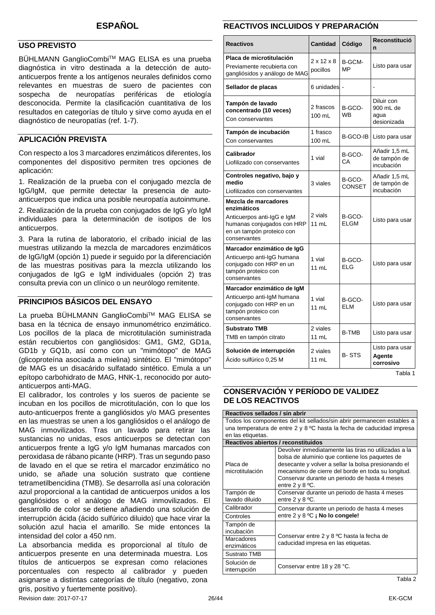#### **USO PREVISTO**

BÜHLMANN GanglioCombi™ MAG ELISA es una prueba diagnóstica in vitro destinada a la detección de autoanticuerpos frente a los antígenos neurales definidos como relevantes en muestras de suero de pacientes con sospecha de neuropatías periféricas de etiología desconocida. Permite la clasificación cuantitativa de los resultados en categorías de título y sirve como ayuda en el diagnóstico de neuropatías (ref. 1-7).

#### **APLICACIÓN PREVISTA**

Con respecto a los 3 marcadores enzimáticos diferentes, los componentes del dispositivo permiten tres opciones de aplicación:

1. Realización de la prueba con el conjugado mezcla de IgG/IgM, que permite detectar la presencia de autoanticuerpos que indica una posible neuropatía autoinmune.

2. Realización de la prueba con conjugados de IgG y/o IgM individuales para la determinación de isotipos de los anticuerpos.

3. Para la rutina de laboratorio, el cribado inicial de las muestras utilizando la mezcla de marcadores enzimáticos de IgG/IgM (opción 1) puede ir seguido por la diferenciación de las muestras positivas para la mezcla utilizando los conjugados de IgG e IgM individuales (opción 2) tras consulta previa con un clínico o un neurólogo remitente.

#### **PRINCIPIOS BÁSICOS DEL ENSAYO**

La prueba BÜHLMANN GanglioCombi™ MAG ELISA se basa en la técnica de ensayo inmunométrico enzimático. Los pocillos de la placa de microtitulación suministrada están recubiertos con gangliósidos: GM1, GM2, GD1a, GD1b y GQ1b, así como con un "mimótopo" de MAG (glicoproteína asociada a mielina) sintético. El "mimótopo" de MAG es un disacárido sulfatado sintético. Emula a un epítopo carbohidrato de MAG, HNK-1, reconocido por autoanticuerpos anti-MAG.

El calibrador, los controles y los sueros de paciente se incuban en los pocillos de microtitulación, con lo que los auto-anticuerpos frente a gangliósidos y/o MAG presentes en las muestras se unen a los gangliósidos o el análogo de MAG inmovilizados. Tras un lavado para retirar las sustancias no unidas, esos anticuerpos se detectan con anticuerpos frente a IgG y/o IgM humanas marcados con peroxidasa de rábano picante (HRP). Tras un segundo paso de lavado en el que se retira el marcador enzimático no unido, se añade una solución sustrato que contiene tetrametilbencidina (TMB). Se desarrolla así una coloración azul proporcional a la cantidad de anticuerpos unidos a los gangliósidos o el análogo de MAG inmovilizados. El desarrollo de color se detiene añadiendo una solución de interrupción ácida (ácido sulfúrico diluido) que hace virar la solución azul hacia el amarillo. Se mide entonces la intensidad del color a 450 nm.

La absorbancia medida es proporcional al título de anticuerpos presente en una determinada muestra. Los títulos de anticuerpos se expresan como relaciones porcentuales con respecto al calibrador y pueden asignarse a distintas categorías de título (negativo, zona gris, positivo y fuertemente positivo).

#### **REACTIVOS INCLUIDOS Y PREPARACIÓN**

<span id="page-25-0"></span>

| <b>Reactivos</b>                                                                                                                             | Cantidad                           | Código                | Reconstitució<br>n                             |
|----------------------------------------------------------------------------------------------------------------------------------------------|------------------------------------|-----------------------|------------------------------------------------|
| Placa de microtitulación<br>Previamente recubierta con<br>gangliósidos y análogo de MAG                                                      | $2 \times 12 \times 8$<br>pocillos | B-GCM-<br>MP          | Listo para usar                                |
| Sellador de placas                                                                                                                           | 6 unidades -                       |                       |                                                |
| Tampón de lavado<br>concentrado (10 veces)<br>Con conservantes                                                                               | 2 frascos<br>100 mL                | B-GCO-<br><b>WB</b>   | Diluir con<br>900 mL de<br>agua<br>desionizada |
| Tampón de incubación<br>Con conservantes                                                                                                     | 1 frasco<br>100 mL                 | B-GCO-IB              | Listo para usar                                |
| Calibrador<br>Liofilizado con conservantes                                                                                                   | 1 vial                             | B-GCO-<br>CA          | Añadir 1,5 mL<br>de tampón de<br>incubación    |
| Controles negativo, bajo y<br>medio<br>Liofilizados con conservantes                                                                         | 3 viales                           | B-GCO-<br>CONSET      | Añadir 1,5 mL<br>de tampón de<br>incubación    |
| Mezcla de marcadores<br>enzimáticos<br>Anticuerpos anti-IgG e IgM<br>humanas conjugados con HRP<br>en un tampón proteico con<br>conservantes | 2 vials<br>11 mL                   | B-GCO-<br><b>ELGM</b> | Listo para usar                                |
| Marcador enzimático de IgG<br>Anticuerpo anti-IgG humana<br>conjugado con HRP en un<br>tampón proteico con<br>conservantes                   | 1 vial<br>11 ml                    | B-GCO-<br>ELG         | Listo para usar                                |
| Marcador enzimático de IgM<br>Anticuerpo anti-IgM humana<br>conjugado con HRP en un<br>tampón proteico con<br>conservantes                   | 1 vial<br>11 mL                    | B-GCO-<br>ELM         | Listo para usar                                |
| <b>Substrato TMB</b><br>TMB en tampón citrato                                                                                                | 2 viales<br>11 mL                  | <b>B-TMB</b>          | Listo para usar                                |
| Solución de interrupción<br>Acido sulfúrico 0,25 M                                                                                           | 2 viales<br>11 mL                  | <b>B-STS</b>          | Listo para usar<br>Agente<br>corrosivo         |

Tabla 1

#### **CONSERVACIÓN Y PERÍODO DE VALIDEZ DE LOS REACTIVOS**

| Reactivos sellados / sin abrir                                         |                                                                                                                                                                                                                                                                      |  |
|------------------------------------------------------------------------|----------------------------------------------------------------------------------------------------------------------------------------------------------------------------------------------------------------------------------------------------------------------|--|
| Todos los componentes del kit sellados/sin abrir permanecen estables a |                                                                                                                                                                                                                                                                      |  |
|                                                                        | una temperatura de entre 2 y 8 °C hasta la fecha de caducidad impresa                                                                                                                                                                                                |  |
| en las etiquetas.                                                      |                                                                                                                                                                                                                                                                      |  |
| Reactivos abiertos / reconstituidos                                    |                                                                                                                                                                                                                                                                      |  |
| Placa de<br>microtitulación                                            | Devolver inmediatamente las tiras no utilizadas a la<br>bolsa de aluminio que contiene los paquetes de<br>desecante y volver a sellar la bolsa presionando el<br>mecanismo de cierre del borde en toda su longitud.<br>Conservar durante un periodo de hasta 4 meses |  |
|                                                                        | entre $2 \vee 8$ °C.                                                                                                                                                                                                                                                 |  |
| Tampón de<br>lavado diluido                                            | Conservar durante un periodo de hasta 4 meses<br>entre $2 \vee 8$ °C.                                                                                                                                                                                                |  |
| Calibrador                                                             | Conservar durante un periodo de hasta 4 meses                                                                                                                                                                                                                        |  |
| Controles                                                              | entre $2 \vee 8$ °C ; No lo congele!                                                                                                                                                                                                                                 |  |
| Tampón de<br>incubación                                                |                                                                                                                                                                                                                                                                      |  |
| Marcadores                                                             | Conservar entre 2 y 8 °C hasta la fecha de<br>caducidad impresa en las etiquetas.                                                                                                                                                                                    |  |
| enzimáticos                                                            |                                                                                                                                                                                                                                                                      |  |
| Sustrato TMB                                                           |                                                                                                                                                                                                                                                                      |  |
| Solución de<br>interrupción                                            | Conservar entre 18 y 28 °C.                                                                                                                                                                                                                                          |  |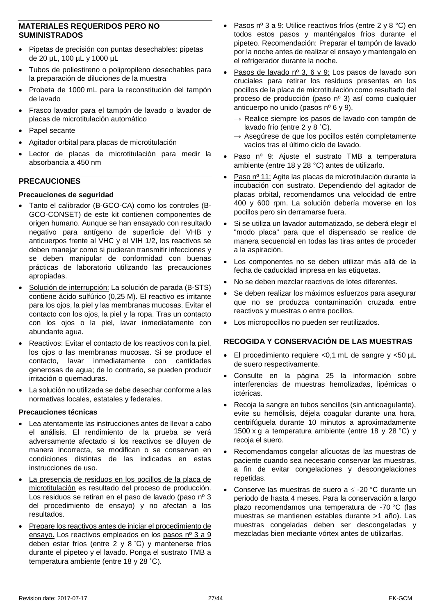#### **MATERIALES REQUERIDOS PERO NO SUMINISTRADOS**

- Pipetas de precisión con puntas desechables: pipetas de 20 µL, 100 µL y 1000 µL
- Tubos de poliestireno o polipropileno desechables para la preparación de diluciones de la muestra
- Probeta de 1000 mL para la reconstitución del tampón de lavado
- Frasco lavador para el tampón de lavado o lavador de placas de microtitulación automático
- Papel secante
- Agitador orbital para placas de microtitulación
- Lector de placas de microtitulación para medir la absorbancia a 450 nm

#### **PRECAUCIONES**

#### **Precauciones de seguridad**

- Tanto el calibrador (B-GCO-CA) como los controles (B-GCO-CONSET) de este kit contienen componentes de origen humano. Aunque se han ensayado con resultado negativo para antígeno de superficie del VHB y anticuerpos frente al VHC y el VIH 1/2, los reactivos se deben manejar como si pudieran transmitir infecciones y se deben manipular de conformidad con buenas prácticas de laboratorio utilizando las precauciones apropiadas.
- Solución de interrupción: La solución de parada (B-STS) contiene ácido sulfúrico (0,25 M). El reactivo es irritante para los ojos, la piel y las membranas mucosas. Evitar el contacto con los ojos, la piel y la ropa. Tras un contacto con los ojos o la piel, lavar inmediatamente con abundante agua.
- Reactivos: Evitar el contacto de los reactivos con la piel, los ojos o las membranas mucosas. Si se produce el contacto, lavar inmediatamente con cantidades generosas de agua; de lo contrario, se pueden producir irritación o quemaduras.
- La solución no utilizada se debe desechar conforme a las normativas locales, estatales y federales.

#### **Precauciones técnicas**

- Lea atentamente las instrucciones antes de llevar a cabo el análisis. El rendimiento de la prueba se verá adversamente afectado si los reactivos se diluyen de manera incorrecta, se modifican o se conservan en condiciones distintas de las indicadas en estas instrucciones de uso.
- La presencia de residuos en los pocillos de la placa de microtitulación es resultado del proceso de producción. Los residuos se retiran en el paso de lavado (paso nº 3 del procedimiento de ensayo) y no afectan a los resultados.
- Prepare los reactivos antes de iniciar el procedimiento de ensayo. Los reactivos empleados en los pasos nº 3 a 9 deben estar fríos (entre 2 y 8 ˚C) y mantenerse fríos durante el pipeteo y el lavado. Ponga el sustrato TMB a temperatura ambiente (entre 18 y 28 ˚C).
- Pasos nº 3 a 9: Utilice reactivos fríos (entre 2 y 8 °C) en todos estos pasos y manténgalos fríos durante el pipeteo. Recomendación: Preparar el tampón de lavado por la noche antes de realizar el ensayo y mantengalo en el refrigerador durante la noche.
- Pasos de lavado nº 3, 6 y 9: Los pasos de lavado son cruciales para retirar los residuos presentes en los pocillos de la placa de microtitulación como resultado del proceso de producción (paso nº 3) así como cualquier anticuerpo no unido (pasos nº 6 y 9).
	- $\rightarrow$  Realice siempre los pasos de lavado con tampón de lavado frío (entre 2 y 8 ˚C).
	- $\rightarrow$  Asegúrese de que los pocillos estén completamente vacíos tras el último ciclo de lavado.
- Paso nº 9: Ajuste el sustrato TMB a temperatura ambiente (entre 18 y 28 °C) antes de utilizarlo.
- Paso nº 11: Agite las placas de microtitulación durante la incubación con sustrato. Dependiendo del agitador de placas orbital, recomendamos una velocidad de entre 400 y 600 rpm. La solución debería moverse en los pocillos pero sin derramarse fuera.
- Si se utiliza un lavador automatizado, se deberá elegir el "modo placa" para que el dispensado se realice de manera secuencial en todas las tiras antes de proceder a la aspiración.
- Los componentes no se deben utilizar más allá de la fecha de caducidad impresa en las etiquetas.
- No se deben mezclar reactivos de lotes diferentes.
- Se deben realizar los máximos esfuerzos para asegurar que no se produzca contaminación cruzada entre reactivos y muestras o entre pocillos.
- Los micropocillos no pueden ser reutilizados.

#### **RECOGIDA Y CONSERVACIÓN DE LAS MUESTRAS**

- El procedimiento requiere <0,1 mL de sangre  $y$  <50  $\mu$ L de suero respectivamente.
- Consulte en la página 25 la información sobre interferencias de muestras hemolizadas, lipémicas o ictéricas.
- Recoja la sangre en tubos sencillos (sin anticoagulante), evite su hemólisis, déjela coagular durante una hora, centrifúguela durante 10 minutos a aproximadamente 1500 x g a temperatura ambiente (entre 18 y 28 °C) y recoja el suero.
- Recomendamos congelar alícuotas de las muestras de paciente cuando sea necesario conservar las muestras, a fin de evitar congelaciones y descongelaciones repetidas.
- Conserve las muestras de suero a  $\leq$  -20 °C durante un periodo de hasta 4 meses. Para la conservación a largo plazo recomendamos una temperatura de -70 °C (las muestras se mantienen estables durante >1 año). Las muestras congeladas deben ser descongeladas y mezcladas bien mediante vórtex antes de utilizarlas.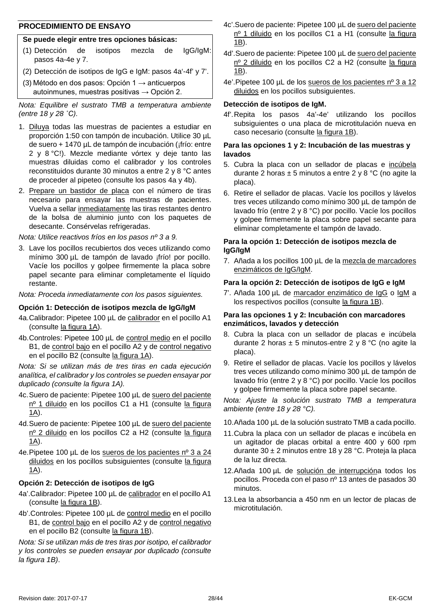#### **PROCEDIMIENTO DE ENSAYO**

#### **Se puede elegir entre tres opciones básicas:**

- (1) Detección de isotipos mezcla de IgG/IgM: pasos 4a-4e y 7.
- (2) Detección de isotipos de IgG e IgM: pasos 4a'-4f' y 7'.
- (3) Método en dos pasos: Opción 1  $\rightarrow$  anticuerpos autoinmunes, muestras positivas  $\rightarrow$  Opción 2.

*Nota: Equilibre el sustrato TMB a temperatura ambiente (entre 18 y 28 ˚C).*

- 1. Diluya todas las muestras de pacientes a estudiar en proporción 1:50 con tampón de incubación. Utilice 30 µL de suero + 1470 µL de tampón de incubación (¡frío: entre 2 y 8 °C!). Mezcle mediante vórtex y deje tanto las muestras diluidas como el calibrador y los controles reconstituidos durante 30 minutos a entre 2 y 8 °C antes de proceder al pipeteo (consulte los pasos 4a y 4b).
- 2. Prepare un bastidor de placa con el número de tiras necesario para ensayar las muestras de pacientes. Vuelva a sellar inmediatamente las tiras restantes dentro de la bolsa de aluminio junto con los paquetes de desecante. Consérvelas refrigeradas.

*Nota: Utilice reactivos fríos en los pasos nº 3 a 9.*

3. Lave los pocillos recubiertos dos veces utilizando como mínimo 300 µL de tampón de lavado ¡frío! por pocillo. Vacíe los pocillos y golpee firmemente la placa sobre papel secante para eliminar completamente el líquido restante.

*Nota: Proceda inmediatamente con los pasos siguientes.*

#### **Opción 1: Detección de isotipos mezcla de IgG/IgM**

- 4a.Calibrador: Pipetee 100 µL de calibrador en el pocillo A1 (consulte la figura 1A).
- 4b.Controles: Pipetee 100 µL de control medio en el pocillo B1, de control bajo en el pocillo A2 y de control negativo en el pocillo B2 (consulte la figura 1A).

*Nota: Si se utilizan más de tres tiras en cada ejecución analítica, el calibrador y los controles se pueden ensayar por duplicado (consulte la figura 1A).*

- 4c.Suero de paciente: Pipetee 100 µL de suero del paciente nº 1 diluido en los pocillos C1 a H1 (consulte la figura 1A).
- 4d.Suero de paciente: Pipetee 100 µL de suero del paciente nº 2 diluido en los pocillos C2 a H2 (consulte la figura  $\underline{1A}$ .
- 4e.Pipetee 100 µL de los sueros de los pacientes nº 3 a 24 diluidos en los pocillos subsiguientes (consulte la figura 1A).

#### **Opción 2: Detección de isotipos de IgG**

- 4a'.Calibrador: Pipetee 100 µL de calibrador en el pocillo A1 (consulte la figura 1B).
- 4b'.Controles: Pipetee 100 µL de control medio en el pocillo B1, de control bajo en el pocillo A2 y de control negativo en el pocillo B2 (consulte la figura 1B).

*Nota: Si se utilizan más de tres tiras por isotipo, el calibrador y los controles se pueden ensayar por duplicado (consulte la figura 1B)*.

- 4c'.Suero de paciente: Pipetee 100 µL de suero del paciente nº 1 diluido en los pocillos C1 a H1 (consulte la figura  $1\underline{B}$ ).
- 4d'.Suero de paciente: Pipetee 100 µL de suero del paciente nº 2 diluido en los pocillos C2 a H2 (consulte la figura 1B).
- 4e'.Pipetee 100 µL de los sueros de los pacientes nº 3 a 12 diluidos en los pocillos subsiguientes.

#### **Detección de isotipos de IgM.**

4f'.Repita los pasos 4a'-4e' utilizando los pocillos subsiguientes o una placa de microtitulación nueva en caso necesario (consulte la figura 1B).

#### **Para las opciones 1 y 2: Incubación de las muestras y lavados**

- 5. Cubra la placa con un sellador de placas e incúbela durante 2 horas  $\pm$  5 minutos a entre 2 y 8 °C (no agite la placa).
- 6. Retire el sellador de placas. Vacíe los pocillos y lávelos tres veces utilizando como mínimo 300 µL de tampón de lavado frío (entre 2 y 8 °C) por pocillo. Vacíe los pocillos y golpee firmemente la placa sobre papel secante para eliminar completamente el tampón de lavado.

#### **Para la opción 1: Detección de isotipos mezcla de IgG/IgM**

7. Añada a los pocillos 100 µL de la mezcla de marcadores enzimáticos de IgG/IgM.

#### **Para la opción 2: Detección de isotipos de IgG e IgM**

7'. Añada 100 µL de marcador enzimático de IgG o IgM a los respectivos pocillos (consulte la figura 1B).

#### **Para las opciones 1 y 2: Incubación con marcadores enzimáticos, lavados y detección**

- 8. Cubra la placa con un sellador de placas e incúbela durante 2 horas  $\pm$  5 minutos-entre 2 y 8 °C (no agite la placa).
- 9. Retire el sellador de placas. Vacíe los pocillos y lávelos tres veces utilizando como mínimo 300 µL de tampón de lavado frío (entre 2 y 8 °C) por pocillo. Vacíe los pocillos y golpee firmemente la placa sobre papel secante.

*Nota: Ajuste la solución sustrato TMB a temperatura ambiente (entre 18 y 28 °C).*

- 10.Añada 100 µL de la solución sustrato TMB a cada pocillo.
- 11.Cubra la placa con un sellador de placas e incúbela en un agitador de placas orbital a entre 400 y 600 rpm durante 30 ± 2 minutos entre 18 y 28 °C. Proteja la placa de la luz directa.
- 12.Añada 100 µL de solución de interrupcióna todos los pocillos. Proceda con el paso nº 13 antes de pasados 30 minutos.
- 13.Lea la absorbancia a 450 nm en un lector de placas de microtitulación.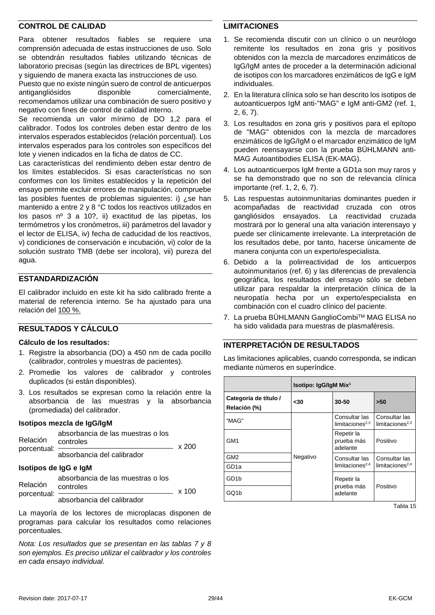#### **CONTROL DE CALIDAD**

Para obtener resultados fiables se requiere una comprensión adecuada de estas instrucciones de uso. Solo se obtendrán resultados fiables utilizando técnicas de laboratorio precisas (según las directrices de BPL vigentes) y siguiendo de manera exacta las instrucciones de uso.

Puesto que no existe ningún suero de control de anticuerpos antigangliósidos disponible comercialmente, recomendamos utilizar una combinación de suero positivo y negativo con fines de control de calidad interno.

Se recomienda un valor mínimo de DO 1,2 para el calibrador. Todos los controles deben estar dentro de los intervalos esperados establecidos (relación porcentual). Los intervalos esperados para los controles son específicos del lote y vienen indicados en la ficha de datos de CC.

Las características del rendimiento deben estar dentro de los límites establecidos. Si esas características no son conformes con los límites establecidos y la repetición del ensayo permite excluir errores de manipulación, compruebe las posibles fuentes de problemas siguientes: i) ¿se han mantenido a entre 2 y 8 °C todos los reactivos utilizados en los pasos nº 3 a 10?, ii) exactitud de las pipetas, los termómetros y los cronómetros, iii) parámetros del lavador y el lector de ELISA, iv) fecha de caducidad de los reactivos, v) condiciones de conservación e incubación, vi) color de la solución sustrato TMB (debe ser incolora), vii) pureza del agua.

#### **ESTANDARDIZACIÓN**

El calibrador incluido en este kit ha sido calibrado frente a material de referencia interno. Se ha ajustado para una relación del 100 %.

#### **RESULTADOS Y CÁLCULO**

#### **Cálculo de los resultados:**

- 1. Registre la absorbancia (DO) a 450 nm de cada pocillo (calibrador, controles y muestras de pacientes).
- 2. Promedie los valores de calibrador y controles duplicados (si están disponibles).
- 3. Los resultados se expresan como la relación entre la absorbancia de las muestras y la absorbancia (promediada) del calibrador.

#### **Isotipos mezcla de IgG/IgM**

| Relación              | absorbancia de las muestras o los<br>controles<br>$\frac{1}{200}$ x 200 |  |
|-----------------------|-------------------------------------------------------------------------|--|
| porcentual:           | absorbancia del calibrador                                              |  |
| Isotipos de IgG e IgM |                                                                         |  |
|                       | absorbancia de las muestras o los                                       |  |

| Relación <sub>controles</sub> | x 100 |
|-------------------------------|-------|
| absorbancia del calibrador    |       |

La mayoría de los lectores de microplacas disponen de programas para calcular los resultados como relaciones porcentuales.

*Nota: Los resultados que se presentan en las tablas 7 y 8 son ejemplos. Es preciso utilizar el calibrador y los controles en cada ensayo individual.* 

#### **LIMITACIONES**

- 1. Se recomienda discutir con un clínico o un neurólogo remitente los resultados en zona gris y positivos obtenidos con la mezcla de marcadores enzimáticos de IgG/IgM antes de proceder a la determinación adicional de isotipos con los marcadores enzimáticos de IgG e IgM individuales.
- 2. En la literatura clínica solo se han descrito los isotipos de autoanticuerpos IgM anti-"MAG" e IgM anti-GM2 (ref. 1, 2, 6, 7).
- 3. Los resultados en zona gris y positivos para el epítopo de "MAG" obtenidos con la mezcla de marcadores enzimáticos de IgG/IgM o el marcador enzimático de IgM pueden reensayarse con la prueba BÜHLMANN anti-MAG Autoantibodies ELISA (EK-MAG).
- 4. Los autoanticuerpos IgM frente a GD1a son muy raros y se ha demonstrado que no son de relevancia clínica importante (ref. 1, 2, 6, 7).
- 5. Las respuestas autoinmunitarias dominantes pueden ir acompañadas de reactividad cruzada con otros gangliósidos ensayados. La reactividad cruzada mostrará por lo general una alta variación interensayo y puede ser clínicamente irrelevante. La interpretación de los resultados debe, por tanto, hacerse únicamente de manera conjunta con un experto/especialista.
- 6. Debido a la polirreactividad de los anticuerpos autoinmunitarios (ref. 6) y las diferencias de prevalencia geográfica, los resultados del ensayo sólo se deben utilizar para respaldar la interpretación clínica de la neuropatía hecha por un experto/especialista en combinación con el cuadro clínico del paciente.
- 7. La prueba BÜHLMANN GanglioCombiTM MAG ELISA no ha sido validada para muestras de plasmaféresis.

#### **INTERPRETACIÓN DE RESULTADOS**

Las limitaciones aplicables, cuando corresponda, se indican mediante números en superíndice.

|                                       | Isotipo: IgG/IgM Mix <sup>1</sup> |                                      |                                              |
|---------------------------------------|-----------------------------------|--------------------------------------|----------------------------------------------|
| Categoría de título /<br>Relación (%) | -30                               | 30-50                                | >50                                          |
| "MAG"                                 |                                   | Consultar las<br>limitaciones $2,3$  | Consultar las<br>limitaciones <sup>2,3</sup> |
| GM1                                   |                                   | Repetir la<br>prueba más<br>adelante | Positivo                                     |
| GM <sub>2</sub>                       | Negativo                          | Consultar las                        | Consultar las                                |
| GD1a                                  |                                   | limitaciones <sup>2,4</sup>          | limitaciones <sup>2,4</sup>                  |
| GD <sub>1</sub> b                     |                                   | Repetir la                           | Positivo                                     |
| GQ1b                                  |                                   | prueba más<br>adelante               |                                              |

Tabla 15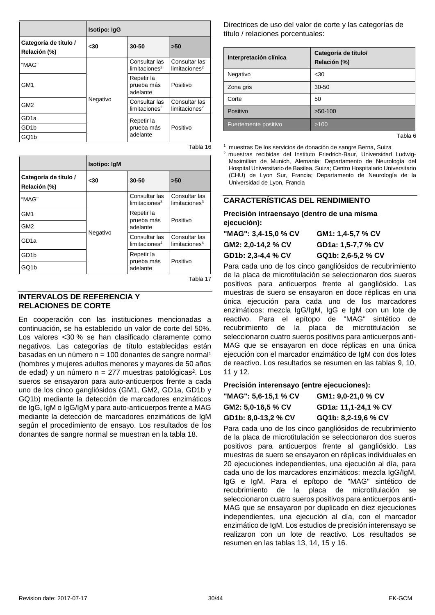|                                       | <b>Isotipo: IgG</b> |                                            |                                            |
|---------------------------------------|---------------------|--------------------------------------------|--------------------------------------------|
| Categoría de título /<br>Relación (%) | -30                 | 30-50                                      | >50                                        |
| "MAG"                                 | Negativo            | Consultar las<br>limitaciones <sup>2</sup> | Consultar las<br>limits <sup>2</sup>       |
| GM <sub>1</sub>                       |                     | Repetir la<br>prueba más<br>adelante       | Positivo                                   |
| GM <sub>2</sub>                       |                     | Consultar las<br>limitaciones <sup>2</sup> | Consultar las<br>limitaciones <sup>2</sup> |
| GD <sub>1a</sub>                      |                     | Repetir la                                 |                                            |
| GD <sub>1</sub> b                     |                     | prueba más                                 | Positivo                                   |
| GQ1b                                  |                     | adelante                                   |                                            |
|                                       |                     |                                            | Tabla 16                                   |

|                                       | <b>Isotipo: IgM</b> |                                            |                                            |
|---------------------------------------|---------------------|--------------------------------------------|--------------------------------------------|
| Categoría de título /<br>Relación (%) | -30                 | 30-50                                      | >50                                        |
| "MAG"                                 | Negativo            | Consultar las<br>limitaciones <sup>3</sup> | Consultar las<br>limits <sup>3</sup>       |
| GM <sub>1</sub>                       |                     | Repetir la<br>prueba más                   | Positivo                                   |
| GM <sub>2</sub>                       |                     | adelante                                   |                                            |
| GD <sub>1a</sub>                      |                     | Consultar las<br>limitaciones <sup>4</sup> | Consultar las<br>limitaciones <sup>4</sup> |
| GD <sub>1</sub> b                     |                     | Repetir la<br>prueba más                   | Positivo                                   |
| GQ1b                                  |                     | adelante                                   |                                            |

#### Tabla 17

#### **INTERVALOS DE REFERENCIA Y RELACIONES DE CORTE**

En cooperación con las instituciones mencionadas a continuación, se ha establecido un valor de corte del 50%. Los valores <30 % se han clasificado claramente como negativos. Las categorías de título establecidas están basadas en un número  $n = 100$  donantes de sangre normal<sup>1</sup> (hombres y mujeres adultos menores y mayores de 50 años de edad) y un número  $n = 277$  muestras patológicas<sup>2</sup>. Los sueros se ensayaron para auto-anticuerpos frente a cada uno de los cinco gangliósidos (GM1, GM2, GD1a, GD1b y GQ1b) mediante la detección de marcadores enzimáticos de IgG, IgM o IgG/IgM y para auto-anticuerpos frente a MAG mediante la detección de marcadores enzimáticos de IgM según el procedimiento de ensayo. Los resultados de los donantes de sangre normal se muestran en la tabla 18.

Directrices de uso del valor de corte y las categorías de título / relaciones porcentuales:

| Interpretación clínica | Categoría de título/<br>Relación (%) |
|------------------------|--------------------------------------|
| Negativo               | $30$                                 |
| Zona gris              | 30-50                                |
| Corte                  | 50                                   |
| Positivo               | $>50-100$                            |
| Fuertemente positivo   | >100                                 |

Tabla 6

1 muestras De los servicios de donación de sangre Berna, Suiza

2 muestras recibidas del Instituto Friedrich-Baur, Universidad Ludwig-Maximilian de Munich, Alemania; Departamento de Neurología del Hospital Universitario de Basilea, Suiza; Centro Hospitalario Universitario (CHU) de Lyon Sur, Francia; Departamento de Neurología de la Universidad de Lyon, Francia

#### **CARACTERÍSTICAS DEL RENDIMIENTO**

**Precisión intraensayo (dentro de una misma ejecución):**

| "MAG": 3,4-15,0 % CV | GM1: 1,4-5,7 % CV  |
|----------------------|--------------------|
| GM2: 2.0-14.2 % CV   | GD1a: 1,5-7,7 % CV |
| GD1b: 2,3-4,4 % CV   | GQ1b: 2,6-5,2 % CV |

Para cada uno de los cinco gangliósidos de recubrimiento de la placa de microtitulación se seleccionaron dos sueros positivos para anticuerpos frente al gangliósido. Las muestras de suero se ensayaron en doce réplicas en una única ejecución para cada uno de los marcadores enzimáticos: mezcla IgG/IgM, IgG e IgM con un lote de reactivo. Para el epítopo de "MAG" sintético de recubrimiento de la placa de microtitulación se seleccionaron cuatro sueros positivos para anticuerpos anti-MAG que se ensayaron en doce réplicas en una única ejecución con el marcador enzimático de IgM con dos lotes de reactivo. Los resultados se resumen en las tablas 9, 10, 11 y 12.

#### **Precisión interensayo (entre ejecuciones):**

**"MAG": 5,6-15,1 % CV GM1: 9,0-21,0 % CV GM2: 5,0-16,5 % CV GD1a: 11,1-24,1 % CV GD1b: 8,0-13,2 % CV GQ1b: 8,2-19,6 % CV**

Para cada uno de los cinco gangliósidos de recubrimiento de la placa de microtitulación se seleccionaron dos sueros positivos para anticuerpos frente al gangliósido. Las muestras de suero se ensayaron en réplicas individuales en 20 ejecuciones independientes, una ejecución al día, para cada uno de los marcadores enzimáticos: mezcla IgG/IgM, IgG e IgM. Para el epítopo de "MAG" sintético de recubrimiento de la placa de microtitulación se seleccionaron cuatro sueros positivos para anticuerpos anti-MAG que se ensayaron por duplicado en diez ejecuciones independientes, una ejecución al día, con el marcador enzimático de IgM. Los estudios de precisión interensayo se realizaron con un lote de reactivo. Los resultados se resumen en las tablas 13, 14, 15 y 16.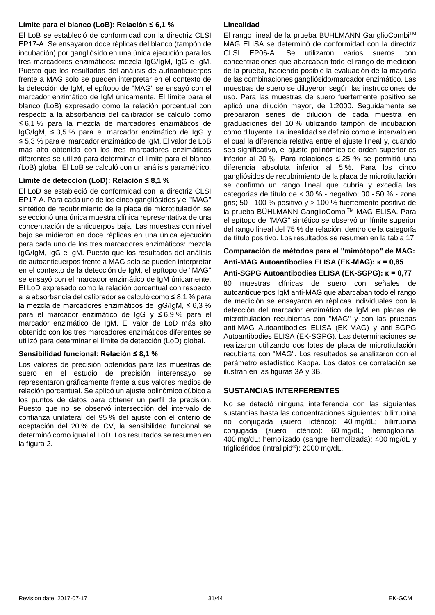#### **Límite para el blanco (LoB): Relación ≤ 6,1 %**

El LoB se estableció de conformidad con la directriz CLSI EP17-A. Se ensayaron doce réplicas del blanco (tampón de incubación) por gangliósido en una única ejecución para los tres marcadores enzimáticos: mezcla IgG/IgM, IgG e IgM. Puesto que los resultados del análisis de autoanticuerpos frente a MAG solo se pueden interpretar en el contexto de la detección de IgM, el epítopo de "MAG" se ensayó con el marcador enzimático de IgM únicamente. El límite para el blanco (LoB) expresado como la relación porcentual con respecto a la absorbancia del calibrador se calculó como ≤ 6,1 % para la mezcla de marcadores enzimáticos de IgG/IgM, ≤ 3,5 % para el marcador enzimático de IgG y ≤ 5,3 % para el marcador enzimático de IgM. El valor de LoB más alto obtenido con los tres marcadores enzimáticos diferentes se utilizó para determinar el límite para el blanco (LoB) global. El LoB se calculó con un análisis paramétrico.

#### **Límite de detección (LoD): Relación ≤ 8,1 %**

El LoD se estableció de conformidad con la directriz CLSI EP17-A. Para cada uno de los cinco gangliósidos y el "MAG" sintético de recubrimiento de la placa de microtitulación se seleccionó una única muestra clínica representativa de una concentración de anticuerpos baja. Las muestras con nivel bajo se midieron en doce réplicas en una única ejecución para cada uno de los tres marcadores enzimáticos: mezcla IgG/IgM, IgG e IgM. Puesto que los resultados del análisis de autoanticuerpos frente a MAG solo se pueden interpretar en el contexto de la detección de IgM, el epítopo de "MAG" se ensayó con el marcador enzimático de IgM únicamente. El LoD expresado como la relación porcentual con respecto a la absorbancia del calibrador se calculó como ≤ 8,1 % para la mezcla de marcadores enzimáticos de IgG/IgM, ≤ 6,3 % para el marcador enzimático de IgG y ≤ 6,9 % para el marcador enzimático de IgM. El valor de LoD más alto obtenido con los tres marcadores enzimáticos diferentes se utilizó para determinar el límite de detección (LoD) global.

#### **Sensibilidad funcional: Relación ≤ 8,1 %**

Los valores de precisión obtenidos para las muestras de suero en el estudio de precisión interensayo se representaron gráficamente frente a sus valores medios de relación porcentual. Se aplicó un ajuste polinómico cúbico a los puntos de datos para obtener un perfil de precisión. Puesto que no se observó intersección del intervalo de confianza unilateral del 95 % del ajuste con el criterio de aceptación del 20 % de CV, la sensibilidad funcional se determinó como igual al LoD. Los resultados se resumen en la figura 2.

#### **Linealidad**

El rango lineal de la prueba BÜHLMANN GanglioCombiTM MAG ELISA se determinó de conformidad con la directriz CLSI EP06-A. Se utilizaron varios sueros con concentraciones que abarcaban todo el rango de medición de la prueba, haciendo posible la evaluación de la mayoría de las combinaciones gangliósido/marcador enzimático. Las muestras de suero se diluyeron según las instrucciones de uso. Para las muestras de suero fuertemente positivo se aplicó una dilución mayor, de 1:2000. Seguidamente se prepararon series de dilución de cada muestra en graduaciones del 10 % utilizando tampón de incubación como diluyente. La linealidad se definió como el intervalo en el cual la diferencia relativa entre el ajuste lineal y, cuando sea significativo, el ajuste polinómico de orden superior es inferior al 20 %. Para relaciones ≤ 25 % se permitió una diferencia absoluta inferior al 5 %. Para los cinco gangliósidos de recubrimiento de la placa de microtitulación se confirmó un rango lineal que cubría y excedía las categorías de título de < 30 % - negativo; 30 - 50 % - zona gris; 50 - 100 % positivo  $y > 100$  % fuertemente positivo de la prueba BÜHLMANN GanglioCombiTM MAG ELISA. Para el epítopo de "MAG" sintético se observó un límite superior del rango lineal del 75 % de relación, dentro de la categoría de título positivo. Los resultados se resumen en la tabla 17.

#### **Comparación de métodos para el "mimótopo" de MAG: Anti-MAG Autoantibodies ELISA (EK-MAG): κ = 0,85 Anti-SGPG Autoantibodies ELISA (EK-SGPG): κ = 0,77**

80 muestras clínicas de suero con señales de autoanticuerpos IgM anti-MAG que abarcaban todo el rango de medición se ensayaron en réplicas individuales con la detección del marcador enzimático de IgM en placas de microtitulación recubiertas con "MAG" y con las pruebas anti-MAG Autoantibodies ELISA (EK-MAG) y anti-SGPG Autoantibodies ELISA (EK-SGPG). Las determinaciones se realizaron utilizando dos lotes de placa de microtitulación recubierta con "MAG". Los resultados se analizaron con el parámetro estadístico Kappa. Los datos de correlación se ilustran en las figuras 3A y 3B.

#### **SUSTANCIAS INTERFERENTES**

No se detectó ninguna interferencia con las siguientes sustancias hasta las concentraciones siguientes: bilirrubina no conjugada (suero ictérico): 40 mg/dL; bilirrubina conjugada (suero ictérico): 60 mg/dL; hemoglobina: 400 mg/dL; hemolizado (sangre hemolizada): 400 mg/dL y triglicéridos (Intralipid®): 2000 mg/dL.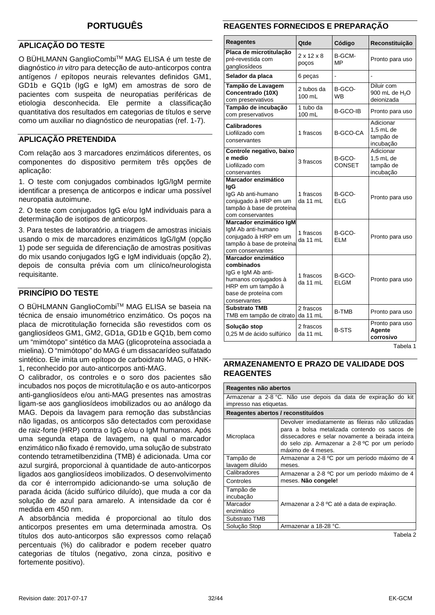#### <span id="page-31-0"></span>**PORTUGUÊS**

#### **APLICAÇÃO DO TESTE**

O BÜHLMANN GanglioCombiTM MAG ELISA é um teste de diagnóstico *in vitro* para detecção de auto-anticorpos contra antígenos / epítopos neurais relevantes definidos GM1, GD1b e GQ1b (IgG e IgM) em amostras de soro de pacientes com suspeita de neuropatias periféricas de etiologia desconhecida. Ele permite a classificação quantitativa dos resultados em categorias de títulos e serve como um auxiliar no diagnóstico de neuropatias (ref. 1-7).

#### **APLICAÇÃO PRETENDIDA**

Com relação aos 3 marcadores enzimáticos diferentes, os componentes do dispositivo permitem três opções de aplicação:

1. O teste com conjugados combinados IgG/IgM permite identificar a presença de anticorpos e indicar uma possível neuropatia autoimune.

2. O teste com conjugados IgG e/ou IgM individuais para a determinação de isotipos de anticorpos.

3. Para testes de laboratório, a triagem de amostras iniciais usando o mix de marcadores enzimáticos IgG/IgM (opção 1) pode ser seguida de diferenciação de amostras positivas do mix usando conjugados IgG e IgM individuais (opção 2), depois de consulta prévia com um clínico/neurologista requisitante.

#### **PRINCÍPIO DO TESTE**

O BÜHLMANN GanglioCombiTM MAG ELISA se baseia na técnica de ensaio imunométrico enzimático. Os poços na placa de microtitulação fornecida são revestidos com os gangliosídeos GM1, GM2, GD1a, GD1b e GQ1b, bem como um "mimótopo" sintético da MAG (glicoproteína associada a mielina). O "mimótopo" do MAG é um dissacarídeo sulfatado sintético. Ele imita um epítopo de carboidrato MAG, o HNK-1, reconhecido por auto-anticorpos anti-MAG.

O calibrador, os controles e o soro dos pacientes são incubados nos poços de microtitulação e os auto-anticorpos anti-gangliosídeos e/ou anti-MAG presentes nas amostras ligam-se aos gangliosídeos imobilizados ou ao análogo da MAG. Depois da lavagem para remoção das substâncias não ligadas, os anticorpos são detectados com peroxidase de raiz-forte (HRP) contra o IgG e/ou o IgM humanos. Após uma segunda etapa de lavagem, na qual o marcador enzimático não fixado é removido, uma solução de substrato contendo tetrametilbenzidina (TMB) é adicionada. Uma cor azul surgirá, proporcional à quantidade de auto-anticorpos ligados aos gangliosídeos imobilizados. O desenvolvimento da cor é interrompido adicionando-se uma solução de parada ácida (ácido sulfúrico diluído), que muda a cor da solução de azul para amarelo. A intensidade da cor é medida em 450 nm.

A absorbância medida é proporcional ao título dos anticorpos presentes em uma determinada amostra. Os títulos dos auto-anticorpos são expressos como relaçaõ percentuais (%) do calibrador e podem receber quatro categorias de títulos (negativo, zona cinza, positivo e fortemente positivo).

#### **REAGENTES FORNECIDOS E PREPARAÇÃO**

| <b>Reagentes</b>                                                                                                                              | <b>Qtde</b>                     | Código                  | Reconstituição                                         |
|-----------------------------------------------------------------------------------------------------------------------------------------------|---------------------------------|-------------------------|--------------------------------------------------------|
| Placa de microtitulação<br>pré-revestida com<br>gangliosídeos                                                                                 | $2 \times 12 \times 8$<br>poços | B-GCM-<br>МP            | Pronto para uso                                        |
| Selador da placa                                                                                                                              | 6 peças                         | $\overline{a}$          |                                                        |
| Tampão de Lavagem<br>Concentrado (10X)<br>com preservativos                                                                                   | 2 tubos da<br>100 mL            | B-GCO-<br><b>WB</b>     | Diluir com<br>900 mL de H <sub>2</sub> O<br>deionizada |
| Tampão de incubação<br>com preservativos                                                                                                      | 1 tubo da<br>100 mL             | B-GCO-IB                | Pronto para uso                                        |
| <b>Calibradores</b><br>Liofilizado com<br>conservantes                                                                                        | 1 frascos                       | <b>B-GCO-CA</b>         | Adicionar<br>$1.5$ mL de<br>tampão de<br>incubação     |
| Controle negativo, baixo<br>e medio<br>Liofilizado com<br>conservantes                                                                        | 3 frascos                       | B-GCO-<br><b>CONSET</b> | Adicionar<br>$1.5$ mL de<br>tampão de<br>incubação     |
| Marcador enzimático<br>lgG<br>IgG Ab anti-humano<br>conjugado à HRP em um<br>tampão à base de proteína<br>com conservantes                    | 1 frascos<br>da 11 mL           | B-GCO-<br>ELG           | Pronto para uso                                        |
| Marcador enzimático IgM<br>IgM Ab anti-humano<br>conjugado à HRP em um<br>tampão à base de proteína<br>com conservantes                       | 1 frascos<br>da 11 mL           | B-GCO-<br>ELM           | Pronto para uso                                        |
| Marcador enzimático<br>combinados<br>IgG e IgM Ab anti-<br>humanos conjugados à<br>HRP em um tampão à<br>base de proteína com<br>conservantes | 1 frascos<br>da 11 mL           | B-GCO-<br>ELGM          | Pronto para uso                                        |
| <b>Substrato TMB</b><br>TMB em tampão de citrato                                                                                              | 2 frascos<br>da 11 mL           | <b>B-TMB</b>            | Pronto para uso                                        |
| Solução stop<br>0,25 M de ácido sulfúrico                                                                                                     | 2 frascos<br>da 11 mL           | <b>B-STS</b>            | Pronto para uso<br>Agente<br>corrosivo                 |

Tabela 1

#### **ARMAZENAMENTO E PRAZO DE VALIDADE DOS REAGENTES**

| Reagentes não abertos                                          |                                                                                                                                                                                                                               |  |  |  |  |
|----------------------------------------------------------------|-------------------------------------------------------------------------------------------------------------------------------------------------------------------------------------------------------------------------------|--|--|--|--|
| Armazenar a 2-8 °C. Não use depois da data de expiração do kit |                                                                                                                                                                                                                               |  |  |  |  |
| impresso nas etiquetas.                                        |                                                                                                                                                                                                                               |  |  |  |  |
| Reagentes abertos / reconstituídos                             |                                                                                                                                                                                                                               |  |  |  |  |
| Microplaca                                                     | Devolver imediatamente as fileiras não utilizadas<br>para a bolsa metalizada contendo os sacos de<br>dissecadores e selar novamente a beirada inteira<br>do selo zip. Armazenar a 2-8 °C por um período<br>máximo de 4 meses. |  |  |  |  |
| Tampão de                                                      | Armazenar a 2-8 °C por um período máximo de 4                                                                                                                                                                                 |  |  |  |  |
| lavagem diluído                                                | meses.                                                                                                                                                                                                                        |  |  |  |  |
| Calibradores                                                   | Armazenar a 2-8 °C por um período máximo de 4                                                                                                                                                                                 |  |  |  |  |
| Controles                                                      | meses. Não congele!                                                                                                                                                                                                           |  |  |  |  |
| Tampão de                                                      |                                                                                                                                                                                                                               |  |  |  |  |
| incubacão                                                      |                                                                                                                                                                                                                               |  |  |  |  |
| Marcador                                                       | Armazenar a 2-8 °C até a data de expiração.                                                                                                                                                                                   |  |  |  |  |
| enzimático                                                     |                                                                                                                                                                                                                               |  |  |  |  |
| Substrato TMB                                                  |                                                                                                                                                                                                                               |  |  |  |  |
| Solucão Stop                                                   | Armazenar a 18-28 °C.                                                                                                                                                                                                         |  |  |  |  |

Tabela 2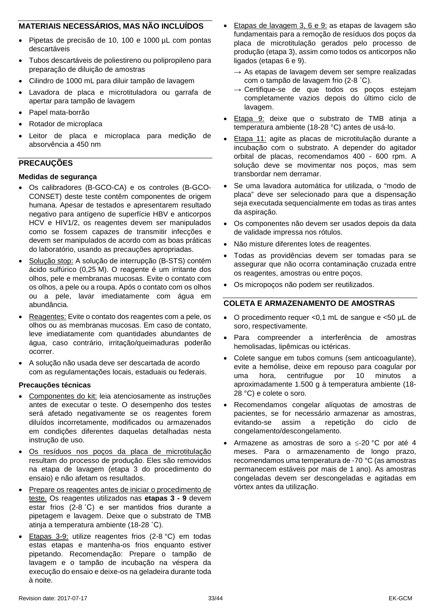#### **MATERIAIS NECESSÁRIOS, MAS NÃO INCLUÍDOS**

- Pipetas de precisão de 10, 100 e 1000 µL com pontas descartáveis
- Tubos descartáveis de poliestireno ou polipropileno para preparação de diluição de amostras
- Cilindro de 1000 mL para diluir tampão de lavagem
- Lavadora de placa e microtituladora ou garrafa de apertar para tampão de lavagem
- Papel mata-borrão
- Rotador de microplaca
- Leitor de placa e microplaca para medição de absorvência a 450 nm

#### **PRECAUÇÕES**

#### **Medidas de segurança**

- Os calibradores (B-GCO-CA) e os controles (B-GCO-CONSET) deste teste contêm componentes de origem humana. Apesar de testados e apresentarem resultado negativo para antígeno de superfície HBV e anticorpos HCV e HIV1/2, os reagentes devem ser manipulados como se fossem capazes de transmitir infecções e devem ser manipulados de acordo com as boas práticas do laboratório, usando as precauções apropriadas.
- Solução stop: A solução de interrupção (B-STS) contém ácido sulfúrico (0,25 M). O reagente é um irritante dos olhos, pele e membranas mucosas. Evite o contato com os olhos, a pele ou a roupa. Após o contato com os olhos ou a pele, lavar imediatamente com água em abundância.
- Reagentes: Evite o contato dos reagentes com a pele, os olhos ou as membranas mucosas. Em caso de contato, leve imediatamente com quantidades abundantes de água, caso contrário, irritação/queimaduras poderão ocorrer.
- A solução não usada deve ser descartada de acordo com as regulamentações locais, estaduais ou federais.

#### **Precauções técnicas**

- Componentes do kit: leia atenciosamente as instruções antes de executar o teste. O desempenho dos testes será afetado negativamente se os reagentes forem diluídos incorretamente, modificados ou armazenados em condições diferentes daquelas detalhadas nesta instrução de uso.
- Os resíduos nos poços da placa de microtitulação resultam do processo de produção. Eles são removidos na etapa de lavagem (etapa 3 do procedimento do ensaio) e não afetam os resultados.
- Prepare os reagentes antes de iniciar o procedimento de teste. Os reagentes utilizados nas **etapas 3 - 9** devem estar frios (2-8 ˚C) e ser mantidos frios durante a pipetagem e lavagem. Deixe que o substrato de TMB atinja a temperatura ambiente (18-28 ˚C).
- Etapas 3-9: utilize reagentes frios (2-8 °C) em todas estas etapas e mantenha-os frios enquanto estiver pipetando. Recomendação: Prepare o tampão de lavagem e o tampão de incubação na véspera da execução do ensaio e deixe-os na geladeira durante toda à noite.
- Etapas de lavagem 3, 6 e 9: as etapas de lavagem são fundamentais para a remoção de resíduos dos poços da placa de microtitulação gerados pelo processo de produção (etapa 3), assim como todos os anticorpos não ligados (etapas 6 e 9).
	- $\rightarrow$  As etapas de lavagem devem ser sempre realizadas com o tampão de lavagem frio (2-8 ˚C).
	- → Certifique-se de que todos os poços estejam completamente vazios depois do último ciclo de lavagem.
- Etapa 9: deixe que o substrato de TMB atinja a temperatura ambiente (18-28 °C) antes de usá-lo.
- Etapa 11: agite as placas de microtitulação durante a incubação com o substrato. A depender do agitador orbital de placas, recomendamos 400 - 600 rpm. A solução deve se movimentar nos poços, mas sem transbordar nem derramar.
- Se uma lavadora automática for utilizada, o "modo de placa" deve ser selecionado para que a dispensação seja executada sequencialmente em todas as tiras antes da aspiração.
- Os componentes não devem ser usados depois da data de validade impressa nos rótulos.
- Não misture diferentes lotes de reagentes.
- Todas as providências devem ser tomadas para se assegurar que não ocorra contaminação cruzada entre os reagentes, amostras ou entre poços.
- Os micropoços não podem ser reutilizados.

#### **COLETA E ARMAZENAMENTO DE AMOSTRAS**

- O procedimento requer <0,1 mL de sangue e <50 µL de soro, respectivamente.
- Para compreender a interferência de amostras hemolisadas, lipêmicas ou ictéricas.
- Colete sangue em tubos comuns (sem anticoagulante), evite a hemólise, deixe em repouso para coagular por uma hora, centrifugue por 10 minutos a aproximadamente 1.500 g à temperatura ambiente (18- 28 °C) e colete o soro.
- Recomendamos congelar alíquotas de amostras de pacientes, se for necessário armazenar as amostras, evitando-se assim a repetição do ciclo de congelamento/descongelamento.
- Armazene as amostras de soro a ≤-20 °C por até 4 meses. Para o armazenamento de longo prazo, recomendamos uma temperatura de -70 °C (as amostras permanecem estáveis por mais de 1 ano). As amostras congeladas devem ser descongeladas e agitadas em vórtex antes da utilização.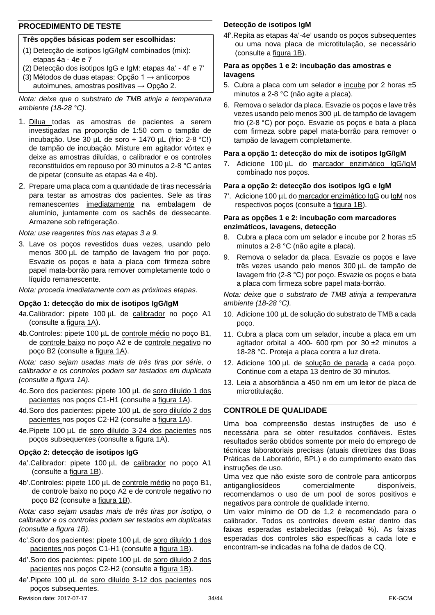#### **PROCEDIMENTO DE TESTE**

#### **Três opções básicas podem ser escolhidas:**

- (1) Detecção de isotipos IgG/IgM combinados (mix): etapas 4a - 4e e 7
- (2) Detecção dos isotipos IgG e IgM: etapas 4a' 4f' e 7'
- (3) Métodos de duas etapas: Opção 1  $\rightarrow$  anticorpos autoimunes, amostras positivas  $\rightarrow$  Opção 2.

*Nota: deixe que o substrato de TMB atinja a temperatura ambiente (18-28 °C).*

- 1. Dilua todas as amostras de pacientes a serem investigadas na proporção de 1:50 com o tampão de incubação. Use 30 µL de soro + 1470 µL (frio: 2-8 °C!) de tampão de incubação. Misture em agitador vórtex e deixe as amostras diluídas, o calibrador e os controles reconstituídos em repouso por 30 minutos a 2-8 °C antes de pipetar (consulte as etapas 4a e 4b).
- 2. Prepare uma placa com a quantidade de tiras necessária para testar as amostras dos pacientes. Sele as tiras remanescentes imediatamente na embalagem de alumínio, juntamente com os sachês de dessecante. Armazene sob refrigeração.

*Nota: use reagentes frios nas etapas 3 a 9.*

3. Lave os poços revestidos duas vezes, usando pelo menos 300 µL de tampão de lavagem frio por poço. Esvazie os poços e bata a placa com firmeza sobre papel mata-borrão para remover completamente todo o líquido remanescente.

*Nota: proceda imediatamente com as próximas etapas.*

#### **Opção 1: detecção do mix de isotipos IgG/IgM**

- 4a.Calibrador: pipete 100 µL de calibrador no poço A1 (consulte a figura 1A).
- 4b.Controles: pipete 100 µL de controle médio no poço B1, de controle baixo no poço A2 e de controle negativo no poço B2 (consulte a figura 1A).

*Nota: caso sejam usadas mais de três tiras por série, o calibrador e os controles podem ser testados em duplicata (consulte a figura 1A).*

- 4c.Soro dos pacientes: pipete 100 µL de soro diluído 1 dos pacientes nos poços C1-H1 (consulte a figura 1A).
- 4d. Soro dos pacientes: pipete 100 µL de soro diluído 2 dos pacientes nos poços C2-H2 (consulte a figura 1A).
- 4e.Pipete 100 µL de soro diluído 3-24 dos pacientes nos poços subsequentes (consulte a figura 1A).

#### **Opção 2: detecção de isotipos IgG**

- 4a'.Calibrador: pipete 100 µL de calibrador no poço A1 (consulte a figura 1B).
- 4b'.Controles: pipete 100 µL de controle médio no poço B1, de controle baixo no poço A2 e de controle negativo no poço B2 (consulte a figura 1B).

*Nota: caso sejam usadas mais de três tiras por isotipo, o calibrador e os controles podem ser testados em duplicatas (consulte a figura 1B).*

- 4c'.Soro dos pacientes: pipete 100 µL de soro diluído 1 dos pacientes nos poços C1-H1 (consulte a figura 1B).
- 4d'.Soro dos pacientes: pipete 100 µL de soro diluído 2 dos pacientes nos poços C2-H2 (consulte a figura 1B).
- Revision date: 2017-07-17 34/44 EK-GCM 4e'.Pipete 100 µL de soro diluído 3-12 dos pacientes nos poços subsequentes.

#### **Detecção de isotipos IgM**

4f'.Repita as etapas 4a'-4e' usando os poços subsequentes ou uma nova placa de microtitulação, se necessário (consulte a figura 1B).

#### **Para as opções 1 e 2: incubação das amostras e lavagens**

- 5. Cubra a placa com um selador e incube por 2 horas  $\pm 5$ minutos a 2-8 °C (não agite a placa).
- 6. Remova o selador da placa. Esvazie os poços e lave três vezes usando pelo menos 300 µL de tampão de lavagem frio (2-8 °C) por poço. Esvazie os poços e bata a placa com firmeza sobre papel mata-borrão para remover o tampão de lavagem completamente.

#### **Para a opção 1: detecção do mix de isotipos IgG/IgM**

7. Adicione 100 µL do marcador enzimático IgG/IgM combinado nos poços.

#### **Para a opção 2: detecção dos isotipos IgG e IgM**

7'. Adicione 100 µL do marcador enzimático IgG ou IgM nos respectivos poços (consulte a figura 1B).

#### **Para as opções 1 e 2: incubação com marcadores enzimáticos, lavagens, detecção**

- 8. Cubra a placa com um selador e incube por 2 horas  $\pm 5$ minutos a 2-8 °C (não agite a placa).
- 9. Remova o selador da placa. Esvazie os poços e lave três vezes usando pelo menos 300 µL de tampão de lavagem frio (2-8 °C) por poço. Esvazie os poços e bata a placa com firmeza sobre papel mata-borrão.

*Nota: deixe que o substrato de TMB atinja a temperatura ambiente (18-28 °C).*

- 10. Adicione 100 µL de solução do substrato de TMB a cada poço.
- 11. Cubra a placa com um selador, incube a placa em um agitador orbital a 400- 600 rpm por 30 ±2 minutos a 18-28 °C. Proteja a placa contra a luz direta.
- 12. Adicione 100 µL de solução de parada a cada poço. Continue com a etapa 13 dentro de 30 minutos.
- 13. Leia a absorbância a 450 nm em um leitor de placa de microtitulação.

#### **CONTROLE DE QUALIDADE**

Uma boa compreensão destas instruções de uso é necessária para se obter resultados confiáveis. Estes resultados serão obtidos somente por meio do emprego de técnicas laboratoriais precisas (atuais diretrizes das Boas Práticas de Laboratório, BPL) e do cumprimento exato das instruções de uso.

Uma vez que não existe soro de controle para anticorpos antigangliosídeos comercialmente disponíveis, recomendamos o uso de um pool de soros positivos e negativos para controle de qualidade interno.

Um valor mínimo de OD de 1,2 é recomendado para o calibrador. Todos os controles devem estar dentro das faixas esperadas estabelecidas (relaçaõ %). As faixas esperadas dos controles são específicas a cada lote e encontram-se indicadas na folha de dados de CQ.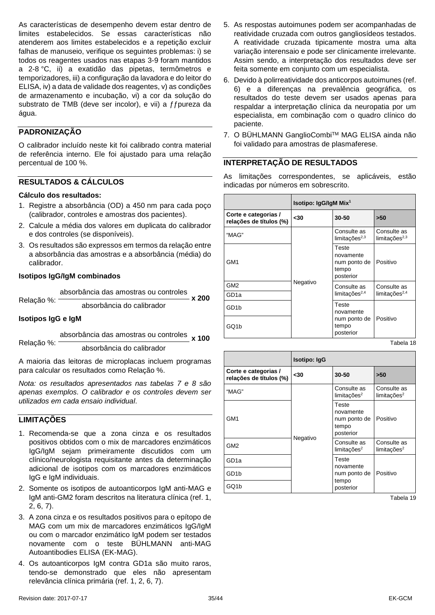As características de desempenho devem estar dentro de limites estabelecidos. Se essas características não atenderem aos limites estabelecidos e a repetição excluir falhas de manuseio, verifique os seguintes problemas: i) se todos os reagentes usados nas etapas 3-9 foram mantidos a 2-8 °C, ii) a exatidão das pipetas, termômetros e temporizadores, iii) a configuração da lavadora e do leitor do ELISA, iv) a data de validade dos reagentes, v) as condições de armazenamento e incubação, vi) a cor da solução do substrato de TMB (deve ser incolor), e vii) a ffpureza da água.

#### **PADRONIZAÇÃO**

O calibrador incluído neste kit foi calibrado contra material de referência interno. Ele foi ajustado para uma relação percentual de 100 %.

#### **RESULTADOS & CÁLCULOS**

#### **Cálculo dos resultados:**

- 1. Registre a absorbância (OD) a 450 nm para cada poço (calibrador, controles e amostras dos pacientes).
- 2. Calcule a média dos valores em duplicata do calibrador e dos controles (se disponíveis).
- 3. Os resultados são expressos em termos da relação entre a absorbância das amostras e a absorbância (média) do calibrador.

#### **Isotipos IgG/IgM combinados**

absorbância das amostras ou controles **x 200**

Relação %: absorbância do calibrador

#### **Isotipos IgG e IgM**

Relação %:

absorbância das amostras ou controles **x 100**

absorbância do calibrador

A maioria das leitoras de microplacas incluem programas para calcular os resultados como Relação %.

*Nota: os resultados apresentados nas tabelas 7 e 8 são apenas exemplos. O calibrador e os controles devem ser utilizados em cada ensaio individual*.

#### **LIMITAÇÕES**

- 1. Recomenda-se que a zona cinza e os resultados positivos obtidos com o mix de marcadores enzimáticos IgG/IgM sejam primeiramente discutidos com um clínico/neurologista requisitante antes da determinação adicional de isotipos com os marcadores enzimáticos IgG e IgM individuais.
- 2. Somente os isotipos de autoanticorpos IgM anti-MAG e IgM anti-GM2 foram descritos na literatura clínica (ref. 1, 2, 6, 7).
- 3. A zona cinza e os resultados positivos para o epítopo de MAG com um mix de marcadores enzimáticos IgG/IgM ou com o marcador enzimático IgM podem ser testados novamente com o teste BÜHLMANN anti-MAG Autoantibodies ELISA (EK-MAG).
- 4. Os autoanticorpos IgM contra GD1a são muito raros, tendo-se demonstrado que eles não apresentam relevância clínica primária (ref. 1, 2, 6, 7).
- 5. As respostas autoimunes podem ser acompanhadas de reatividade cruzada com outros gangliosídeos testados. A reatividade cruzada tipicamente mostra uma alta variação interensaio e pode ser clinicamente irrelevante. Assim sendo, a interpretação dos resultados deve ser feita somente em conjunto com um especialista.
- 6. Devido à polirreatividade dos anticorpos autoimunes (ref. 6) e a diferenças na prevalência geográfica, os resultados do teste devem ser usados apenas para respaldar a interpretação clínica da neuropatia por um especialista, em combinação com o quadro clínico do paciente.
- 7. O BÜHLMANN GanglioCombiTM MAG ELISA ainda não foi validado para amostras de plasmaferese.

#### **INTERPRETAÇÃO DE RESULTADOS**

As limitações correspondentes, se aplicáveis, estão indicadas por números em sobrescrito.

|                                                 | Isotipo: IgG/IgM Mix <sup>1</sup> |                                                          |                                 |  |
|-------------------------------------------------|-----------------------------------|----------------------------------------------------------|---------------------------------|--|
| Corte e categorias /<br>relações de títulos (%) | $30$                              | 30-50                                                    | >50                             |  |
| "MAG"                                           |                                   | Consulte as<br>limitações $2,3$                          | Consulte as<br>limitações $2,3$ |  |
| GM <sub>1</sub>                                 |                                   | Teste<br>novamente<br>num ponto de<br>tempo<br>posterior | Positivo                        |  |
| GM <sub>2</sub>                                 | Negativo                          | Consulte as                                              | Consulte as                     |  |
| GD <sub>1a</sub>                                |                                   | limitações $2,4$                                         | limitações $2,4$                |  |
| GD <sub>1</sub> b                               |                                   |                                                          | Teste<br>novamente              |  |
| GQ1b                                            |                                   | num ponto de<br>tempo<br>posterior                       | Positivo                        |  |

Tabela 18

|                                                 | <b>Isotipo: IgG</b> |                                                          |                                           |
|-------------------------------------------------|---------------------|----------------------------------------------------------|-------------------------------------------|
| Corte e categorias /<br>relações de títulos (%) | $30$                | 30-50                                                    | >50                                       |
| "MAG"                                           |                     | Consulte as<br>limits <sup>2</sup>                       | Consulte as<br>limitações <sup>2</sup>    |
| GM <sub>1</sub>                                 | Negativo            | Teste<br>novamente<br>num ponto de<br>tempo<br>posterior | Positivo                                  |
| GM <sub>2</sub>                                 |                     | Consulte as<br>limits <sup>2</sup>                       | Consulte as<br>$limita\zeta\tilde{o}es^2$ |
| GD <sub>1a</sub>                                |                     | Teste<br>novamente                                       |                                           |
| GD <sub>1</sub> b                               |                     | num ponto de                                             | Positivo                                  |
| GQ1b                                            |                     | tempo<br>posterior                                       |                                           |

Tabela 19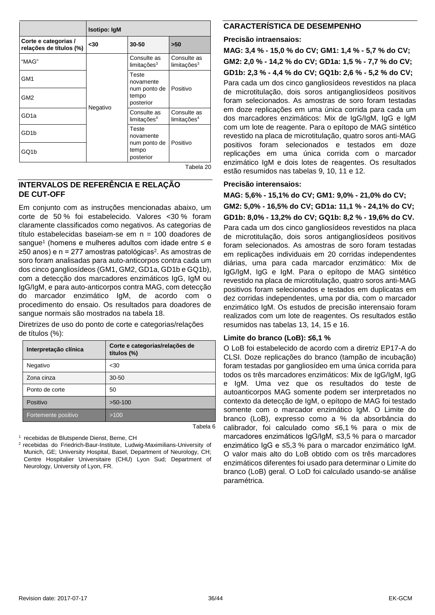|                                                 | <b>Isotipo: IgM</b> |                                        |                                        |  |
|-------------------------------------------------|---------------------|----------------------------------------|----------------------------------------|--|
| Corte e categorias /<br>relações de títulos (%) | $30$                | 30-50                                  | >50                                    |  |
| "MAG"                                           |                     | Consulte as<br>limits <sup>3</sup>     | Consulte as<br>limits <sup>3</sup>     |  |
| GM <sub>1</sub>                                 | Negativo            |                                        | Teste<br>novamente                     |  |
| GM <sub>2</sub>                                 |                     | num ponto de<br>tempo<br>posterior     | Positivo                               |  |
| GD <sub>1a</sub>                                |                     | Consulte as<br>limitações <sup>4</sup> | Consulte as<br>limitações <sup>4</sup> |  |
| GD <sub>1</sub> b                               |                     | Teste<br>novamente                     |                                        |  |
| GQ1b                                            |                     | num ponto de<br>tempo<br>posterior     | Positivo                               |  |

#### Tabela 20

#### **INTERVALOS DE REFERÊNCIA E RELAÇÃO DE CUT-OFF**

Em conjunto com as instruções mencionadas abaixo, um corte de 50 % foi estabelecido. Valores <30 % foram claramente classificados como negativos. As categorias de título estabelecidas baseiam-se em n = 100 doadores de sangue<sup>1</sup> (homens e mulheres adultos com idade entre  $\leq e$ ≥50 anos) e n = 277 amostras patológicas2. As amostras de soro foram analisadas para auto-anticorpos contra cada um dos cinco gangliosídeos (GM1, GM2, GD1a, GD1b e GQ1b), com a detecção dos marcadores enzimáticos IgG, IgM ou IgG/IgM, e para auto-anticorpos contra MAG, com detecção do marcador enzimático IgM, de acordo com o procedimento do ensaio. Os resultados para doadores de sangue normais são mostrados na tabela 18.

Diretrizes de uso do ponto de corte e categorias/relações de títulos (%):

| Interpretação clínica | Corte e categorias/relações de<br>títulos (%) |
|-----------------------|-----------------------------------------------|
| Negativo              | $30$                                          |
| Zona cinza            | $30 - 50$                                     |
| Ponto de corte        | 50                                            |
| Positivo              | $>50-100$                                     |
| Fortemente positivo   | >100                                          |

<sup>1</sup> recebidas de Blutspende Dienst, Berne, CH

2 recebidas do Friedrich-Baur-Institute, Ludwig-Maximilians-University of Munich, GE; University Hospital, Basel, Department of Neurology, CH; Centre Hospitalier Universitaire (CHU) Lyon Sud; Department of Neurology, University of Lyon, FR.

#### **CARACTERÍSTICA DE DESEMPENHO**

#### **Precisão intraensaios:**

**MAG: 3,4 % - 15,0 % do CV; GM1: 1,4 % - 5,7 % do CV; GM2: 2,0 % - 14,2 % do CV; GD1a: 1,5 % - 7,7 % do CV; GD1b: 2,3 % - 4,4 % do CV; GQ1b: 2,6 % - 5,2 % do CV;**  Para cada um dos cinco gangliosídeos revestidos na placa de microtitulação, dois soros antigangliosídeos positivos foram selecionados. As amostras de soro foram testadas em doze replicações em uma única corrida para cada um dos marcadores enzimáticos: Mix de IgG/IgM, IgG e IgM com um lote de reagente. Para o epítopo de MAG sintético revestido na placa de microtitulação, quatro soros anti-MAG positivos foram selecionados e testados em doze replicações em uma única corrida com o marcador enzimático IgM e dois lotes de reagentes. Os resultados estão resumidos nas tabelas 9, 10, 11 e 12.

#### **Precisão interensaios:**

**MAG: 5,6% - 15,1% do CV; GM1: 9,0% - 21,0% do CV; GM2: 5,0% - 16,5% do CV; GD1a: 11,1 % - 24,1% do CV; GD1b: 8,0% - 13,2% do CV; GQ1b: 8,2 % - 19,6% do CV.**  Para cada um dos cinco gangliosídeos revestidos na placa de microtitulação, dois soros antigangliosídeos positivos foram selecionados. As amostras de soro foram testadas em replicações individuais em 20 corridas independentes diárias, uma para cada marcador enzimático: Mix de IgG/IgM, IgG e IgM. Para o epítopo de MAG sintético revestido na placa de microtitulação, quatro soros anti-MAG positivos foram selecionados e testados em duplicatas em dez corridas independentes, uma por dia, com o marcador enzimático IgM. Os estudos de precisão interensaio foram realizados com um lote de reagentes. Os resultados estão resumidos nas tabelas 13, 14, 15 e 16.

#### **Limite do branco (LoB): ≤6,1 %**

O LoB foi estabelecido de acordo com a diretriz EP17-A do CLSI. Doze replicações do branco (tampão de incubação) foram testadas por gangliosídeo em uma única corrida para todos os três marcadores enzimáticos: Mix de IgG/IgM, IgG e IgM. Uma vez que os resultados do teste de autoanticorpos MAG somente podem ser interpretados no contexto da detecção de IgM, o epítopo de MAG foi testado somente com o marcador enzimático IgM. O Limite do branco (LoB), expresso como a % da absorbância do calibrador, foi calculado como ≤6,1 % para o mix de marcadores enzimáticos IgG/IgM, ≤3,5 % para o marcador enzimático IgG e ≤5,3 % para o marcador enzimático IgM. O valor mais alto do LoB obtido com os três marcadores enzimáticos diferentes foi usado para determinar o Limite do branco (LoB) geral. O LoD foi calculado usando-se análise paramétrica.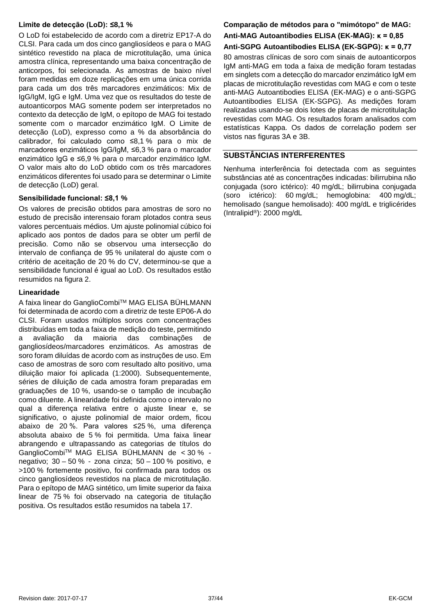#### **Limite de detecção (LoD): ≤8,1 %**

O LoD foi estabelecido de acordo com a diretriz EP17-A do CLSI. Para cada um dos cinco gangliosídeos e para o MAG sintético revestido na placa de microtitulação, uma única amostra clínica, representando uma baixa concentração de anticorpos, foi selecionada. As amostras de baixo nível foram medidas em doze replicações em uma única corrida para cada um dos três marcadores enzimáticos: Mix de IgG/IgM, IgG e IgM. Uma vez que os resultados do teste de autoanticorpos MAG somente podem ser interpretados no contexto da detecção de IgM, o epítopo de MAG foi testado somente com o marcador enzimático IgM. O Limite de detecção (LoD), expresso como a % da absorbância do calibrador, foi calculado como ≤8,1 % para o mix de marcadores enzimáticos IgG/IgM, ≤6,3 % para o marcador enzimático IgG e ≤6,9 % para o marcador enzimático IgM. O valor mais alto do LoD obtido com os três marcadores enzimáticos diferentes foi usado para se determinar o Limite de detecção (LoD) geral.

#### **Sensibilidade funcional: ≤8,1 %**

Os valores de precisão obtidos para amostras de soro no estudo de precisão interensaio foram plotados contra seus valores percentuais médios. Um ajuste polinomial cúbico foi aplicado aos pontos de dados para se obter um perfil de precisão. Como não se observou uma intersecção do intervalo de confiança de 95 % unilateral do ajuste com o critério de aceitação de 20 % do CV, determinou-se que a sensibilidade funcional é igual ao LoD. Os resultados estão resumidos na figura 2.

#### **Linearidade**

A faixa linear do GanglioCombiTM MAG ELISA BÜHLMANN foi determinada de acordo com a diretriz de teste EP06-A do CLSI. Foram usados múltiplos soros com concentrações distribuídas em toda a faixa de medição do teste, permitindo a avaliação da maioria das combinações de gangliosídeos/marcadores enzimáticos. As amostras de soro foram diluídas de acordo com as instruções de uso. Em caso de amostras de soro com resultado alto positivo, uma diluição maior foi aplicada (1:2000). Subsequentemente, séries de diluição de cada amostra foram preparadas em graduações de 10 %, usando-se o tampão de incubação como diluente. A linearidade foi definida como o intervalo no qual a diferença relativa entre o ajuste linear e, se significativo, o ajuste polinomial de maior ordem, ficou abaixo de 20 %. Para valores ≤25 %, uma diferença absoluta abaixo de 5 % foi permitida. Uma faixa linear abrangendo e ultrapassando as categorias de títulos do GanglioCombiTM MAG ELISA BÜHLMANN de < 30 % negativo; 30 – 50 % - zona cinza; 50 – 100 % positivo, e >100 % fortemente positivo, foi confirmada para todos os cinco gangliosídeos revestidos na placa de microtitulação. Para o epítopo de MAG sintético, um limite superior da faixa linear de 75 % foi observado na categoria de titulação positiva. Os resultados estão resumidos na tabela 17.

#### **Comparação de métodos para o "mimótopo" de MAG: Anti-MAG Autoantibodies ELISA (EK-MAG): κ = 0,85 Anti-SGPG Autoantibodies ELISA (EK-SGPG): κ = 0,77**

80 amostras clínicas de soro com sinais de autoanticorpos IgM anti-MAG em toda a faixa de medição foram testadas em singlets com a detecção do marcador enzimático IgM em placas de microtitulação revestidas com MAG e com o teste anti-MAG Autoantibodies ELISA (EK-MAG) e o anti-SGPG Autoantibodies ELISA (EK-SGPG). As medições foram realizadas usando-se dois lotes de placas de microtitulação revestidas com MAG. Os resultados foram analisados com estatísticas Kappa. Os dados de correlação podem ser vistos nas figuras 3A e 3B.

#### **SUBSTÂNCIAS INTERFERENTES**

Nenhuma interferência foi detectada com as seguintes substâncias até as concentrações indicadas: bilirrubina não conjugada (soro ictérico): 40 mg/dL; bilirrubina conjugada (soro ictérico): 60 mg/dL; hemoglobina: 400 mg/dL; hemolisado (sangue hemolisado): 400 mg/dL e triglicérides (Intralipid®): 2000 mg/dL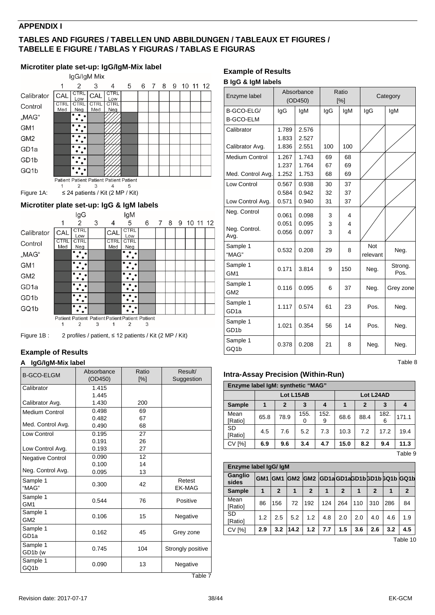#### **APPENDIX I**

#### **TABLES AND FIGURES / TABELLEN UND ABBILDUNGEN / TABLEAUX ET FIGURES / TABELLE E FIGURE / TABLAS Y FIGURAS / TABLAS E FIGURAS**

#### **Microtiter plate set-up: IgG/IgM-Mix label** IgG/IgM Mix 6 7 8 9 10 11 12  $\overline{1}$  $\overline{2}$ 3  $\overline{4}$ 5  $CTRL$  $CTRL$ Calibrator CAL  $<sup>CI</sup>$ </sup> Low<br>CTRL<br>Neg  $Low$ <br>CTRL CTRL<br>Med CTRL Control Med Neg "MAG"  $\ddot{\cdot}$  :  $\dddot{\cdot}$  : GM<sub>1</sub>  $\dddot{\cdot}$ GM<sub>2</sub>  $\dddot{\cdot}$ GD<sub>1a</sub>  $\overline{\cdot \cdot \cdot}$ GD1b GQ1b  $\ddot{\cdot}$ Patient Patient Patient Patient Patient  $\mathbf{1}$  $\overline{2}$ 3  $\overline{4}$ 5 Figure 1A:  $\leq 24$  patients / Kit (2 MP / Kit)

#### <span id="page-37-0"></span>**Microtiter plate set-up: IgG & IgM labels**



Figure 1B : 2 profiles / patient, ≤ 12 patients / Kit (2 MP / Kit)

#### **Example of Results**

#### **A IgG/IgM-Mix label**

| <b>B-GCO-ELGM</b>            | Absorbance<br>(OD450) | Ratio<br>[%] | Result/<br>Suggestion   |
|------------------------------|-----------------------|--------------|-------------------------|
| Calibrator                   | 1.415                 |              |                         |
|                              | 1.445                 |              |                         |
| Calibrator Avg.              | 1.430                 | 200          |                         |
| <b>Medium Control</b>        | 0.498                 | 69           |                         |
|                              | 0.482                 | 67           |                         |
| Med. Control Avg.            | 0.490                 | 68           |                         |
| Low Control                  | 0.195                 | 27           |                         |
|                              | 0.191                 | 26           |                         |
| Low Control Avg.             | 0.193                 | 27           |                         |
| Negative Control             | 0.090                 | 12           |                         |
|                              | 0.100                 | 14           |                         |
| Neg. Control Avg.            | 0.095                 | 13           |                         |
| Sample 1<br>"MAG"            | 0.300                 | 42           | Retest<br><b>EK-MAG</b> |
| Sample 1<br>GM <sub>1</sub>  | 0.544                 | 76           | Positive                |
| Sample 1<br>GM <sub>2</sub>  | 0.106                 | 15           | Negative                |
| Sample 1<br>GD <sub>1a</sub> | 0.162                 | 45           | Grey zone               |
| Sample 1<br>GD1b (w          | 0.745                 | 104          | Strongly positive       |
| Sample 1<br>GQ1b             | 0.090                 | 13           | Negative                |
|                              |                       |              | Table 7                 |

#### **Example of Results**

#### **B IgG & IgM labels**

| Enzyme label                               |                         | Absorbance<br>(OD450)   |                | Ratio<br>[%]                      |                 | Category        |
|--------------------------------------------|-------------------------|-------------------------|----------------|-----------------------------------|-----------------|-----------------|
| B-GCO-ELG/<br><b>B-GCO-ELM</b>             | IgG                     | lgM                     | IgG            | lgM                               | IgG             | IgM             |
| Calibrator<br>Calibrator Avg.              | 1.789<br>1.833<br>1.836 | 2.576<br>2.527<br>2.551 | 100            | 100                               |                 |                 |
| <b>Medium Control</b><br>Med. Control Avg. | 1.267<br>1.237<br>1.252 | 1.743<br>1.764<br>1.753 | 69<br>67<br>68 | 68<br>69<br>69                    |                 |                 |
| <b>Low Control</b><br>Low Control Avg.     | 0.567<br>0.584<br>0.571 | 0.938<br>0.942<br>0.940 | 30<br>32<br>31 | 37<br>37<br>37                    |                 |                 |
| Neg. Control<br>Neg. Control.<br>Avg.      | 0.061<br>0.051<br>0.056 | 0.098<br>0.095<br>0.097 | 3<br>3<br>3    | 4<br>4<br>$\overline{\mathbf{4}}$ |                 |                 |
| Sample 1<br>"MAG"                          | 0.532                   | 0.208                   | 29             | 8                                 | Not<br>relevant | Neg.            |
| Sample 1<br>GM <sub>1</sub>                | 0.171                   | 3.814                   | 9              | 150                               | Neg.            | Strong.<br>Pos. |
| Sample 1<br>GM <sub>2</sub>                | 0.116                   | 0.095                   | 6              | 37                                | Neg.            | Grey zone       |
| Sample 1<br>GD <sub>1a</sub>               | 1.117                   | 0.574                   | 61             | 23                                | Pos.            | Neg.            |
| Sample 1<br>GD <sub>1</sub> b              | 1.021                   | 0.354                   | 56             | 14                                | Pos.            | Neg.            |
| Sample 1<br>GQ1b                           | 0.378                   | 0.208                   | 21             | 8                                 | Neg.            | Neg.            |

#### **Intra-Assay Precision (Within-Run)**

| Enzyme label IqM: synthetic "MAG" |      |              |           |           |           |                |           |       |  |  |  |  |
|-----------------------------------|------|--------------|-----------|-----------|-----------|----------------|-----------|-------|--|--|--|--|
|                                   |      |              | Lot L15AB |           | Lot L24AD |                |           |       |  |  |  |  |
| <b>Sample</b>                     |      | $\mathbf{2}$ | 3         | 4         |           | $\overline{2}$ | 3         | 4     |  |  |  |  |
| Mean<br>[Ratio]                   | 65.8 | 78.9         | 155.<br>0 | 152.<br>9 | 68.6      | 88.4           | 182.<br>6 | 171.1 |  |  |  |  |
| SD<br>[Ratio]                     | 4.5  | 7.6          | 5.2       | 7.3       | 10.3      | 7.2            | 17.2      | 19.4  |  |  |  |  |
| <b>CV [%]</b>                     | 6.9  | 9.6          | 3.4       | 4.7       | 15.0      | 8.2            | 9.4       | 11.3  |  |  |  |  |

Table 9

Table 8

| Enzyme label IqG/IqM |                 |                  |      |              |     |                |     |              |     |                                  |  |
|----------------------|-----------------|------------------|------|--------------|-----|----------------|-----|--------------|-----|----------------------------------|--|
| Ganglio<br>sides     | GM <sub>1</sub> | IGM <sub>1</sub> |      |              |     |                |     |              |     | GM2 GM2 GD1aGD1aGD1bGD1bGQ1bGQ1b |  |
| <b>Sample</b>        |                 | $\mathbf{2}$     |      | $\mathbf{2}$ | 1   | $\overline{2}$ | 1   | $\mathbf{2}$ | 1   | $\mathbf{2}$                     |  |
| Mean<br>[Ratio]      | 86              | 156              | 72   | 192          | 124 | 264            | 110 | 310          | 286 | 84                               |  |
| <b>SD</b><br>[Ratio] | 1.2             | 2.5              | 5.2  | 1.2          | 4.8 | 2.0            | 2.0 | 4.0          | 4.6 | 1.9                              |  |
| <b>CV [%]</b>        | 2.9             | 3.2              | 14.2 | 1.2          | 7.7 | 1.5            | 3.6 | 2.6          | 3.2 | 4.5                              |  |

Table 10

Table 7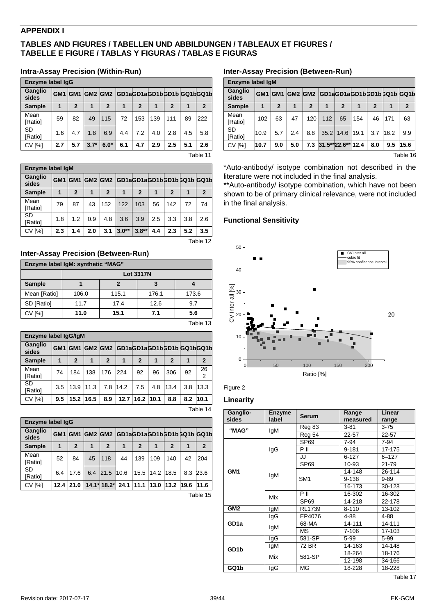#### **APPENDIX I**

#### **TABLES AND FIGURES / TABELLEN UND ABBILDUNGEN / TABLEAUX ET FIGURES / TABELLE E FIGURE / TABLAS Y FIGURAS / TABLAS E FIGURAS**

#### **Intra-Assay Precision (Within-Run)**

| <b>Enzyme label lgG</b> |                 |              |         |              |                              |                |     |             |     |              |
|-------------------------|-----------------|--------------|---------|--------------|------------------------------|----------------|-----|-------------|-----|--------------|
| Ganglio<br>sides        | GM <sub>1</sub> |              | GM1 GM2 |              | GM2 GD1aGD1aGD1bGD1bGQ1bGQ1b |                |     |             |     |              |
| <b>Sample</b>           |                 | $\mathbf{2}$ |         | $\mathbf{2}$ |                              | $\overline{2}$ |     | $\mathbf 2$ |     | $\mathbf{2}$ |
| Mean<br>[Ratio]         | 59              | 82           | 49      | 115          | 72                           | 153            | 139 | 111         | 89  | 222          |
| <b>SD</b><br>[Ratio]    | 1.6             | 4.7          | 1.8     | 6.9          | 4.4                          | 7.2            | 4.0 | 2.8         | 4.5 | 5.8          |
| <b>CV [%]</b>           | 2.7             | 5.7          | $3.7*$  | $6.0*$       | 6.1                          | 4.7            | 2.9 | 2.5         | 5.1 | 2.6          |
|                         | _               |              |         |              |                              |                |     |             |     |              |

Table 11

| Enzyme label IgM     |                 |                  |     |                |                                   |                |     |                |     |              |
|----------------------|-----------------|------------------|-----|----------------|-----------------------------------|----------------|-----|----------------|-----|--------------|
| Ganglio<br>sides     | GM <sub>1</sub> | IGM <sub>1</sub> |     |                | GM2 GM2 GD1aGD1aGD1bGD1bGQ1b GQ1b |                |     |                |     |              |
| <b>Sample</b>        |                 | $\mathbf{2}$     |     | $\overline{2}$ |                                   | $\overline{2}$ |     | $\overline{2}$ |     | $\mathbf{2}$ |
| Mean<br>[Ratio]      | 79              | 87               | 43  | 152            | 122                               | 103            | 56  | 142            | 72  | 74           |
| <b>SD</b><br>[Ratio] | 1.8             | 1.2              | 0.9 | 4.8            | 3.6                               | 3.9            | 2.5 | 3.3            | 3.8 | 2.6          |
| <b>CV [%]</b>        | 2.3             | 1.4              | 2.0 | 3.1            | $3.0**$                           | $3.8**$        | 4.4 | 2.3            | 5.2 | 3.5          |

Table 12

#### **Inter-Assay Precision (Between-Run)**

| Enzyme label IgM: synthetic "MAG" |                  |       |       |       |  |  |  |  |  |  |
|-----------------------------------|------------------|-------|-------|-------|--|--|--|--|--|--|
|                                   | <b>Lot 3317N</b> |       |       |       |  |  |  |  |  |  |
| <b>Sample</b>                     |                  |       |       |       |  |  |  |  |  |  |
| Mean [Ratio]                      | 106.0            | 115.1 | 176.1 | 173.6 |  |  |  |  |  |  |
| SD [Ratio]                        | 11.7             | 17.4  | 12.6  | 9.7   |  |  |  |  |  |  |
| CV [%]                            | 11.0             | 15.1  | 7.1   | 5.6   |  |  |  |  |  |  |

| able |  |
|------|--|
|      |  |

| Enzyme label IgG/IgM |                 |                  |      |                |                                  |                |     |              |     |              |
|----------------------|-----------------|------------------|------|----------------|----------------------------------|----------------|-----|--------------|-----|--------------|
| Ganglio<br>sides     | GM <sub>1</sub> | IGM <sub>1</sub> |      |                | GM2 GM2 GD1aGD1aGD1bGD1bGQ1bGQ1b |                |     |              |     |              |
| <b>Sample</b>        |                 | $\overline{2}$   | 1    | $\overline{2}$ |                                  | $\overline{2}$ |     | $\mathbf{2}$ |     | $\mathbf{2}$ |
| Mean<br>[Ratio]      | 74              | 184              | 138  | 176            | 224                              | 92             | 96  | 306          | 92  | 26<br>2      |
| SD<br>[Ratio]        | 3.5             | 13.9             | 11.3 | 7.8            | 14.2                             | 7.5            | 4.8 | 13.4         | 3.8 | 13.3         |
| <b>CV [%]</b>        | 9.5             | 15.2 16.5        |      | 8.9            | 12.7                             | 16.2 10.1      |     | 8.8          | 8.2 | 110.1        |
| Table 14             |                 |                  |      |                |                                  |                |     |              |     |              |

| Enzyme label IqG     |                 |                  |         |                   |      |                |           |              |      |                          |
|----------------------|-----------------|------------------|---------|-------------------|------|----------------|-----------|--------------|------|--------------------------|
| Ganglio<br>sides     | GM <sub>1</sub> | IGM <sub>1</sub> | GM2 GM2 |                   |      |                |           |              |      | GD1aGD1aGD1bGD1bGQ1bGQ1b |
| <b>Sample</b>        |                 | $\overline{2}$   |         | $\mathbf{2}$      |      | $\overline{2}$ |           | $\mathbf{2}$ |      | $\mathbf{2}$             |
| Mean<br>[Ratio]      | 52              | 84               | 45      | 118               | 44   | 139            | 109       | 140          | 42   | 204                      |
| <b>SD</b><br>[Ratio] | 6.4             | 17.6             | 6.4     | 21.5              | 10.6 | 15.5           | 14.2 18.5 |              | 8.3  | 23.6                     |
| <b>CV [%]</b>        | 12.4            | 21.0             |         | $14.1*18.2*124.1$ |      | 11.1           | 13.0      | 13.2         | 19.6 | 11.6                     |

Table 15

#### **Inter-Assay Precision (Between-Run)**

| Enzyme label IgM |                 |                 |                 |                 |      |                          |      |              |      |              |
|------------------|-----------------|-----------------|-----------------|-----------------|------|--------------------------|------|--------------|------|--------------|
| Ganglio<br>sides | GM <sub>1</sub> | GM <sub>1</sub> | GM <sub>2</sub> | GM <sub>2</sub> |      | GD1aGD1aGD1bGD1bGQ1bGQ1b |      |              |      |              |
| <b>Sample</b>    |                 | $\overline{2}$  | 1               | $\mathbf{2}$    | 1    | $\overline{2}$           | 1    | $\mathbf{2}$ |      | $\mathbf{2}$ |
| Mean<br>[Ratio]  | 102             | 63              | 47              | 120             | 112  | 65                       | 154  | 46           | 171  | 63           |
| SD<br>[Ratio]    | 10.9            | 5.7             | 2.4             | 8.8             | 35.2 | 14.6                     | 19.1 | 3.7          | 16.2 | 9.9          |
| <b>CV [%]</b>    | 10.7            | 9.0             | 5.0             | 7.3             |      | 31.5**22.6**             | 12.4 | 8.0          | 9.5  | 15.6         |

Table 16

\*Auto-antibody/ isotype combination not described in the literature were not included in the final analysis.

\*\*Auto-antibody/ isotype combination, which have not been shown to be of primary clinical relevance, were not included in the final analysis.

#### **Functional Sensitivity**





#### **Linearity**

| Ganglio-         | Enzyme | <b>Serum</b>     | Range     | Linear    |  |
|------------------|--------|------------------|-----------|-----------|--|
| sides            | label  |                  | measured  | range     |  |
| "MAG"            | IgM    | Reg 83           | $3 - 81$  | $3 - 75$  |  |
|                  |        | Reg 54           | $22 - 57$ | $22 - 57$ |  |
|                  | lgG    | SP <sub>69</sub> | 7-94      | $7-94$    |  |
|                  |        | P II             | $9 - 181$ | 17-175    |  |
|                  |        | JJ               | $6 - 127$ | $6 - 127$ |  |
|                  | lgM    | SP <sub>69</sub> | 10-93     | 21-79     |  |
| GM <sub>1</sub>  |        |                  | 14-148    | 26-114    |  |
|                  |        | SM <sub>1</sub>  | 9-138     | $9 - 89$  |  |
|                  |        |                  | 16-173    | 30-128    |  |
|                  | Mix    | P II             | 16-302    | 16-302    |  |
|                  |        | SP <sub>69</sub> | 14-218    | 22-178    |  |
| GM2              | IgM    | RL1739           | $8 - 110$ | 13-102    |  |
|                  | IgG    | EP4076           | 4-88      | 4-88      |  |
| GD <sub>1a</sub> | IgM    | 68-MA            | 14-111    | 14-111    |  |
|                  |        | МS               | 7-106     | 17-103    |  |
|                  | lgG    | 581-SP           | $5 - 99$  | $5 - 99$  |  |
| GD1b             | lgM    | 72 BR            | 14-163    | 14-148    |  |
|                  | Mix    | 581-SP           | 18-264    | 18-176    |  |
|                  |        |                  | 12-198    | 34-166    |  |
| GQ1b             | lgG    | MG               | 18-228    | 18-228    |  |

Table 17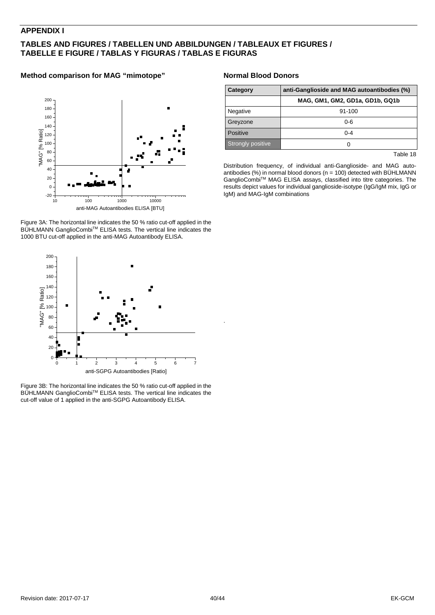#### **APPENDIX I**

#### **TABLES AND FIGURES / TABELLEN UND ABBILDUNGEN / TABLEAUX ET FIGURES / TABELLE E FIGURE / TABLAS Y FIGURAS / TABLAS E FIGURAS**

#### **Method comparison for MAG "mimotope"**



Figure 3A: The horizontal line indicates the 50 % ratio cut-off applied in the BÜHLMANN GanglioCombi™ ELISA tests. The vertical line indicates the 1000 BTU cut-off applied in the anti-MAG Autoantibody ELISA.



Figure 3B: The horizontal line indicates the 50 % ratio cut-off applied in the BÜHLMANN GanglioCombi™ ELISA tests. The vertical line indicates the cut-off value of 1 applied in the anti-SGPG Autoantibody ELISA.

#### **Normal Blood Donors**

| Category          | anti-Ganglioside and MAG autoantibodies (%) |  |  |
|-------------------|---------------------------------------------|--|--|
|                   | MAG, GM1, GM2, GD1a, GD1b, GQ1b             |  |  |
| Negative          | $91 - 100$                                  |  |  |
| Greyzone          | ი-6                                         |  |  |
| Positive          | $0 - 4$                                     |  |  |
| Strongly positive |                                             |  |  |

Table 18

Distribution frequency, of individual anti-Ganglioside- and MAG autoantibodies (%) in normal blood donors ( $n = 100$ ) detected with BÜHLMANN GanglioCombi<sup>TM</sup> MAG ELISA assays, classified into titre categories. The results depict values for individual ganglioside-isotype (IgG/IgM mix, IgG or IgM) and MAG-IgM combinations

.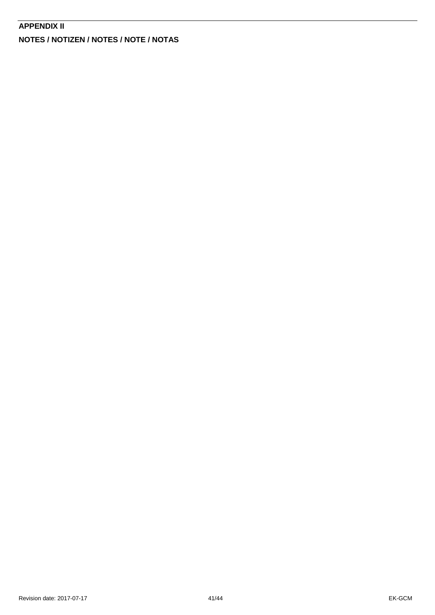#### **APPENDIX II**

**NOTES / NOTIZEN / NOTES / NOTE / NOTAS**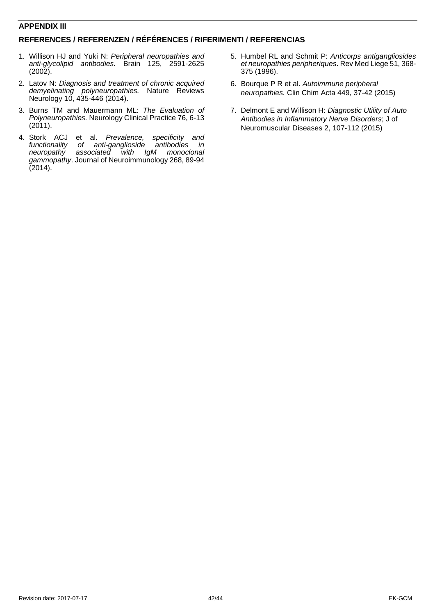#### **APPENDIX III**

#### **REFERENCES / REFERENZEN / RÉFÉRENCES / RIFERIMENTI / REFERENCIAS**

- 1. Willison HJ and Yuki N: *Peripheral neuropathies and anti-glycolipid antibodies.* Brain 125, 2591-2625  $(2002)$ .
- 2. Latov N: *Diagnosis and treatment of chronic acquired demyelinating polyneuropathies.* Nature Reviews Neurology 10, 435-446 (2014).
- 3. Burns TM and Mauermann ML: *The Evaluation of Polyneuropathies.* Neurology Clinical Practice 76, 6-13  $(2011).$
- 4. Stork ACJ et al. *Prevalence, specificity and functionality of anti-ganglioside antibodies in*  associated with *gammopathy*. Journal of Neuroimmunology 268, 89-94 (2014).
- 5. Humbel RL and Schmit P: *Anticorps antigangliosides et neuropathies peripheriques*. Rev Med Liege 51, 368- 375 (1996).
- 6. Bourque P R et al. *Autoimmune peripheral neuropathies.* Clin Chim Acta 449, 37-42 (2015)
- 7. Delmont E and Willison H: *Diagnostic Utility of Auto Antibodies in Inflammatory Nerve Disorders*; J of Neuromuscular Diseases 2, 107-112 (2015)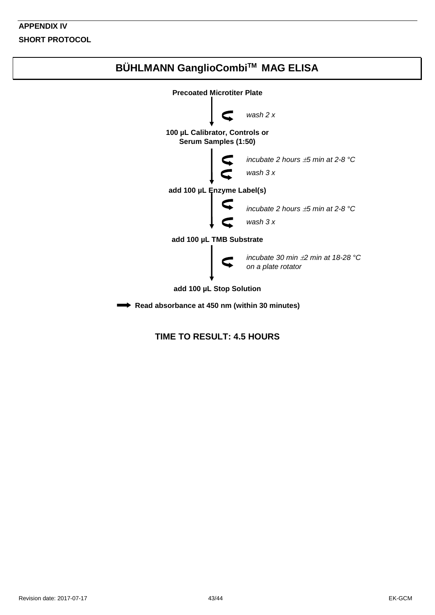### **APPENDIX IV SHORT PROTOCOL**



#### **TIME TO RESULT: 4.5 HOURS**